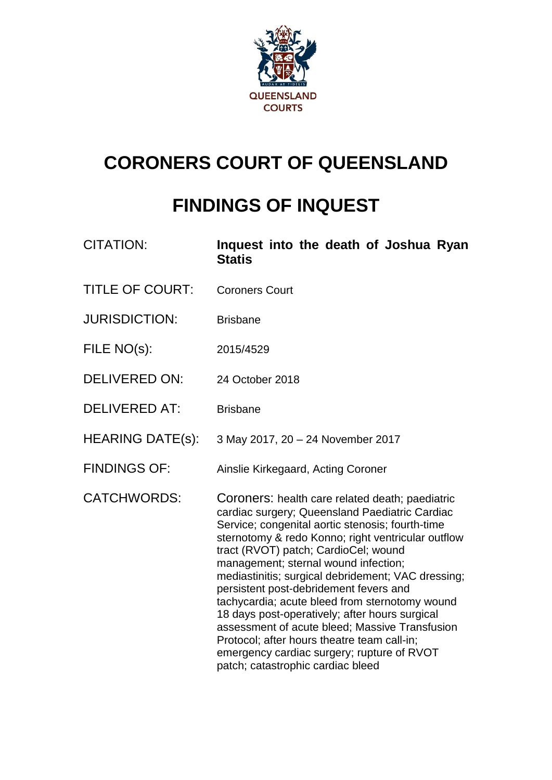

# **CORONERS COURT OF QUEENSLAND**

# **FINDINGS OF INQUEST**

| <b>CITATION:</b>        | Inquest into the death of Joshua Ryan<br><b>Statis</b>                                                                                                                                                                                                                                                                                                                                                                                                                                                                                                                                                                                                                              |
|-------------------------|-------------------------------------------------------------------------------------------------------------------------------------------------------------------------------------------------------------------------------------------------------------------------------------------------------------------------------------------------------------------------------------------------------------------------------------------------------------------------------------------------------------------------------------------------------------------------------------------------------------------------------------------------------------------------------------|
| <b>TITLE OF COURT:</b>  | <b>Coroners Court</b>                                                                                                                                                                                                                                                                                                                                                                                                                                                                                                                                                                                                                                                               |
| <b>JURISDICTION:</b>    | <b>Brisbane</b>                                                                                                                                                                                                                                                                                                                                                                                                                                                                                                                                                                                                                                                                     |
| FILE NO(s):             | 2015/4529                                                                                                                                                                                                                                                                                                                                                                                                                                                                                                                                                                                                                                                                           |
| <b>DELIVERED ON:</b>    | 24 October 2018                                                                                                                                                                                                                                                                                                                                                                                                                                                                                                                                                                                                                                                                     |
| <b>DELIVERED AT:</b>    | <b>Brisbane</b>                                                                                                                                                                                                                                                                                                                                                                                                                                                                                                                                                                                                                                                                     |
| <b>HEARING DATE(s):</b> | 3 May 2017, 20 - 24 November 2017                                                                                                                                                                                                                                                                                                                                                                                                                                                                                                                                                                                                                                                   |
| <b>FINDINGS OF:</b>     | Ainslie Kirkegaard, Acting Coroner                                                                                                                                                                                                                                                                                                                                                                                                                                                                                                                                                                                                                                                  |
| <b>CATCHWORDS:</b>      | Coroners: health care related death; paediatric<br>cardiac surgery; Queensland Paediatric Cardiac<br>Service; congenital aortic stenosis; fourth-time<br>sternotomy & redo Konno; right ventricular outflow<br>tract (RVOT) patch; CardioCel; wound<br>management; sternal wound infection;<br>mediastinitis; surgical debridement; VAC dressing;<br>persistent post-debridement fevers and<br>tachycardia; acute bleed from sternotomy wound<br>18 days post-operatively; after hours surgical<br>assessment of acute bleed; Massive Transfusion<br>Protocol; after hours theatre team call-in;<br>emergency cardiac surgery; rupture of RVOT<br>patch; catastrophic cardiac bleed |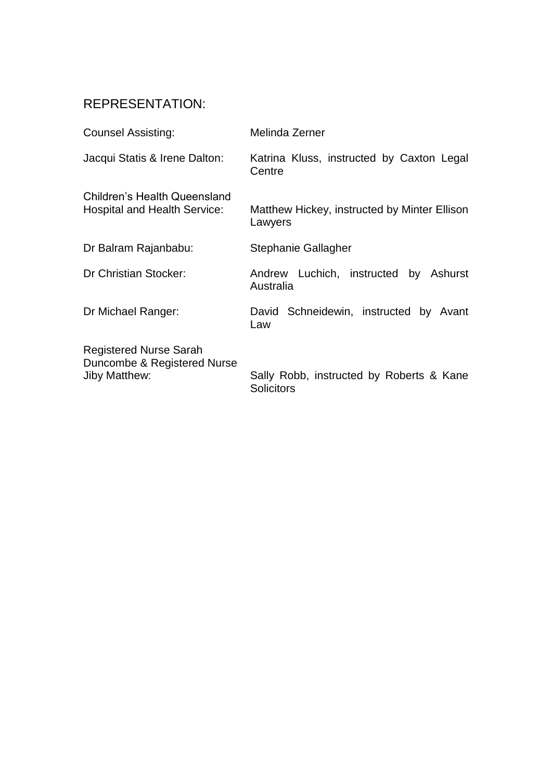## REPRESENTATION:

| <b>Counsel Assisting:</b>                                                            | Melinda Zerner                                                |
|--------------------------------------------------------------------------------------|---------------------------------------------------------------|
| Jacqui Statis & Irene Dalton:                                                        | Katrina Kluss, instructed by Caxton Legal<br>Centre           |
| <b>Children's Health Queensland</b><br><b>Hospital and Health Service:</b>           | Matthew Hickey, instructed by Minter Ellison<br>Lawyers       |
| Dr Balram Rajanbabu:                                                                 | Stephanie Gallagher                                           |
| Dr Christian Stocker:                                                                | Andrew Luchich, instructed by Ashurst<br>Australia            |
| Dr Michael Ranger:                                                                   | David Schneidewin, instructed by Avant<br>Law                 |
| <b>Registered Nurse Sarah</b><br>Duncombe & Registered Nurse<br><b>Jiby Matthew:</b> | Sally Robb, instructed by Roberts & Kane<br><b>Solicitors</b> |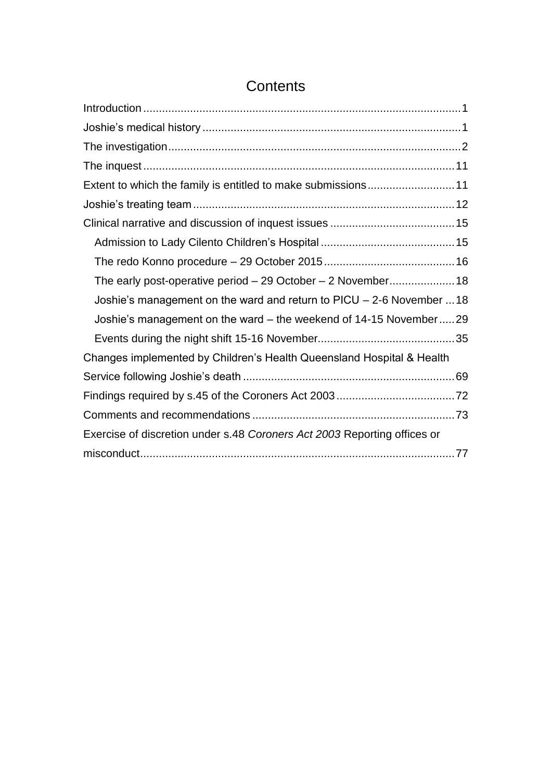| Extent to which the family is entitled to make submissions11             |  |
|--------------------------------------------------------------------------|--|
|                                                                          |  |
|                                                                          |  |
|                                                                          |  |
|                                                                          |  |
| The early post-operative period - 29 October - 2 November 18             |  |
| Joshie's management on the ward and return to $PICU - 2-6$ November  18  |  |
| Joshie's management on the ward – the weekend of 14-15 November29        |  |
|                                                                          |  |
| Changes implemented by Children's Health Queensland Hospital & Health    |  |
|                                                                          |  |
|                                                                          |  |
|                                                                          |  |
| Exercise of discretion under s.48 Coroners Act 2003 Reporting offices or |  |
|                                                                          |  |

## **Contents**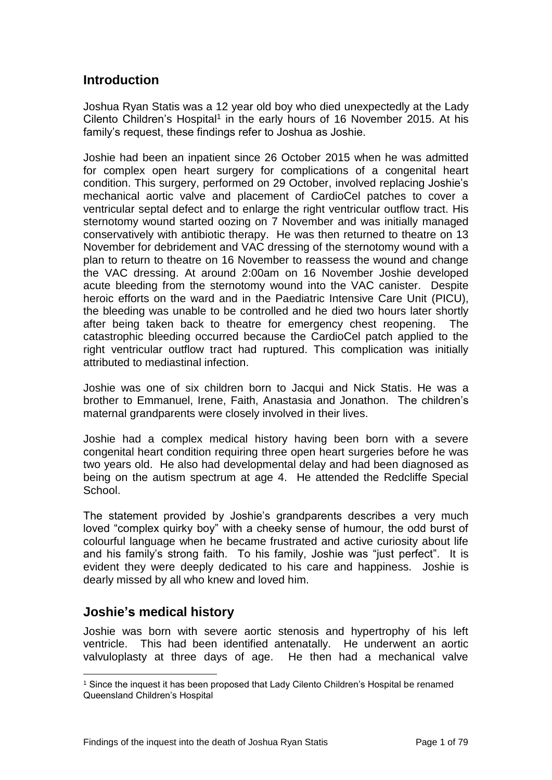## <span id="page-3-0"></span>**Introduction**

Joshua Ryan Statis was a 12 year old boy who died unexpectedly at the Lady Cilento Children's Hospital<sup>1</sup> in the early hours of 16 November 2015. At his family's request, these findings refer to Joshua as Joshie.

Joshie had been an inpatient since 26 October 2015 when he was admitted for complex open heart surgery for complications of a congenital heart condition. This surgery, performed on 29 October, involved replacing Joshie's mechanical aortic valve and placement of CardioCel patches to cover a ventricular septal defect and to enlarge the right ventricular outflow tract. His sternotomy wound started oozing on 7 November and was initially managed conservatively with antibiotic therapy. He was then returned to theatre on 13 November for debridement and VAC dressing of the sternotomy wound with a plan to return to theatre on 16 November to reassess the wound and change the VAC dressing. At around 2:00am on 16 November Joshie developed acute bleeding from the sternotomy wound into the VAC canister. Despite heroic efforts on the ward and in the Paediatric Intensive Care Unit (PICU), the bleeding was unable to be controlled and he died two hours later shortly after being taken back to theatre for emergency chest reopening. The catastrophic bleeding occurred because the CardioCel patch applied to the right ventricular outflow tract had ruptured. This complication was initially attributed to mediastinal infection.

Joshie was one of six children born to Jacqui and Nick Statis. He was a brother to Emmanuel, Irene, Faith, Anastasia and Jonathon. The children's maternal grandparents were closely involved in their lives.

Joshie had a complex medical history having been born with a severe congenital heart condition requiring three open heart surgeries before he was two years old. He also had developmental delay and had been diagnosed as being on the autism spectrum at age 4. He attended the Redcliffe Special School.

The statement provided by Joshie's grandparents describes a very much loved "complex quirky boy" with a cheeky sense of humour, the odd burst of colourful language when he became frustrated and active curiosity about life and his family's strong faith. To his family, Joshie was "just perfect". It is evident they were deeply dedicated to his care and happiness. Joshie is dearly missed by all who knew and loved him.

## <span id="page-3-1"></span>**Joshie's medical history**

Joshie was born with severe aortic stenosis and hypertrophy of his left ventricle. This had been identified antenatally. He underwent an aortic valvuloplasty at three days of age. He then had a mechanical valve

l <sup>1</sup> Since the inquest it has been proposed that Lady Cilento Children's Hospital be renamed Queensland Children's Hospital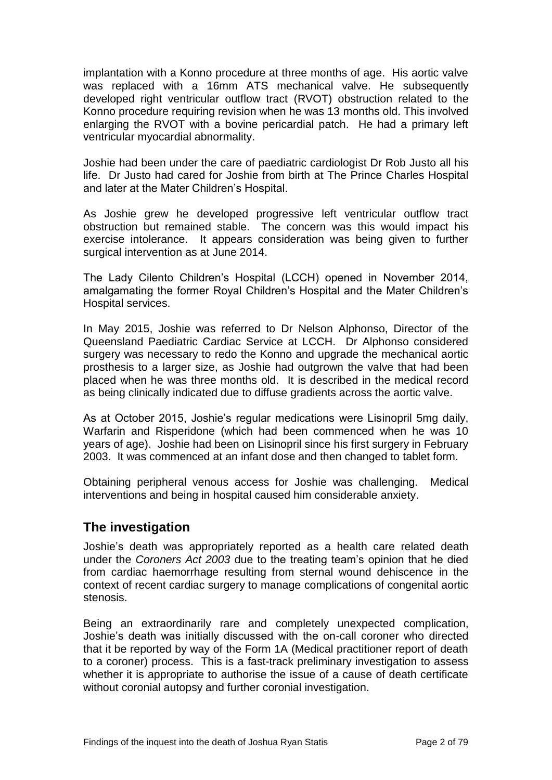implantation with a Konno procedure at three months of age. His aortic valve was replaced with a 16mm ATS mechanical valve. He subsequently developed right ventricular outflow tract (RVOT) obstruction related to the Konno procedure requiring revision when he was 13 months old. This involved enlarging the RVOT with a bovine pericardial patch. He had a primary left ventricular myocardial abnormality.

Joshie had been under the care of paediatric cardiologist Dr Rob Justo all his life. Dr Justo had cared for Joshie from birth at The Prince Charles Hospital and later at the Mater Children's Hospital.

As Joshie grew he developed progressive left ventricular outflow tract obstruction but remained stable. The concern was this would impact his exercise intolerance. It appears consideration was being given to further surgical intervention as at June 2014.

The Lady Cilento Children's Hospital (LCCH) opened in November 2014, amalgamating the former Royal Children's Hospital and the Mater Children's Hospital services.

In May 2015, Joshie was referred to Dr Nelson Alphonso, Director of the Queensland Paediatric Cardiac Service at LCCH. Dr Alphonso considered surgery was necessary to redo the Konno and upgrade the mechanical aortic prosthesis to a larger size, as Joshie had outgrown the valve that had been placed when he was three months old. It is described in the medical record as being clinically indicated due to diffuse gradients across the aortic valve.

As at October 2015, Joshie's regular medications were Lisinopril 5mg daily, Warfarin and Risperidone (which had been commenced when he was 10 years of age). Joshie had been on Lisinopril since his first surgery in February 2003. It was commenced at an infant dose and then changed to tablet form.

Obtaining peripheral venous access for Joshie was challenging. Medical interventions and being in hospital caused him considerable anxiety.

## <span id="page-4-0"></span>**The investigation**

Joshie's death was appropriately reported as a health care related death under the *Coroners Act 2003* due to the treating team's opinion that he died from cardiac haemorrhage resulting from sternal wound dehiscence in the context of recent cardiac surgery to manage complications of congenital aortic stenosis.

Being an extraordinarily rare and completely unexpected complication, Joshie's death was initially discussed with the on-call coroner who directed that it be reported by way of the Form 1A (Medical practitioner report of death to a coroner) process. This is a fast-track preliminary investigation to assess whether it is appropriate to authorise the issue of a cause of death certificate without coronial autopsy and further coronial investigation.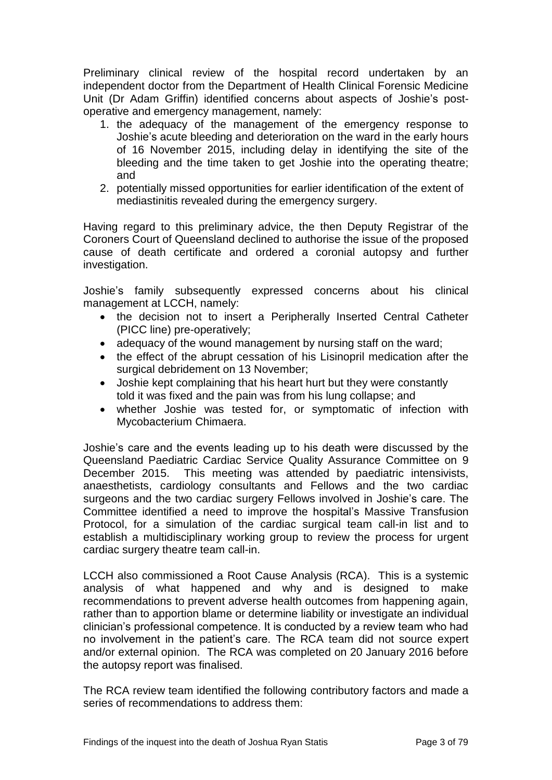Preliminary clinical review of the hospital record undertaken by an independent doctor from the Department of Health Clinical Forensic Medicine Unit (Dr Adam Griffin) identified concerns about aspects of Joshie's postoperative and emergency management, namely:

- 1. the adequacy of the management of the emergency response to Joshie's acute bleeding and deterioration on the ward in the early hours of 16 November 2015, including delay in identifying the site of the bleeding and the time taken to get Joshie into the operating theatre; and
- 2. potentially missed opportunities for earlier identification of the extent of mediastinitis revealed during the emergency surgery.

Having regard to this preliminary advice, the then Deputy Registrar of the Coroners Court of Queensland declined to authorise the issue of the proposed cause of death certificate and ordered a coronial autopsy and further investigation.

Joshie's family subsequently expressed concerns about his clinical management at LCCH, namely:

- the decision not to insert a Peripherally Inserted Central Catheter (PICC line) pre-operatively;
- adequacy of the wound management by nursing staff on the ward;
- the effect of the abrupt cessation of his Lisinopril medication after the surgical debridement on 13 November;
- Joshie kept complaining that his heart hurt but they were constantly told it was fixed and the pain was from his lung collapse; and
- whether Joshie was tested for, or symptomatic of infection with Mycobacterium Chimaera.

Joshie's care and the events leading up to his death were discussed by the Queensland Paediatric Cardiac Service Quality Assurance Committee on 9 December 2015. This meeting was attended by paediatric intensivists, anaesthetists, cardiology consultants and Fellows and the two cardiac surgeons and the two cardiac surgery Fellows involved in Joshie's care. The Committee identified a need to improve the hospital's Massive Transfusion Protocol, for a simulation of the cardiac surgical team call-in list and to establish a multidisciplinary working group to review the process for urgent cardiac surgery theatre team call-in.

LCCH also commissioned a Root Cause Analysis (RCA). This is a systemic analysis of what happened and why and is designed to make recommendations to prevent adverse health outcomes from happening again, rather than to apportion blame or determine liability or investigate an individual clinician's professional competence. It is conducted by a review team who had no involvement in the patient's care. The RCA team did not source expert and/or external opinion. The RCA was completed on 20 January 2016 before the autopsy report was finalised.

The RCA review team identified the following contributory factors and made a series of recommendations to address them: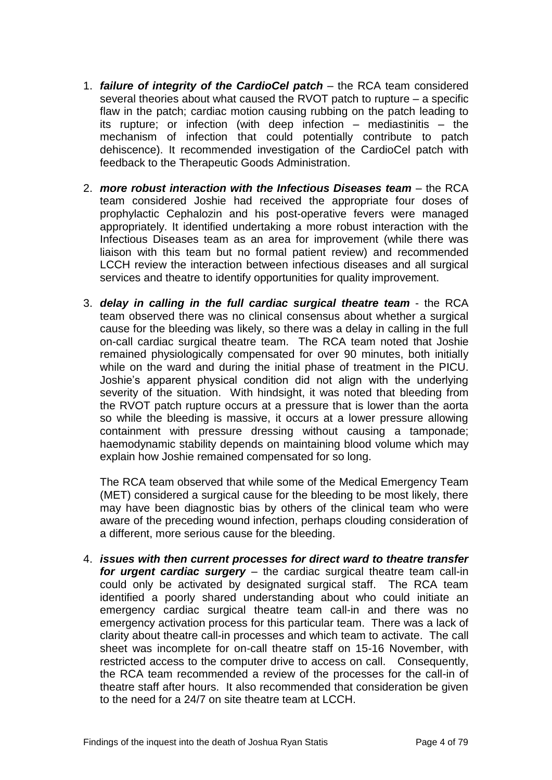- 1. *failure of integrity of the CardioCel patch* the RCA team considered several theories about what caused the RVOT patch to rupture – a specific flaw in the patch; cardiac motion causing rubbing on the patch leading to its rupture; or infection (with deep infection – mediastinitis – the mechanism of infection that could potentially contribute to patch dehiscence). It recommended investigation of the CardioCel patch with feedback to the Therapeutic Goods Administration.
- 2. *more robust interaction with the Infectious Diseases team* the RCA team considered Joshie had received the appropriate four doses of prophylactic Cephalozin and his post-operative fevers were managed appropriately. It identified undertaking a more robust interaction with the Infectious Diseases team as an area for improvement (while there was liaison with this team but no formal patient review) and recommended LCCH review the interaction between infectious diseases and all surgical services and theatre to identify opportunities for quality improvement.
- 3. *delay in calling in the full cardiac surgical theatre team* the RCA team observed there was no clinical consensus about whether a surgical cause for the bleeding was likely, so there was a delay in calling in the full on-call cardiac surgical theatre team. The RCA team noted that Joshie remained physiologically compensated for over 90 minutes, both initially while on the ward and during the initial phase of treatment in the PICU. Joshie's apparent physical condition did not align with the underlying severity of the situation. With hindsight, it was noted that bleeding from the RVOT patch rupture occurs at a pressure that is lower than the aorta so while the bleeding is massive, it occurs at a lower pressure allowing containment with pressure dressing without causing a tamponade; haemodynamic stability depends on maintaining blood volume which may explain how Joshie remained compensated for so long.

The RCA team observed that while some of the Medical Emergency Team (MET) considered a surgical cause for the bleeding to be most likely, there may have been diagnostic bias by others of the clinical team who were aware of the preceding wound infection, perhaps clouding consideration of a different, more serious cause for the bleeding.

4. *issues with then current processes for direct ward to theatre transfer for urgent cardiac surgery* – the cardiac surgical theatre team call-in could only be activated by designated surgical staff. The RCA team identified a poorly shared understanding about who could initiate an emergency cardiac surgical theatre team call-in and there was no emergency activation process for this particular team. There was a lack of clarity about theatre call-in processes and which team to activate. The call sheet was incomplete for on-call theatre staff on 15-16 November, with restricted access to the computer drive to access on call. Consequently, the RCA team recommended a review of the processes for the call-in of theatre staff after hours. It also recommended that consideration be given to the need for a 24/7 on site theatre team at LCCH.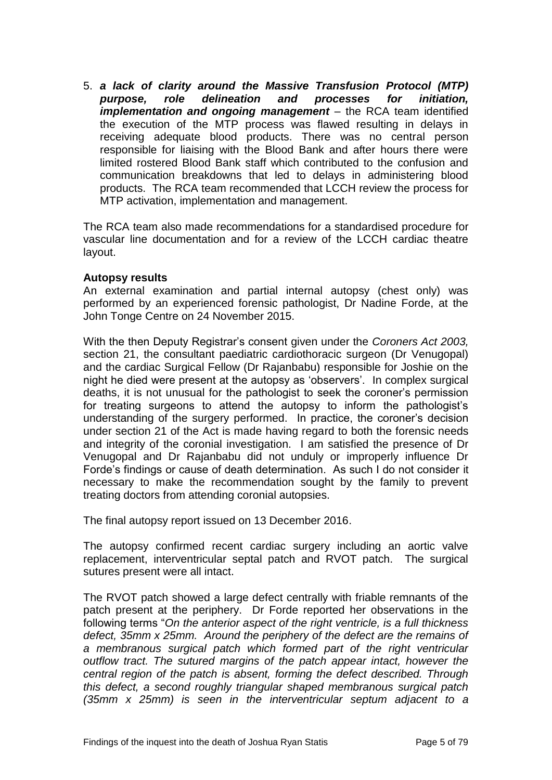5. *a lack of clarity around the Massive Transfusion Protocol (MTP) purpose, role delineation and processes for initiation, implementation and ongoing management* – the RCA team identified the execution of the MTP process was flawed resulting in delays in receiving adequate blood products. There was no central person responsible for liaising with the Blood Bank and after hours there were limited rostered Blood Bank staff which contributed to the confusion and communication breakdowns that led to delays in administering blood products. The RCA team recommended that LCCH review the process for MTP activation, implementation and management.

The RCA team also made recommendations for a standardised procedure for vascular line documentation and for a review of the LCCH cardiac theatre layout.

#### **Autopsy results**

An external examination and partial internal autopsy (chest only) was performed by an experienced forensic pathologist, Dr Nadine Forde, at the John Tonge Centre on 24 November 2015.

With the then Deputy Registrar's consent given under the *Coroners Act 2003,* section 21, the consultant paediatric cardiothoracic surgeon (Dr Venugopal) and the cardiac Surgical Fellow (Dr Rajanbabu) responsible for Joshie on the night he died were present at the autopsy as 'observers'. In complex surgical deaths, it is not unusual for the pathologist to seek the coroner's permission for treating surgeons to attend the autopsy to inform the pathologist's understanding of the surgery performed. In practice, the coroner's decision under section 21 of the Act is made having regard to both the forensic needs and integrity of the coronial investigation. I am satisfied the presence of Dr Venugopal and Dr Rajanbabu did not unduly or improperly influence Dr Forde's findings or cause of death determination. As such I do not consider it necessary to make the recommendation sought by the family to prevent treating doctors from attending coronial autopsies.

The final autopsy report issued on 13 December 2016.

The autopsy confirmed recent cardiac surgery including an aortic valve replacement, interventricular septal patch and RVOT patch. The surgical sutures present were all intact.

The RVOT patch showed a large defect centrally with friable remnants of the patch present at the periphery. Dr Forde reported her observations in the following terms "*On the anterior aspect of the right ventricle, is a full thickness defect, 35mm x 25mm. Around the periphery of the defect are the remains of a membranous surgical patch which formed part of the right ventricular outflow tract. The sutured margins of the patch appear intact, however the central region of the patch is absent, forming the defect described. Through this defect, a second roughly triangular shaped membranous surgical patch (35mm x 25mm) is seen in the interventricular septum adjacent to a*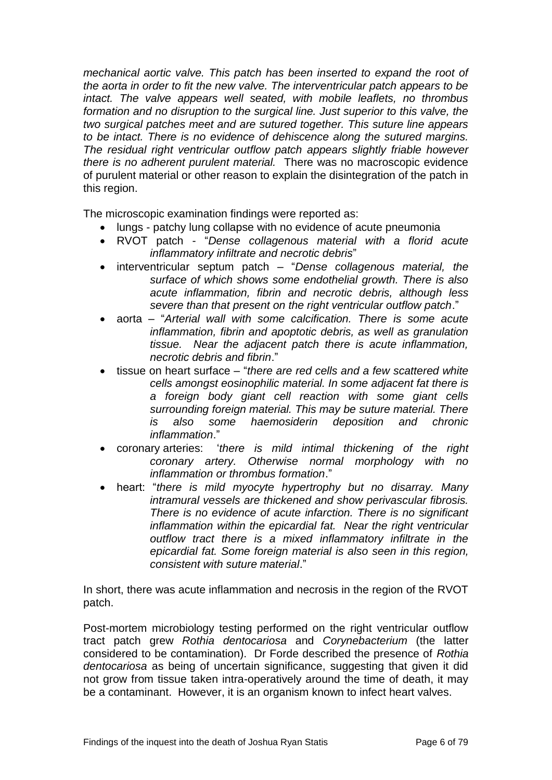*mechanical aortic valve. This patch has been inserted to expand the root of the aorta in order to fit the new valve. The interventricular patch appears to be intact. The valve appears well seated, with mobile leaflets, no thrombus formation and no disruption to the surgical line. Just superior to this valve, the two surgical patches meet and are sutured together. This suture line appears to be intact. There is no evidence of dehiscence along the sutured margins. The residual right ventricular outflow patch appears slightly friable however there is no adherent purulent material.* There was no macroscopic evidence of purulent material or other reason to explain the disintegration of the patch in this region.

The microscopic examination findings were reported as:

- lungs patchy lung collapse with no evidence of acute pneumonia
- RVOT patch "*Dense collagenous material with a florid acute inflammatory infiltrate and necrotic debris*"
- interventricular septum patch "*Dense collagenous material, the surface of which shows some endothelial growth. There is also acute inflammation, fibrin and necrotic debris, although less severe than that present on the right ventricular outflow patch*."
- aorta "*Arterial wall with some calcification. There is some acute inflammation, fibrin and apoptotic debris, as well as granulation tissue. Near the adjacent patch there is acute inflammation, necrotic debris and fibrin*."
- tissue on heart surface "*there are red cells and a few scattered white cells amongst eosinophilic material. In some adjacent fat there is a foreign body giant cell reaction with some giant cells surrounding foreign material. This may be suture material. There is also some haemosiderin deposition and chronic inflammation*."
- coronary arteries: '*there is mild intimal thickening of the right coronary artery. Otherwise normal morphology with no inflammation or thrombus formation*."
- heart: "*there is mild myocyte hypertrophy but no disarray. Many intramural vessels are thickened and show perivascular fibrosis. There is no evidence of acute infarction. There is no significant inflammation within the epicardial fat. Near the right ventricular outflow tract there is a mixed inflammatory infiltrate in the epicardial fat. Some foreign material is also seen in this region, consistent with suture material*."

In short, there was acute inflammation and necrosis in the region of the RVOT patch.

Post-mortem microbiology testing performed on the right ventricular outflow tract patch grew *Rothia dentocariosa* and *Corynebacterium* (the latter considered to be contamination). Dr Forde described the presence of *Rothia dentocariosa* as being of uncertain significance, suggesting that given it did not grow from tissue taken intra-operatively around the time of death, it may be a contaminant. However, it is an organism known to infect heart valves.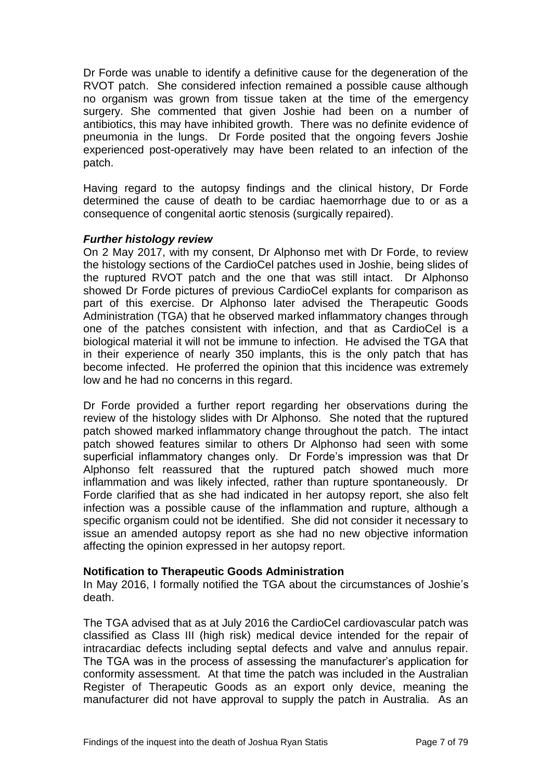Dr Forde was unable to identify a definitive cause for the degeneration of the RVOT patch. She considered infection remained a possible cause although no organism was grown from tissue taken at the time of the emergency surgery. She commented that given Joshie had been on a number of antibiotics, this may have inhibited growth. There was no definite evidence of pneumonia in the lungs. Dr Forde posited that the ongoing fevers Joshie experienced post-operatively may have been related to an infection of the patch.

Having regard to the autopsy findings and the clinical history, Dr Forde determined the cause of death to be cardiac haemorrhage due to or as a consequence of congenital aortic stenosis (surgically repaired).

#### *Further histology review*

On 2 May 2017, with my consent, Dr Alphonso met with Dr Forde, to review the histology sections of the CardioCel patches used in Joshie, being slides of the ruptured RVOT patch and the one that was still intact. Dr Alphonso showed Dr Forde pictures of previous CardioCel explants for comparison as part of this exercise. Dr Alphonso later advised the Therapeutic Goods Administration (TGA) that he observed marked inflammatory changes through one of the patches consistent with infection, and that as CardioCel is a biological material it will not be immune to infection. He advised the TGA that in their experience of nearly 350 implants, this is the only patch that has become infected. He proferred the opinion that this incidence was extremely low and he had no concerns in this regard.

Dr Forde provided a further report regarding her observations during the review of the histology slides with Dr Alphonso. She noted that the ruptured patch showed marked inflammatory change throughout the patch. The intact patch showed features similar to others Dr Alphonso had seen with some superficial inflammatory changes only. Dr Forde's impression was that Dr Alphonso felt reassured that the ruptured patch showed much more inflammation and was likely infected, rather than rupture spontaneously. Dr Forde clarified that as she had indicated in her autopsy report, she also felt infection was a possible cause of the inflammation and rupture, although a specific organism could not be identified. She did not consider it necessary to issue an amended autopsy report as she had no new objective information affecting the opinion expressed in her autopsy report.

#### **Notification to Therapeutic Goods Administration**

In May 2016, I formally notified the TGA about the circumstances of Joshie's death.

The TGA advised that as at July 2016 the CardioCel cardiovascular patch was classified as Class III (high risk) medical device intended for the repair of intracardiac defects including septal defects and valve and annulus repair. The TGA was in the process of assessing the manufacturer's application for conformity assessment. At that time the patch was included in the Australian Register of Therapeutic Goods as an export only device, meaning the manufacturer did not have approval to supply the patch in Australia. As an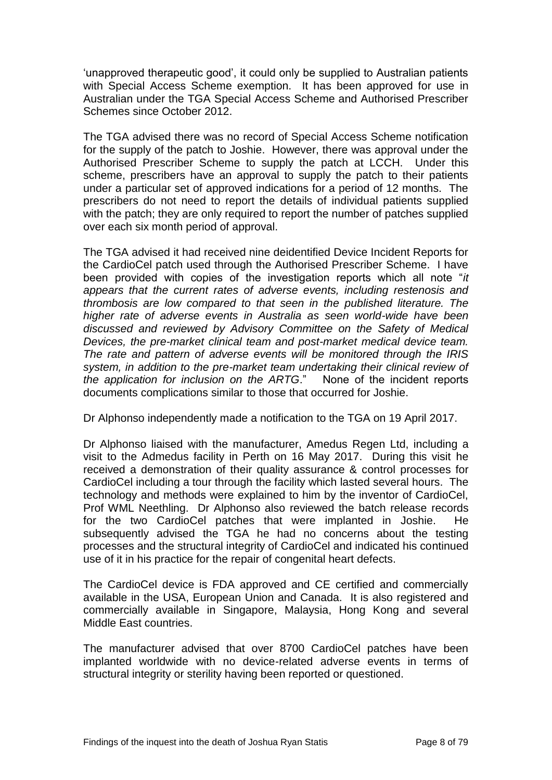'unapproved therapeutic good', it could only be supplied to Australian patients with Special Access Scheme exemption. It has been approved for use in Australian under the TGA Special Access Scheme and Authorised Prescriber Schemes since October 2012.

The TGA advised there was no record of Special Access Scheme notification for the supply of the patch to Joshie. However, there was approval under the Authorised Prescriber Scheme to supply the patch at LCCH. Under this scheme, prescribers have an approval to supply the patch to their patients under a particular set of approved indications for a period of 12 months. The prescribers do not need to report the details of individual patients supplied with the patch; they are only required to report the number of patches supplied over each six month period of approval.

The TGA advised it had received nine deidentified Device Incident Reports for the CardioCel patch used through the Authorised Prescriber Scheme. I have been provided with copies of the investigation reports which all note "*it appears that the current rates of adverse events, including restenosis and thrombosis are low compared to that seen in the published literature. The higher rate of adverse events in Australia as seen world-wide have been discussed and reviewed by Advisory Committee on the Safety of Medical Devices, the pre-market clinical team and post-market medical device team. The rate and pattern of adverse events will be monitored through the IRIS system, in addition to the pre-market team undertaking their clinical review of the application for inclusion on the ARTG*." None of the incident reports documents complications similar to those that occurred for Joshie.

Dr Alphonso independently made a notification to the TGA on 19 April 2017.

Dr Alphonso liaised with the manufacturer, Amedus Regen Ltd, including a visit to the Admedus facility in Perth on 16 May 2017. During this visit he received a demonstration of their quality assurance & control processes for CardioCel including a tour through the facility which lasted several hours. The technology and methods were explained to him by the inventor of CardioCel, Prof WML Neethling. Dr Alphonso also reviewed the batch release records for the two CardioCel patches that were implanted in Joshie. He subsequently advised the TGA he had no concerns about the testing processes and the structural integrity of CardioCel and indicated his continued use of it in his practice for the repair of congenital heart defects.

The CardioCel device is FDA approved and CE certified and commercially available in the USA, European Union and Canada. It is also registered and commercially available in Singapore, Malaysia, Hong Kong and several Middle East countries.

The manufacturer advised that over 8700 CardioCel patches have been implanted worldwide with no device-related adverse events in terms of structural integrity or sterility having been reported or questioned.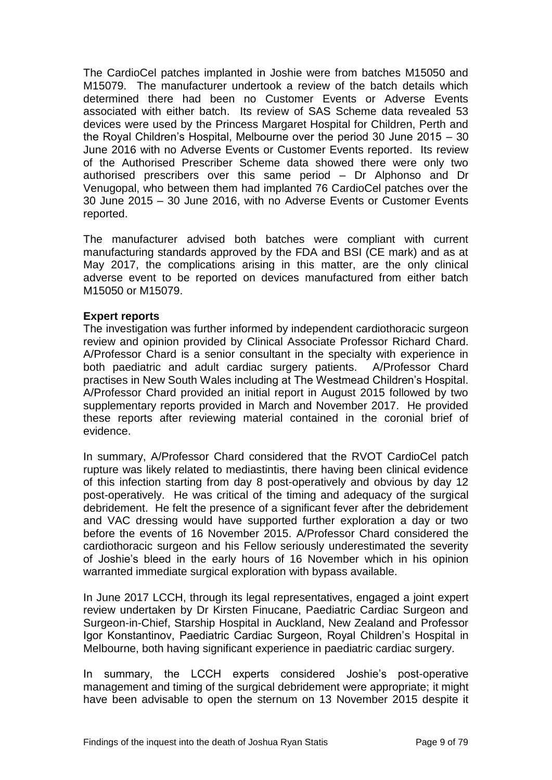The CardioCel patches implanted in Joshie were from batches M15050 and M15079. The manufacturer undertook a review of the batch details which determined there had been no Customer Events or Adverse Events associated with either batch. Its review of SAS Scheme data revealed 53 devices were used by the Princess Margaret Hospital for Children, Perth and the Royal Children's Hospital, Melbourne over the period 30 June 2015 – 30 June 2016 with no Adverse Events or Customer Events reported. Its review of the Authorised Prescriber Scheme data showed there were only two authorised prescribers over this same period – Dr Alphonso and Dr Venugopal, who between them had implanted 76 CardioCel patches over the 30 June 2015 – 30 June 2016, with no Adverse Events or Customer Events reported.

The manufacturer advised both batches were compliant with current manufacturing standards approved by the FDA and BSI (CE mark) and as at May 2017, the complications arising in this matter, are the only clinical adverse event to be reported on devices manufactured from either batch M15050 or M15079.

#### **Expert reports**

The investigation was further informed by independent cardiothoracic surgeon review and opinion provided by Clinical Associate Professor Richard Chard. A/Professor Chard is a senior consultant in the specialty with experience in both paediatric and adult cardiac surgery patients. A/Professor Chard practises in New South Wales including at The Westmead Children's Hospital. A/Professor Chard provided an initial report in August 2015 followed by two supplementary reports provided in March and November 2017. He provided these reports after reviewing material contained in the coronial brief of evidence.

In summary, A/Professor Chard considered that the RVOT CardioCel patch rupture was likely related to mediastintis, there having been clinical evidence of this infection starting from day 8 post-operatively and obvious by day 12 post-operatively. He was critical of the timing and adequacy of the surgical debridement. He felt the presence of a significant fever after the debridement and VAC dressing would have supported further exploration a day or two before the events of 16 November 2015. A/Professor Chard considered the cardiothoracic surgeon and his Fellow seriously underestimated the severity of Joshie's bleed in the early hours of 16 November which in his opinion warranted immediate surgical exploration with bypass available.

In June 2017 LCCH, through its legal representatives, engaged a joint expert review undertaken by Dr Kirsten Finucane, Paediatric Cardiac Surgeon and Surgeon-in-Chief, Starship Hospital in Auckland, New Zealand and Professor Igor Konstantinov, Paediatric Cardiac Surgeon, Royal Children's Hospital in Melbourne, both having significant experience in paediatric cardiac surgery.

In summary, the LCCH experts considered Joshie's post-operative management and timing of the surgical debridement were appropriate; it might have been advisable to open the sternum on 13 November 2015 despite it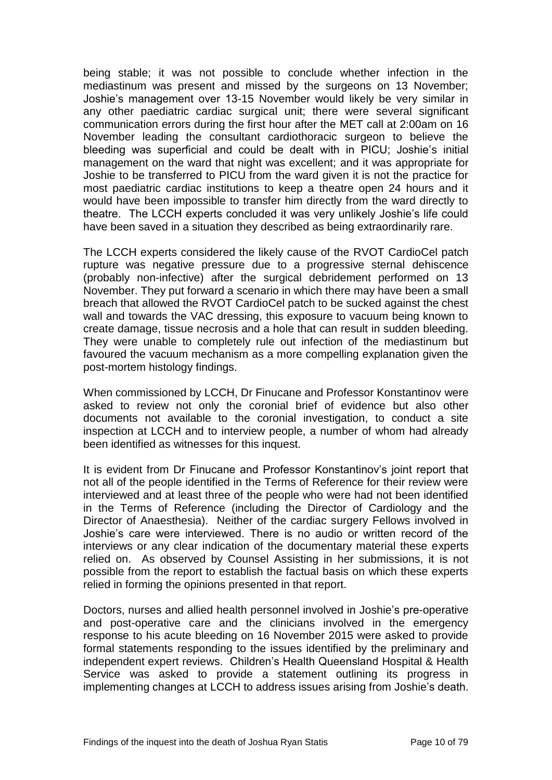being stable; it was not possible to conclude whether infection in the mediastinum was present and missed by the surgeons on 13 November; Joshie's management over 13-15 November would likely be very similar in any other paediatric cardiac surgical unit; there were several significant communication errors during the first hour after the MET call at 2:00am on 16 November leading the consultant cardiothoracic surgeon to believe the bleeding was superficial and could be dealt with in PICU; Joshie's initial management on the ward that night was excellent; and it was appropriate for Joshie to be transferred to PICU from the ward given it is not the practice for most paediatric cardiac institutions to keep a theatre open 24 hours and it would have been impossible to transfer him directly from the ward directly to theatre. The LCCH experts concluded it was very unlikely Joshie's life could have been saved in a situation they described as being extraordinarily rare.

The LCCH experts considered the likely cause of the RVOT CardioCel patch rupture was negative pressure due to a progressive sternal dehiscence (probably non-infective) after the surgical debridement performed on 13 November. They put forward a scenario in which there may have been a small breach that allowed the RVOT CardioCel patch to be sucked against the chest wall and towards the VAC dressing, this exposure to vacuum being known to create damage, tissue necrosis and a hole that can result in sudden bleeding. They were unable to completely rule out infection of the mediastinum but favoured the vacuum mechanism as a more compelling explanation given the post-mortem histology findings.

When commissioned by LCCH, Dr Finucane and Professor Konstantinov were asked to review not only the coronial brief of evidence but also other documents not available to the coronial investigation, to conduct a site inspection at LCCH and to interview people, a number of whom had already been identified as witnesses for this inquest.

It is evident from Dr Finucane and Professor Konstantinov's joint report that not all of the people identified in the Terms of Reference for their review were interviewed and at least three of the people who were had not been identified in the Terms of Reference (including the Director of Cardiology and the Director of Anaesthesia). Neither of the cardiac surgery Fellows involved in Joshie's care were interviewed. There is no audio or written record of the interviews or any clear indication of the documentary material these experts relied on. As observed by Counsel Assisting in her submissions, it is not possible from the report to establish the factual basis on which these experts relied in forming the opinions presented in that report.

Doctors, nurses and allied health personnel involved in Joshie's pre-operative and post-operative care and the clinicians involved in the emergency response to his acute bleeding on 16 November 2015 were asked to provide formal statements responding to the issues identified by the preliminary and independent expert reviews. Children's Health Queensland Hospital & Health Service was asked to provide a statement outlining its progress in implementing changes at LCCH to address issues arising from Joshie's death.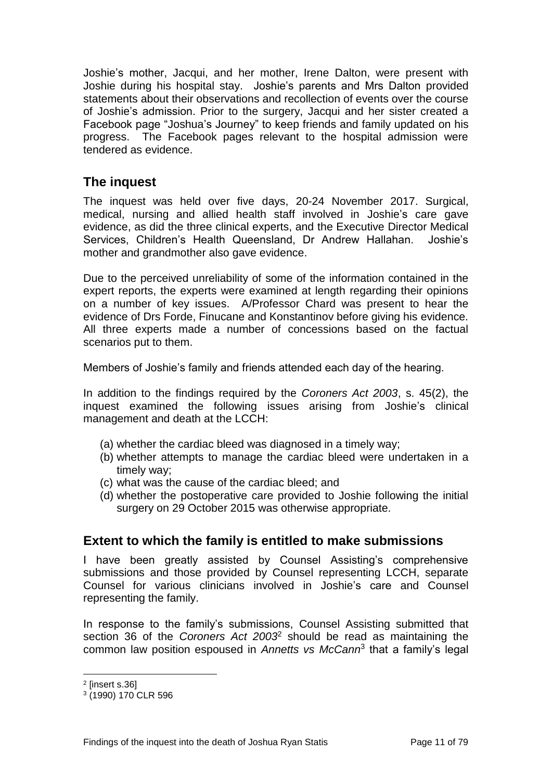Joshie's mother, Jacqui, and her mother, Irene Dalton, were present with Joshie during his hospital stay. Joshie's parents and Mrs Dalton provided statements about their observations and recollection of events over the course of Joshie's admission. Prior to the surgery, Jacqui and her sister created a Facebook page "Joshua's Journey" to keep friends and family updated on his progress. The Facebook pages relevant to the hospital admission were tendered as evidence.

## <span id="page-13-0"></span>**The inquest**

The inquest was held over five days, 20-24 November 2017. Surgical, medical, nursing and allied health staff involved in Joshie's care gave evidence, as did the three clinical experts, and the Executive Director Medical Services, Children's Health Queensland, Dr Andrew Hallahan. Joshie's mother and grandmother also gave evidence.

Due to the perceived unreliability of some of the information contained in the expert reports, the experts were examined at length regarding their opinions on a number of key issues. A/Professor Chard was present to hear the evidence of Drs Forde, Finucane and Konstantinov before giving his evidence. All three experts made a number of concessions based on the factual scenarios put to them.

Members of Joshie's family and friends attended each day of the hearing.

In addition to the findings required by the *Coroners Act 2003*, s. 45(2), the inquest examined the following issues arising from Joshie's clinical management and death at the LCCH:

- (a) whether the cardiac bleed was diagnosed in a timely way;
- (b) whether attempts to manage the cardiac bleed were undertaken in a timely way;
- (c) what was the cause of the cardiac bleed; and
- (d) whether the postoperative care provided to Joshie following the initial surgery on 29 October 2015 was otherwise appropriate.

## <span id="page-13-1"></span>**Extent to which the family is entitled to make submissions**

I have been greatly assisted by Counsel Assisting's comprehensive submissions and those provided by Counsel representing LCCH, separate Counsel for various clinicians involved in Joshie's care and Counsel representing the family.

In response to the family's submissions, Counsel Assisting submitted that section 36 of the *Coroners Act 2003*<sup>2</sup> should be read as maintaining the common law position espoused in *Annetts vs McCann*<sup>3</sup> that a family's legal

l

<sup>2</sup> [insert s.36]

<sup>3</sup> (1990) 170 CLR 596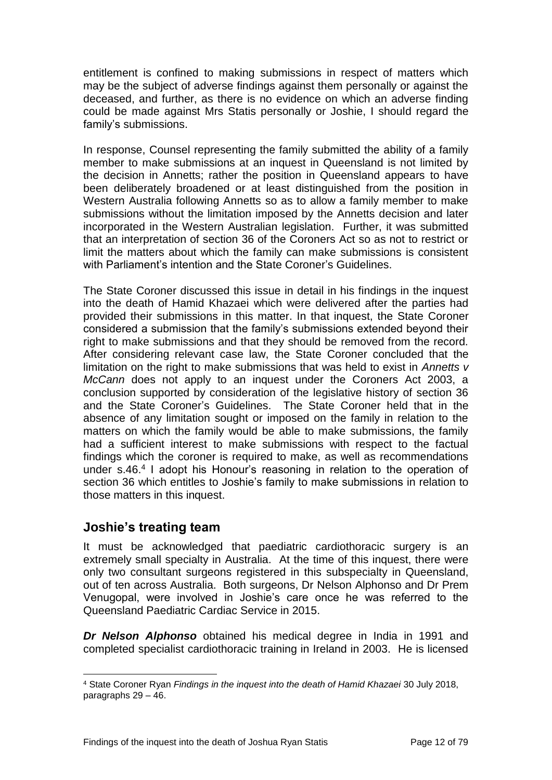entitlement is confined to making submissions in respect of matters which may be the subject of adverse findings against them personally or against the deceased, and further, as there is no evidence on which an adverse finding could be made against Mrs Statis personally or Joshie, I should regard the family's submissions.

In response, Counsel representing the family submitted the ability of a family member to make submissions at an inquest in Queensland is not limited by the decision in Annetts; rather the position in Queensland appears to have been deliberately broadened or at least distinguished from the position in Western Australia following Annetts so as to allow a family member to make submissions without the limitation imposed by the Annetts decision and later incorporated in the Western Australian legislation. Further, it was submitted that an interpretation of section 36 of the Coroners Act so as not to restrict or limit the matters about which the family can make submissions is consistent with Parliament's intention and the State Coroner's Guidelines.

The State Coroner discussed this issue in detail in his findings in the inquest into the death of Hamid Khazaei which were delivered after the parties had provided their submissions in this matter. In that inquest, the State Coroner considered a submission that the family's submissions extended beyond their right to make submissions and that they should be removed from the record. After considering relevant case law, the State Coroner concluded that the limitation on the right to make submissions that was held to exist in *Annetts v McCann* does not apply to an inquest under the Coroners Act 2003, a conclusion supported by consideration of the legislative history of section 36 and the State Coroner's Guidelines. The State Coroner held that in the absence of any limitation sought or imposed on the family in relation to the matters on which the family would be able to make submissions, the family had a sufficient interest to make submissions with respect to the factual findings which the coroner is required to make, as well as recommendations under s.46.<sup>4</sup> I adopt his Honour's reasoning in relation to the operation of section 36 which entitles to Joshie's family to make submissions in relation to those matters in this inquest.

## <span id="page-14-0"></span>**Joshie's treating team**

It must be acknowledged that paediatric cardiothoracic surgery is an extremely small specialty in Australia. At the time of this inquest, there were only two consultant surgeons registered in this subspecialty in Queensland, out of ten across Australia. Both surgeons, Dr Nelson Alphonso and Dr Prem Venugopal, were involved in Joshie's care once he was referred to the Queensland Paediatric Cardiac Service in 2015.

*Dr Nelson Alphonso* obtained his medical degree in India in 1991 and completed specialist cardiothoracic training in Ireland in 2003. He is licensed

l <sup>4</sup> State Coroner Ryan *Findings in the inquest into the death of Hamid Khazaei* 30 July 2018, paragraphs 29 – 46.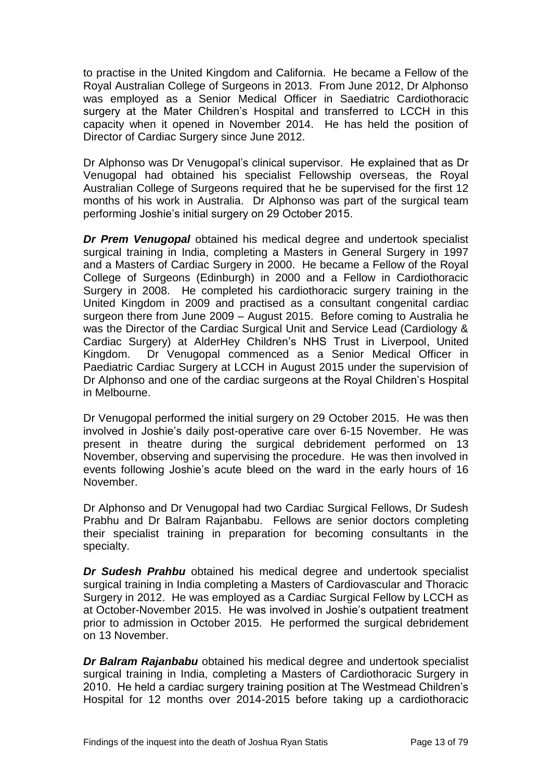to practise in the United Kingdom and California. He became a Fellow of the Royal Australian College of Surgeons in 2013. From June 2012, Dr Alphonso was employed as a Senior Medical Officer in Saediatric Cardiothoracic surgery at the Mater Children's Hospital and transferred to LCCH in this capacity when it opened in November 2014. He has held the position of Director of Cardiac Surgery since June 2012.

Dr Alphonso was Dr Venugopal's clinical supervisor. He explained that as Dr Venugopal had obtained his specialist Fellowship overseas, the Royal Australian College of Surgeons required that he be supervised for the first 12 months of his work in Australia. Dr Alphonso was part of the surgical team performing Joshie's initial surgery on 29 October 2015.

*Dr Prem Venugopal* obtained his medical degree and undertook specialist surgical training in India, completing a Masters in General Surgery in 1997 and a Masters of Cardiac Surgery in 2000. He became a Fellow of the Royal College of Surgeons (Edinburgh) in 2000 and a Fellow in Cardiothoracic Surgery in 2008. He completed his cardiothoracic surgery training in the United Kingdom in 2009 and practised as a consultant congenital cardiac surgeon there from June 2009 – August 2015. Before coming to Australia he was the Director of the Cardiac Surgical Unit and Service Lead (Cardiology & Cardiac Surgery) at AlderHey Children's NHS Trust in Liverpool, United Kingdom. Dr Venugopal commenced as a Senior Medical Officer in Paediatric Cardiac Surgery at LCCH in August 2015 under the supervision of Dr Alphonso and one of the cardiac surgeons at the Royal Children's Hospital in Melbourne.

Dr Venugopal performed the initial surgery on 29 October 2015. He was then involved in Joshie's daily post-operative care over 6-15 November. He was present in theatre during the surgical debridement performed on 13 November, observing and supervising the procedure. He was then involved in events following Joshie's acute bleed on the ward in the early hours of 16 November.

Dr Alphonso and Dr Venugopal had two Cardiac Surgical Fellows, Dr Sudesh Prabhu and Dr Balram Rajanbabu. Fellows are senior doctors completing their specialist training in preparation for becoming consultants in the specialty.

*Dr Sudesh Prahbu* obtained his medical degree and undertook specialist surgical training in India completing a Masters of Cardiovascular and Thoracic Surgery in 2012. He was employed as a Cardiac Surgical Fellow by LCCH as at October-November 2015. He was involved in Joshie's outpatient treatment prior to admission in October 2015. He performed the surgical debridement on 13 November.

*Dr Balram Rajanbabu* obtained his medical degree and undertook specialist surgical training in India, completing a Masters of Cardiothoracic Surgery in 2010. He held a cardiac surgery training position at The Westmead Children's Hospital for 12 months over 2014-2015 before taking up a cardiothoracic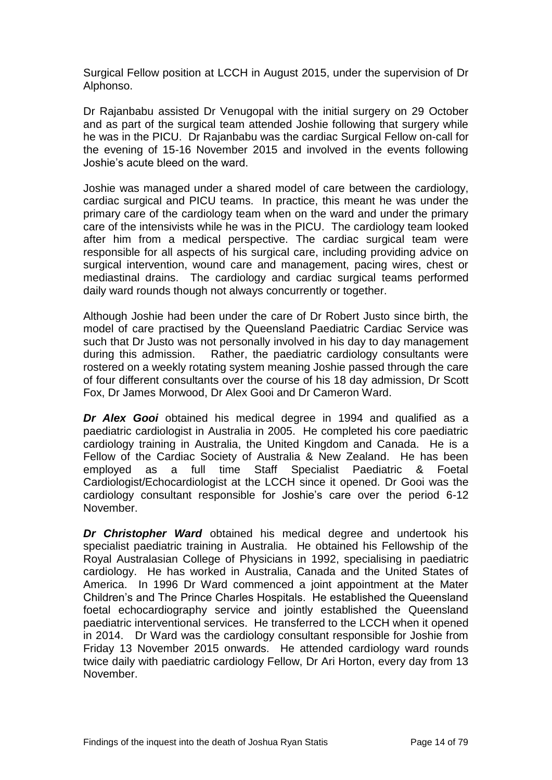Surgical Fellow position at LCCH in August 2015, under the supervision of Dr Alphonso.

Dr Rajanbabu assisted Dr Venugopal with the initial surgery on 29 October and as part of the surgical team attended Joshie following that surgery while he was in the PICU. Dr Rajanbabu was the cardiac Surgical Fellow on-call for the evening of 15-16 November 2015 and involved in the events following Joshie's acute bleed on the ward.

Joshie was managed under a shared model of care between the cardiology, cardiac surgical and PICU teams. In practice, this meant he was under the primary care of the cardiology team when on the ward and under the primary care of the intensivists while he was in the PICU. The cardiology team looked after him from a medical perspective. The cardiac surgical team were responsible for all aspects of his surgical care, including providing advice on surgical intervention, wound care and management, pacing wires, chest or mediastinal drains. The cardiology and cardiac surgical teams performed daily ward rounds though not always concurrently or together.

Although Joshie had been under the care of Dr Robert Justo since birth, the model of care practised by the Queensland Paediatric Cardiac Service was such that Dr Justo was not personally involved in his day to day management during this admission. Rather, the paediatric cardiology consultants were rostered on a weekly rotating system meaning Joshie passed through the care of four different consultants over the course of his 18 day admission, Dr Scott Fox, Dr James Morwood, Dr Alex Gooi and Dr Cameron Ward.

*Dr Alex Gooi* obtained his medical degree in 1994 and qualified as a paediatric cardiologist in Australia in 2005. He completed his core paediatric cardiology training in Australia, the United Kingdom and Canada. He is a Fellow of the Cardiac Society of Australia & New Zealand. He has been employed as a full time Staff Specialist Paediatric & Foetal Cardiologist/Echocardiologist at the LCCH since it opened. Dr Gooi was the cardiology consultant responsible for Joshie's care over the period 6-12 November.

*Dr Christopher Ward* obtained his medical degree and undertook his specialist paediatric training in Australia. He obtained his Fellowship of the Royal Australasian College of Physicians in 1992, specialising in paediatric cardiology. He has worked in Australia, Canada and the United States of America. In 1996 Dr Ward commenced a joint appointment at the Mater Children's and The Prince Charles Hospitals. He established the Queensland foetal echocardiography service and jointly established the Queensland paediatric interventional services. He transferred to the LCCH when it opened in 2014. Dr Ward was the cardiology consultant responsible for Joshie from Friday 13 November 2015 onwards. He attended cardiology ward rounds twice daily with paediatric cardiology Fellow, Dr Ari Horton, every day from 13 November.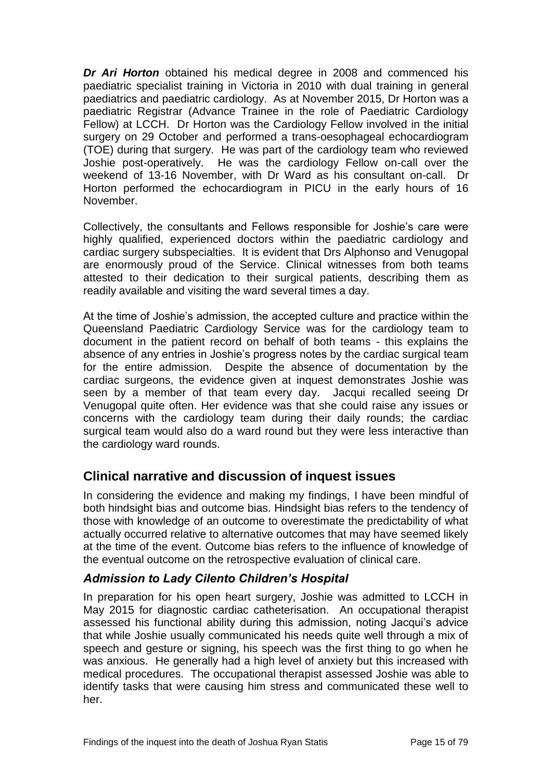*Dr Ari Horton* obtained his medical degree in 2008 and commenced his paediatric specialist training in Victoria in 2010 with dual training in general paediatrics and paediatric cardiology. As at November 2015, Dr Horton was a paediatric Registrar (Advance Trainee in the role of Paediatric Cardiology Fellow) at LCCH. Dr Horton was the Cardiology Fellow involved in the initial surgery on 29 October and performed a trans-oesophageal echocardiogram (TOE) during that surgery. He was part of the cardiology team who reviewed Joshie post-operatively. He was the cardiology Fellow on-call over the weekend of 13-16 November, with Dr Ward as his consultant on-call. Dr Horton performed the echocardiogram in PICU in the early hours of 16 November.

Collectively, the consultants and Fellows responsible for Joshie's care were highly qualified, experienced doctors within the paediatric cardiology and cardiac surgery subspecialties. It is evident that Drs Alphonso and Venugopal are enormously proud of the Service. Clinical witnesses from both teams attested to their dedication to their surgical patients, describing them as readily available and visiting the ward several times a day.

At the time of Joshie's admission, the accepted culture and practice within the Queensland Paediatric Cardiology Service was for the cardiology team to document in the patient record on behalf of both teams - this explains the absence of any entries in Joshie's progress notes by the cardiac surgical team for the entire admission. Despite the absence of documentation by the cardiac surgeons, the evidence given at inquest demonstrates Joshie was seen by a member of that team every day. Jacqui recalled seeing Dr Venugopal quite often. Her evidence was that she could raise any issues or concerns with the cardiology team during their daily rounds; the cardiac surgical team would also do a ward round but they were less interactive than the cardiology ward rounds.

## <span id="page-17-0"></span>**Clinical narrative and discussion of inquest issues**

In considering the evidence and making my findings, I have been mindful of both hindsight bias and outcome bias. Hindsight bias refers to the tendency of those with knowledge of an outcome to overestimate the predictability of what actually occurred relative to alternative outcomes that may have seemed likely at the time of the event. Outcome bias refers to the influence of knowledge of the eventual outcome on the retrospective evaluation of clinical care.

### <span id="page-17-1"></span>*Admission to Lady Cilento Children's Hospital*

In preparation for his open heart surgery, Joshie was admitted to LCCH in May 2015 for diagnostic cardiac catheterisation. An occupational therapist assessed his functional ability during this admission, noting Jacqui's advice that while Joshie usually communicated his needs quite well through a mix of speech and gesture or signing, his speech was the first thing to go when he was anxious. He generally had a high level of anxiety but this increased with medical procedures. The occupational therapist assessed Joshie was able to identify tasks that were causing him stress and communicated these well to her.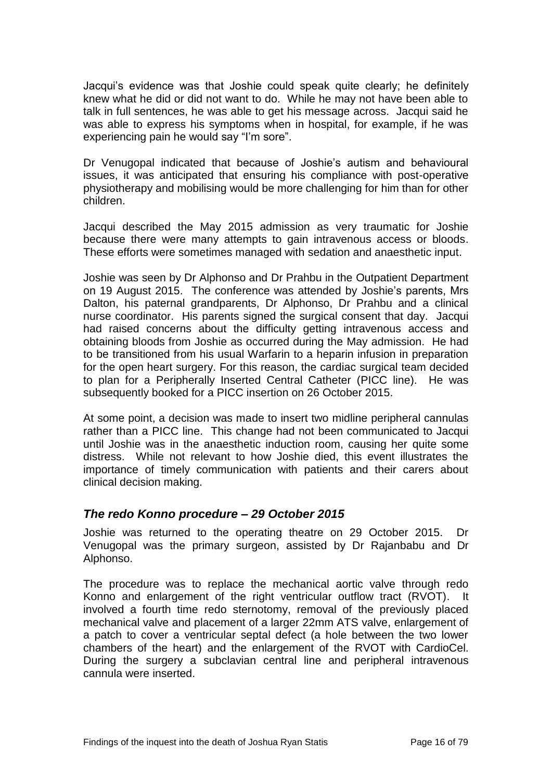Jacqui's evidence was that Joshie could speak quite clearly; he definitely knew what he did or did not want to do. While he may not have been able to talk in full sentences, he was able to get his message across. Jacqui said he was able to express his symptoms when in hospital, for example, if he was experiencing pain he would say "I'm sore".

Dr Venugopal indicated that because of Joshie's autism and behavioural issues, it was anticipated that ensuring his compliance with post-operative physiotherapy and mobilising would be more challenging for him than for other children.

Jacqui described the May 2015 admission as very traumatic for Joshie because there were many attempts to gain intravenous access or bloods. These efforts were sometimes managed with sedation and anaesthetic input.

Joshie was seen by Dr Alphonso and Dr Prahbu in the Outpatient Department on 19 August 2015. The conference was attended by Joshie's parents, Mrs Dalton, his paternal grandparents, Dr Alphonso, Dr Prahbu and a clinical nurse coordinator. His parents signed the surgical consent that day. Jacqui had raised concerns about the difficulty getting intravenous access and obtaining bloods from Joshie as occurred during the May admission. He had to be transitioned from his usual Warfarin to a heparin infusion in preparation for the open heart surgery. For this reason, the cardiac surgical team decided to plan for a Peripherally Inserted Central Catheter (PICC line). He was subsequently booked for a PICC insertion on 26 October 2015.

At some point, a decision was made to insert two midline peripheral cannulas rather than a PICC line. This change had not been communicated to Jacqui until Joshie was in the anaesthetic induction room, causing her quite some distress. While not relevant to how Joshie died, this event illustrates the importance of timely communication with patients and their carers about clinical decision making.

### <span id="page-18-0"></span>*The redo Konno procedure – 29 October 2015*

Joshie was returned to the operating theatre on 29 October 2015. Dr Venugopal was the primary surgeon, assisted by Dr Rajanbabu and Dr Alphonso.

The procedure was to replace the mechanical aortic valve through redo Konno and enlargement of the right ventricular outflow tract (RVOT). It involved a fourth time redo sternotomy, removal of the previously placed mechanical valve and placement of a larger 22mm ATS valve, enlargement of a patch to cover a ventricular septal defect (a hole between the two lower chambers of the heart) and the enlargement of the RVOT with CardioCel. During the surgery a subclavian central line and peripheral intravenous cannula were inserted.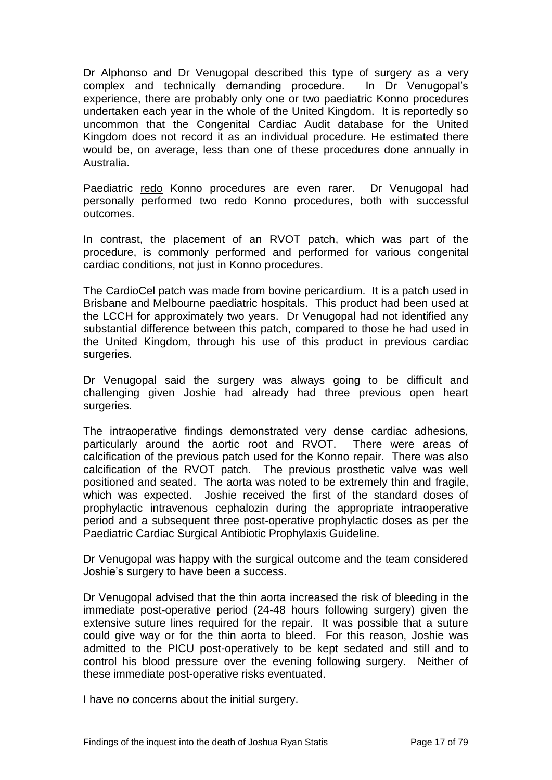Dr Alphonso and Dr Venugopal described this type of surgery as a very complex and technically demanding procedure. In Dr Venugopal's experience, there are probably only one or two paediatric Konno procedures undertaken each year in the whole of the United Kingdom. It is reportedly so uncommon that the Congenital Cardiac Audit database for the United Kingdom does not record it as an individual procedure. He estimated there would be, on average, less than one of these procedures done annually in Australia.

Paediatric redo Konno procedures are even rarer. Dr Venugopal had personally performed two redo Konno procedures, both with successful outcomes.

In contrast, the placement of an RVOT patch, which was part of the procedure, is commonly performed and performed for various congenital cardiac conditions, not just in Konno procedures.

The CardioCel patch was made from bovine pericardium. It is a patch used in Brisbane and Melbourne paediatric hospitals. This product had been used at the LCCH for approximately two years. Dr Venugopal had not identified any substantial difference between this patch, compared to those he had used in the United Kingdom, through his use of this product in previous cardiac surgeries.

Dr Venugopal said the surgery was always going to be difficult and challenging given Joshie had already had three previous open heart surgeries.

The intraoperative findings demonstrated very dense cardiac adhesions, particularly around the aortic root and RVOT. There were areas of calcification of the previous patch used for the Konno repair. There was also calcification of the RVOT patch. The previous prosthetic valve was well positioned and seated. The aorta was noted to be extremely thin and fragile, which was expected. Joshie received the first of the standard doses of prophylactic intravenous cephalozin during the appropriate intraoperative period and a subsequent three post-operative prophylactic doses as per the Paediatric Cardiac Surgical Antibiotic Prophylaxis Guideline.

Dr Venugopal was happy with the surgical outcome and the team considered Joshie's surgery to have been a success.

Dr Venugopal advised that the thin aorta increased the risk of bleeding in the immediate post-operative period (24-48 hours following surgery) given the extensive suture lines required for the repair. It was possible that a suture could give way or for the thin aorta to bleed. For this reason, Joshie was admitted to the PICU post-operatively to be kept sedated and still and to control his blood pressure over the evening following surgery. Neither of these immediate post-operative risks eventuated.

I have no concerns about the initial surgery.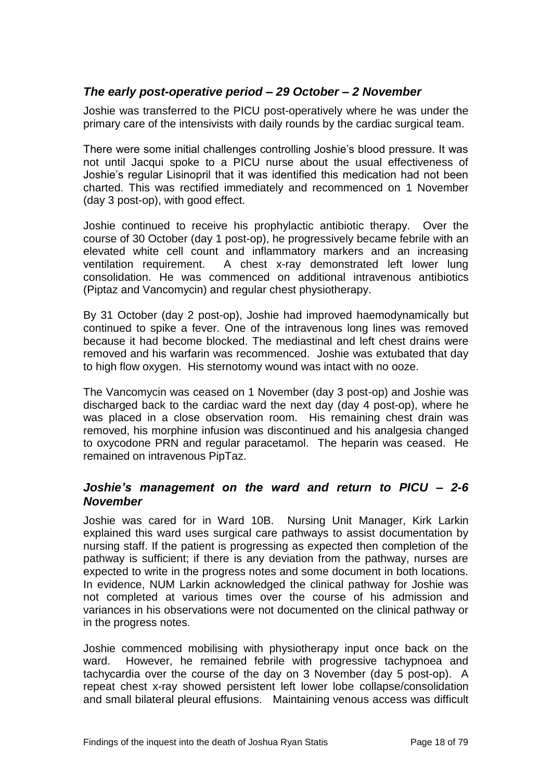## <span id="page-20-0"></span>*The early post-operative period – 29 October – 2 November*

Joshie was transferred to the PICU post-operatively where he was under the primary care of the intensivists with daily rounds by the cardiac surgical team.

There were some initial challenges controlling Joshie's blood pressure. It was not until Jacqui spoke to a PICU nurse about the usual effectiveness of Joshie's regular Lisinopril that it was identified this medication had not been charted. This was rectified immediately and recommenced on 1 November (day 3 post-op), with good effect.

Joshie continued to receive his prophylactic antibiotic therapy. Over the course of 30 October (day 1 post-op), he progressively became febrile with an elevated white cell count and inflammatory markers and an increasing ventilation requirement. A chest x-ray demonstrated left lower lung consolidation. He was commenced on additional intravenous antibiotics (Piptaz and Vancomycin) and regular chest physiotherapy.

By 31 October (day 2 post-op), Joshie had improved haemodynamically but continued to spike a fever. One of the intravenous long lines was removed because it had become blocked. The mediastinal and left chest drains were removed and his warfarin was recommenced. Joshie was extubated that day to high flow oxygen. His sternotomy wound was intact with no ooze.

The Vancomycin was ceased on 1 November (day 3 post-op) and Joshie was discharged back to the cardiac ward the next day (day 4 post-op), where he was placed in a close observation room. His remaining chest drain was removed, his morphine infusion was discontinued and his analgesia changed to oxycodone PRN and regular paracetamol. The heparin was ceased. He remained on intravenous PipTaz.

### <span id="page-20-1"></span>*Joshie's management on the ward and return to PICU – 2-6 November*

Joshie was cared for in Ward 10B. Nursing Unit Manager, Kirk Larkin explained this ward uses surgical care pathways to assist documentation by nursing staff. If the patient is progressing as expected then completion of the pathway is sufficient; if there is any deviation from the pathway, nurses are expected to write in the progress notes and some document in both locations. In evidence, NUM Larkin acknowledged the clinical pathway for Joshie was not completed at various times over the course of his admission and variances in his observations were not documented on the clinical pathway or in the progress notes.

Joshie commenced mobilising with physiotherapy input once back on the ward. However, he remained febrile with progressive tachypnoea and tachycardia over the course of the day on 3 November (day 5 post-op). A repeat chest x-ray showed persistent left lower lobe collapse/consolidation and small bilateral pleural effusions. Maintaining venous access was difficult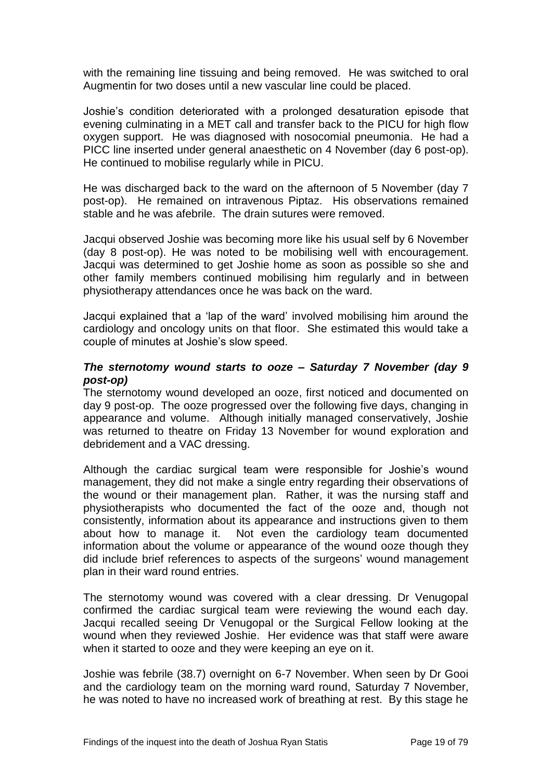with the remaining line tissuing and being removed. He was switched to oral Augmentin for two doses until a new vascular line could be placed.

Joshie's condition deteriorated with a prolonged desaturation episode that evening culminating in a MET call and transfer back to the PICU for high flow oxygen support. He was diagnosed with nosocomial pneumonia. He had a PICC line inserted under general anaesthetic on 4 November (day 6 post-op). He continued to mobilise regularly while in PICU.

He was discharged back to the ward on the afternoon of 5 November (day 7 post-op). He remained on intravenous Piptaz. His observations remained stable and he was afebrile. The drain sutures were removed.

Jacqui observed Joshie was becoming more like his usual self by 6 November (day 8 post-op). He was noted to be mobilising well with encouragement. Jacqui was determined to get Joshie home as soon as possible so she and other family members continued mobilising him regularly and in between physiotherapy attendances once he was back on the ward.

Jacqui explained that a 'lap of the ward' involved mobilising him around the cardiology and oncology units on that floor. She estimated this would take a couple of minutes at Joshie's slow speed.

#### *The sternotomy wound starts to ooze – Saturday 7 November (day 9 post-op)*

The sternotomy wound developed an ooze, first noticed and documented on day 9 post-op. The ooze progressed over the following five days, changing in appearance and volume. Although initially managed conservatively, Joshie was returned to theatre on Friday 13 November for wound exploration and debridement and a VAC dressing.

Although the cardiac surgical team were responsible for Joshie's wound management, they did not make a single entry regarding their observations of the wound or their management plan. Rather, it was the nursing staff and physiotherapists who documented the fact of the ooze and, though not consistently, information about its appearance and instructions given to them about how to manage it. Not even the cardiology team documented information about the volume or appearance of the wound ooze though they did include brief references to aspects of the surgeons' wound management plan in their ward round entries.

The sternotomy wound was covered with a clear dressing. Dr Venugopal confirmed the cardiac surgical team were reviewing the wound each day. Jacqui recalled seeing Dr Venugopal or the Surgical Fellow looking at the wound when they reviewed Joshie. Her evidence was that staff were aware when it started to ooze and they were keeping an eye on it.

Joshie was febrile (38.7) overnight on 6-7 November. When seen by Dr Gooi and the cardiology team on the morning ward round, Saturday 7 November, he was noted to have no increased work of breathing at rest. By this stage he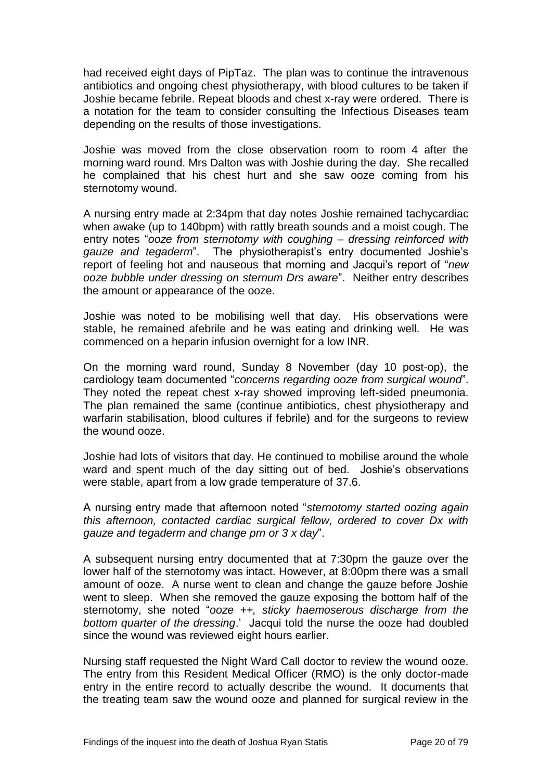had received eight days of PipTaz. The plan was to continue the intravenous antibiotics and ongoing chest physiotherapy, with blood cultures to be taken if Joshie became febrile. Repeat bloods and chest x-ray were ordered. There is a notation for the team to consider consulting the Infectious Diseases team depending on the results of those investigations.

Joshie was moved from the close observation room to room 4 after the morning ward round. Mrs Dalton was with Joshie during the day. She recalled he complained that his chest hurt and she saw ooze coming from his sternotomy wound.

A nursing entry made at 2:34pm that day notes Joshie remained tachycardiac when awake (up to 140bpm) with rattly breath sounds and a moist cough. The entry notes "*ooze from sternotomy with coughing – dressing reinforced with gauze and tegaderm*". The physiotherapist's entry documented Joshie's report of feeling hot and nauseous that morning and Jacqui's report of "*new ooze bubble under dressing on sternum Drs aware*". Neither entry describes the amount or appearance of the ooze.

Joshie was noted to be mobilising well that day. His observations were stable, he remained afebrile and he was eating and drinking well. He was commenced on a heparin infusion overnight for a low INR.

On the morning ward round, Sunday 8 November (day 10 post-op), the cardiology team documented "*concerns regarding ooze from surgical wound*". They noted the repeat chest x-ray showed improving left-sided pneumonia. The plan remained the same (continue antibiotics, chest physiotherapy and warfarin stabilisation, blood cultures if febrile) and for the surgeons to review the wound ooze.

Joshie had lots of visitors that day. He continued to mobilise around the whole ward and spent much of the day sitting out of bed. Joshie's observations were stable, apart from a low grade temperature of 37.6.

A nursing entry made that afternoon noted "*sternotomy started oozing again this afternoon, contacted cardiac surgical fellow, ordered to cover Dx with gauze and tegaderm and change prn or 3 x day*".

A subsequent nursing entry documented that at 7:30pm the gauze over the lower half of the sternotomy was intact. However, at 8:00pm there was a small amount of ooze. A nurse went to clean and change the gauze before Joshie went to sleep. When she removed the gauze exposing the bottom half of the sternotomy, she noted "*ooze ++, sticky haemoserous discharge from the bottom quarter of the dressing*.' Jacqui told the nurse the ooze had doubled since the wound was reviewed eight hours earlier.

Nursing staff requested the Night Ward Call doctor to review the wound ooze. The entry from this Resident Medical Officer (RMO) is the only doctor-made entry in the entire record to actually describe the wound. It documents that the treating team saw the wound ooze and planned for surgical review in the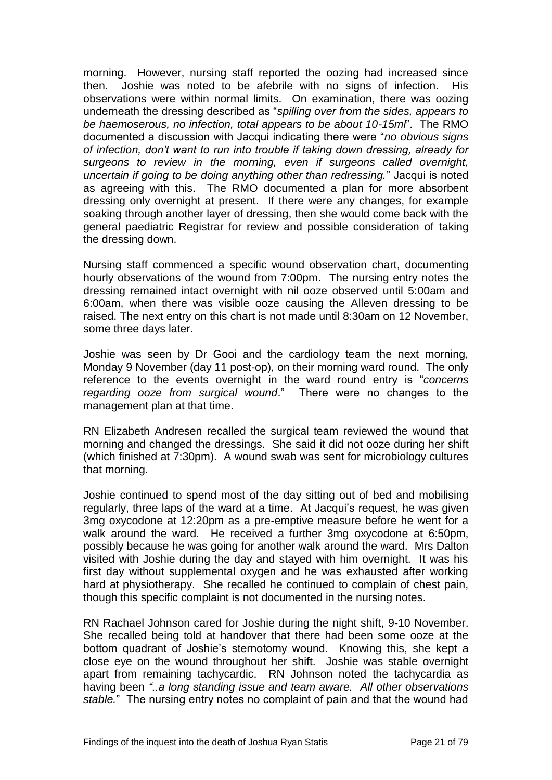morning. However, nursing staff reported the oozing had increased since then. Joshie was noted to be afebrile with no signs of infection. His observations were within normal limits. On examination, there was oozing underneath the dressing described as "*spilling over from the sides, appears to be haemoserous, no infection, total appears to be about 10-15ml*". The RMO documented a discussion with Jacqui indicating there were "*no obvious signs of infection, don't want to run into trouble if taking down dressing, already for surgeons to review in the morning, even if surgeons called overnight, uncertain if going to be doing anything other than redressing.*" Jacqui is noted as agreeing with this. The RMO documented a plan for more absorbent dressing only overnight at present. If there were any changes, for example soaking through another layer of dressing, then she would come back with the general paediatric Registrar for review and possible consideration of taking the dressing down.

Nursing staff commenced a specific wound observation chart, documenting hourly observations of the wound from 7:00pm. The nursing entry notes the dressing remained intact overnight with nil ooze observed until 5:00am and 6:00am, when there was visible ooze causing the Alleven dressing to be raised. The next entry on this chart is not made until 8:30am on 12 November, some three days later.

Joshie was seen by Dr Gooi and the cardiology team the next morning, Monday 9 November (day 11 post-op), on their morning ward round. The only reference to the events overnight in the ward round entry is "*concerns regarding ooze from surgical wound*." There were no changes to the management plan at that time.

RN Elizabeth Andresen recalled the surgical team reviewed the wound that morning and changed the dressings. She said it did not ooze during her shift (which finished at 7:30pm). A wound swab was sent for microbiology cultures that morning.

Joshie continued to spend most of the day sitting out of bed and mobilising regularly, three laps of the ward at a time. At Jacqui's request, he was given 3mg oxycodone at 12:20pm as a pre-emptive measure before he went for a walk around the ward. He received a further 3mg oxycodone at 6:50pm, possibly because he was going for another walk around the ward. Mrs Dalton visited with Joshie during the day and stayed with him overnight. It was his first day without supplemental oxygen and he was exhausted after working hard at physiotherapy. She recalled he continued to complain of chest pain, though this specific complaint is not documented in the nursing notes.

RN Rachael Johnson cared for Joshie during the night shift, 9-10 November. She recalled being told at handover that there had been some ooze at the bottom quadrant of Joshie's sternotomy wound. Knowing this, she kept a close eye on the wound throughout her shift. Joshie was stable overnight apart from remaining tachycardic. RN Johnson noted the tachycardia as having been *"..a long standing issue and team aware. All other observations stable.*" The nursing entry notes no complaint of pain and that the wound had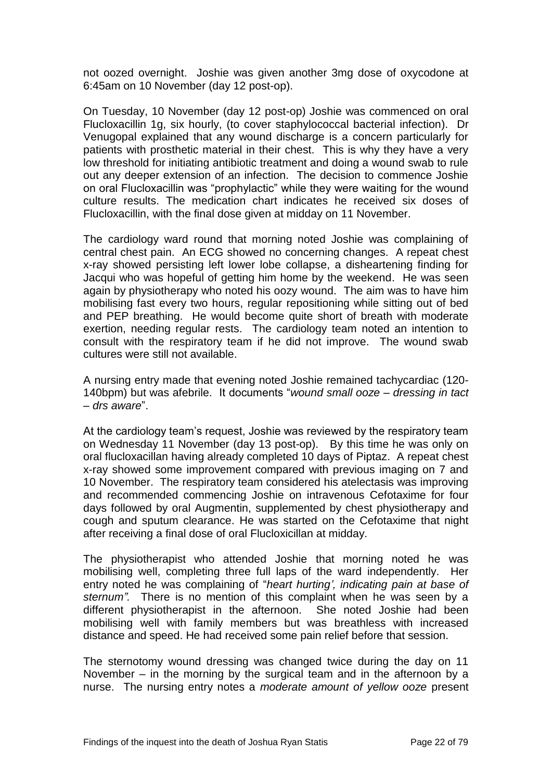not oozed overnight. Joshie was given another 3mg dose of oxycodone at 6:45am on 10 November (day 12 post-op).

On Tuesday, 10 November (day 12 post-op) Joshie was commenced on oral Flucloxacillin 1g, six hourly, (to cover staphylococcal bacterial infection). Dr Venugopal explained that any wound discharge is a concern particularly for patients with prosthetic material in their chest. This is why they have a very low threshold for initiating antibiotic treatment and doing a wound swab to rule out any deeper extension of an infection. The decision to commence Joshie on oral Flucloxacillin was "prophylactic" while they were waiting for the wound culture results. The medication chart indicates he received six doses of Flucloxacillin, with the final dose given at midday on 11 November.

The cardiology ward round that morning noted Joshie was complaining of central chest pain. An ECG showed no concerning changes. A repeat chest x-ray showed persisting left lower lobe collapse, a disheartening finding for Jacqui who was hopeful of getting him home by the weekend. He was seen again by physiotherapy who noted his oozy wound. The aim was to have him mobilising fast every two hours, regular repositioning while sitting out of bed and PEP breathing. He would become quite short of breath with moderate exertion, needing regular rests. The cardiology team noted an intention to consult with the respiratory team if he did not improve. The wound swab cultures were still not available.

A nursing entry made that evening noted Joshie remained tachycardiac (120- 140bpm) but was afebrile. It documents "*wound small ooze – dressing in tact – drs aware*".

At the cardiology team's request, Joshie was reviewed by the respiratory team on Wednesday 11 November (day 13 post-op). By this time he was only on oral flucloxacillan having already completed 10 days of Piptaz. A repeat chest x-ray showed some improvement compared with previous imaging on 7 and 10 November. The respiratory team considered his atelectasis was improving and recommended commencing Joshie on intravenous Cefotaxime for four days followed by oral Augmentin, supplemented by chest physiotherapy and cough and sputum clearance. He was started on the Cefotaxime that night after receiving a final dose of oral Flucloxicillan at midday.

The physiotherapist who attended Joshie that morning noted he was mobilising well, completing three full laps of the ward independently. Her entry noted he was complaining of "*heart hurting', indicating pain at base of sternum".* There is no mention of this complaint when he was seen by a different physiotherapist in the afternoon. She noted Joshie had been mobilising well with family members but was breathless with increased distance and speed. He had received some pain relief before that session.

The sternotomy wound dressing was changed twice during the day on 11 November – in the morning by the surgical team and in the afternoon by a nurse. The nursing entry notes a *moderate amount of yellow ooze* present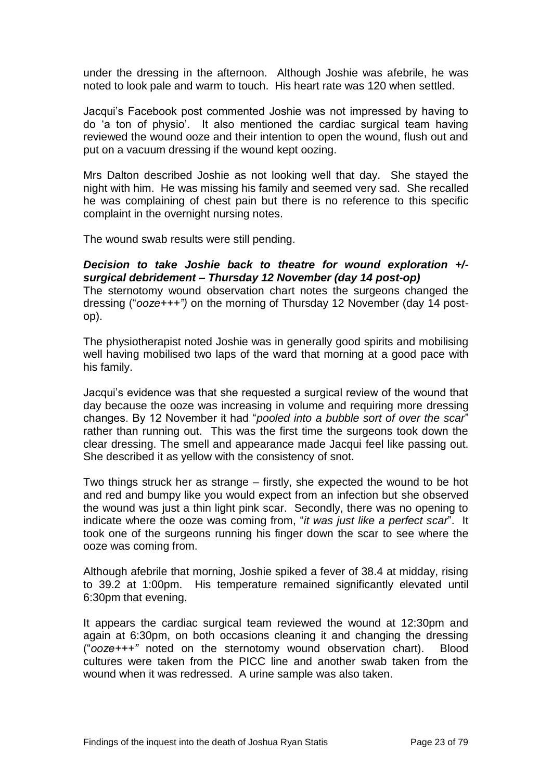under the dressing in the afternoon. Although Joshie was afebrile, he was noted to look pale and warm to touch. His heart rate was 120 when settled.

Jacqui's Facebook post commented Joshie was not impressed by having to do 'a ton of physio'. It also mentioned the cardiac surgical team having reviewed the wound ooze and their intention to open the wound, flush out and put on a vacuum dressing if the wound kept oozing.

Mrs Dalton described Joshie as not looking well that day. She stayed the night with him. He was missing his family and seemed very sad. She recalled he was complaining of chest pain but there is no reference to this specific complaint in the overnight nursing notes.

The wound swab results were still pending.

## *Decision to take Joshie back to theatre for wound exploration +/ surgical debridement – Thursday 12 November (day 14 post-op)*

The sternotomy wound observation chart notes the surgeons changed the dressing ("*ooze+++")* on the morning of Thursday 12 November (day 14 postop).

The physiotherapist noted Joshie was in generally good spirits and mobilising well having mobilised two laps of the ward that morning at a good pace with his family.

Jacqui's evidence was that she requested a surgical review of the wound that day because the ooze was increasing in volume and requiring more dressing changes. By 12 November it had "*pooled into a bubble sort of over the scar*" rather than running out. This was the first time the surgeons took down the clear dressing. The smell and appearance made Jacqui feel like passing out. She described it as yellow with the consistency of snot.

Two things struck her as strange – firstly, she expected the wound to be hot and red and bumpy like you would expect from an infection but she observed the wound was just a thin light pink scar. Secondly, there was no opening to indicate where the ooze was coming from, "*it was just like a perfect scar*". It took one of the surgeons running his finger down the scar to see where the ooze was coming from.

Although afebrile that morning, Joshie spiked a fever of 38.4 at midday, rising to 39.2 at 1:00pm. His temperature remained significantly elevated until 6:30pm that evening.

It appears the cardiac surgical team reviewed the wound at 12:30pm and again at 6:30pm, on both occasions cleaning it and changing the dressing ("*ooze+++"* noted on the sternotomy wound observation chart). Blood cultures were taken from the PICC line and another swab taken from the wound when it was redressed. A urine sample was also taken.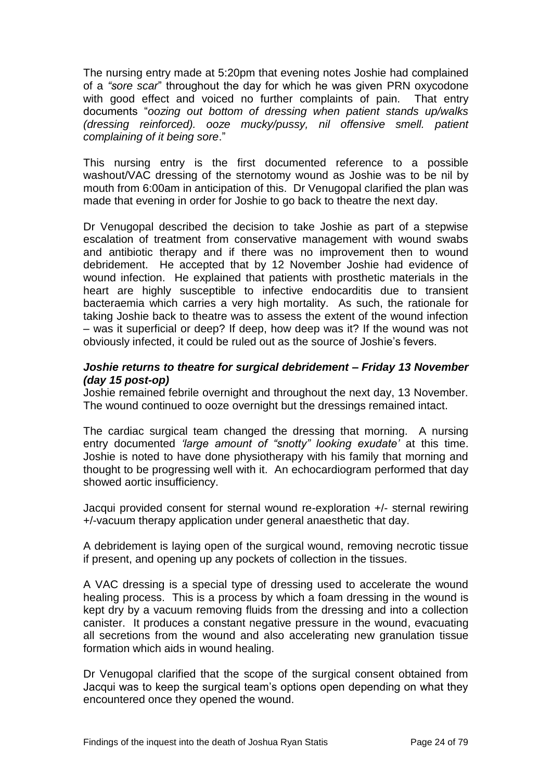The nursing entry made at 5:20pm that evening notes Joshie had complained of a *"sore scar*" throughout the day for which he was given PRN oxycodone with good effect and voiced no further complaints of pain. That entry documents "*oozing out bottom of dressing when patient stands up/walks (dressing reinforced). ooze mucky/pussy, nil offensive smell. patient complaining of it being sore*."

This nursing entry is the first documented reference to a possible washout/VAC dressing of the sternotomy wound as Joshie was to be nil by mouth from 6:00am in anticipation of this. Dr Venugopal clarified the plan was made that evening in order for Joshie to go back to theatre the next day.

Dr Venugopal described the decision to take Joshie as part of a stepwise escalation of treatment from conservative management with wound swabs and antibiotic therapy and if there was no improvement then to wound debridement. He accepted that by 12 November Joshie had evidence of wound infection. He explained that patients with prosthetic materials in the heart are highly susceptible to infective endocarditis due to transient bacteraemia which carries a very high mortality. As such, the rationale for taking Joshie back to theatre was to assess the extent of the wound infection – was it superficial or deep? If deep, how deep was it? If the wound was not obviously infected, it could be ruled out as the source of Joshie's fevers.

#### *Joshie returns to theatre for surgical debridement – Friday 13 November (day 15 post-op)*

Joshie remained febrile overnight and throughout the next day, 13 November. The wound continued to ooze overnight but the dressings remained intact.

The cardiac surgical team changed the dressing that morning. A nursing entry documented *'large amount of "snotty" looking exudate'* at this time. Joshie is noted to have done physiotherapy with his family that morning and thought to be progressing well with it. An echocardiogram performed that day showed aortic insufficiency.

Jacqui provided consent for sternal wound re-exploration +/- sternal rewiring +/-vacuum therapy application under general anaesthetic that day.

A debridement is laying open of the surgical wound, removing necrotic tissue if present, and opening up any pockets of collection in the tissues.

A VAC dressing is a special type of dressing used to accelerate the wound healing process. This is a process by which a foam dressing in the wound is kept dry by a vacuum removing fluids from the dressing and into a collection canister. It produces a constant negative pressure in the wound, evacuating all secretions from the wound and also accelerating new granulation tissue formation which aids in wound healing.

Dr Venugopal clarified that the scope of the surgical consent obtained from Jacqui was to keep the surgical team's options open depending on what they encountered once they opened the wound.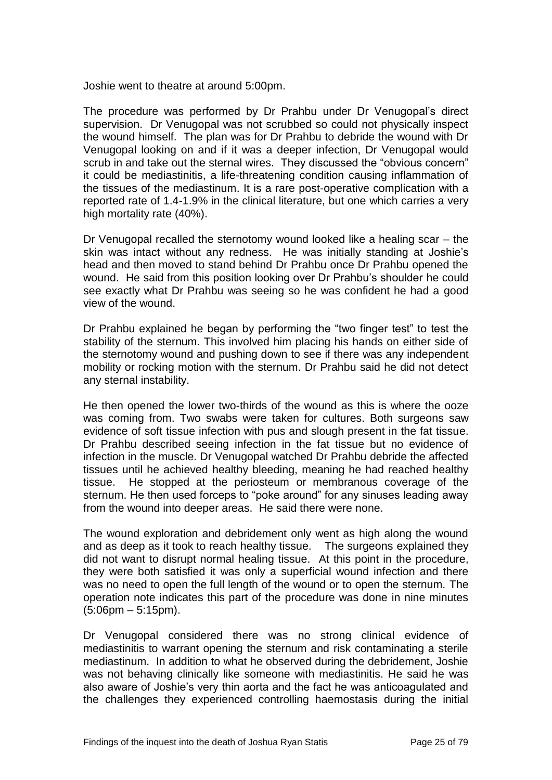Joshie went to theatre at around 5:00pm.

The procedure was performed by Dr Prahbu under Dr Venugopal's direct supervision. Dr Venugopal was not scrubbed so could not physically inspect the wound himself. The plan was for Dr Prahbu to debride the wound with Dr Venugopal looking on and if it was a deeper infection, Dr Venugopal would scrub in and take out the sternal wires. They discussed the "obvious concern" it could be mediastinitis, a life-threatening condition causing inflammation of the tissues of the mediastinum. It is a rare post-operative complication with a reported rate of 1.4-1.9% in the clinical literature, but one which carries a very high mortality rate (40%).

Dr Venugopal recalled the sternotomy wound looked like a healing scar – the skin was intact without any redness. He was initially standing at Joshie's head and then moved to stand behind Dr Prahbu once Dr Prahbu opened the wound. He said from this position looking over Dr Prahbu's shoulder he could see exactly what Dr Prahbu was seeing so he was confident he had a good view of the wound.

Dr Prahbu explained he began by performing the "two finger test" to test the stability of the sternum. This involved him placing his hands on either side of the sternotomy wound and pushing down to see if there was any independent mobility or rocking motion with the sternum. Dr Prahbu said he did not detect any sternal instability.

He then opened the lower two-thirds of the wound as this is where the ooze was coming from. Two swabs were taken for cultures. Both surgeons saw evidence of soft tissue infection with pus and slough present in the fat tissue. Dr Prahbu described seeing infection in the fat tissue but no evidence of infection in the muscle. Dr Venugopal watched Dr Prahbu debride the affected tissues until he achieved healthy bleeding, meaning he had reached healthy tissue. He stopped at the periosteum or membranous coverage of the sternum. He then used forceps to "poke around" for any sinuses leading away from the wound into deeper areas. He said there were none.

The wound exploration and debridement only went as high along the wound and as deep as it took to reach healthy tissue. The surgeons explained they did not want to disrupt normal healing tissue. At this point in the procedure, they were both satisfied it was only a superficial wound infection and there was no need to open the full length of the wound or to open the sternum. The operation note indicates this part of the procedure was done in nine minutes (5:06pm – 5:15pm).

Dr Venugopal considered there was no strong clinical evidence of mediastinitis to warrant opening the sternum and risk contaminating a sterile mediastinum. In addition to what he observed during the debridement, Joshie was not behaving clinically like someone with mediastinitis. He said he was also aware of Joshie's very thin aorta and the fact he was anticoagulated and the challenges they experienced controlling haemostasis during the initial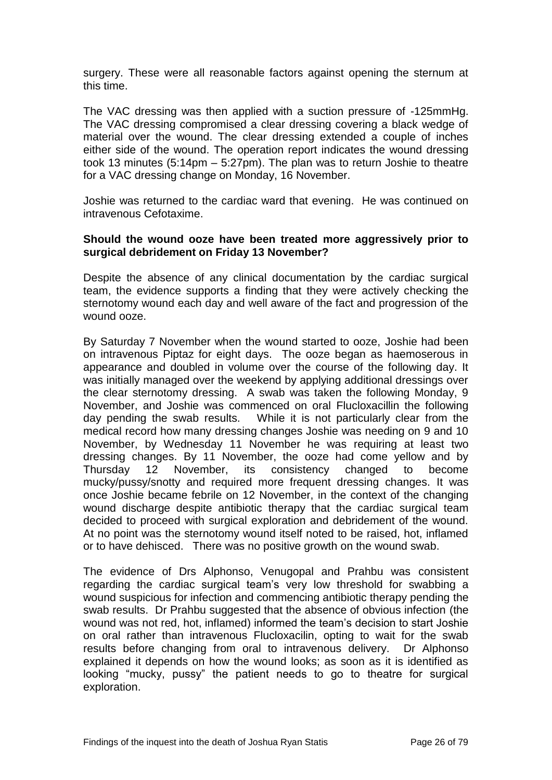surgery. These were all reasonable factors against opening the sternum at this time.

The VAC dressing was then applied with a suction pressure of -125mmHg. The VAC dressing compromised a clear dressing covering a black wedge of material over the wound. The clear dressing extended a couple of inches either side of the wound. The operation report indicates the wound dressing took 13 minutes (5:14pm – 5:27pm). The plan was to return Joshie to theatre for a VAC dressing change on Monday, 16 November.

Joshie was returned to the cardiac ward that evening. He was continued on intravenous Cefotaxime.

#### **Should the wound ooze have been treated more aggressively prior to surgical debridement on Friday 13 November?**

Despite the absence of any clinical documentation by the cardiac surgical team, the evidence supports a finding that they were actively checking the sternotomy wound each day and well aware of the fact and progression of the wound ooze.

By Saturday 7 November when the wound started to ooze, Joshie had been on intravenous Piptaz for eight days. The ooze began as haemoserous in appearance and doubled in volume over the course of the following day. It was initially managed over the weekend by applying additional dressings over the clear sternotomy dressing. A swab was taken the following Monday, 9 November, and Joshie was commenced on oral Flucloxacillin the following day pending the swab results. While it is not particularly clear from the medical record how many dressing changes Joshie was needing on 9 and 10 November, by Wednesday 11 November he was requiring at least two dressing changes. By 11 November, the ooze had come yellow and by Thursday 12 November, its consistency changed to become mucky/pussy/snotty and required more frequent dressing changes. It was once Joshie became febrile on 12 November, in the context of the changing wound discharge despite antibiotic therapy that the cardiac surgical team decided to proceed with surgical exploration and debridement of the wound. At no point was the sternotomy wound itself noted to be raised, hot, inflamed or to have dehisced. There was no positive growth on the wound swab.

The evidence of Drs Alphonso, Venugopal and Prahbu was consistent regarding the cardiac surgical team's very low threshold for swabbing a wound suspicious for infection and commencing antibiotic therapy pending the swab results. Dr Prahbu suggested that the absence of obvious infection (the wound was not red, hot, inflamed) informed the team's decision to start Joshie on oral rather than intravenous Flucloxacilin, opting to wait for the swab results before changing from oral to intravenous delivery. Dr Alphonso explained it depends on how the wound looks; as soon as it is identified as looking "mucky, pussy" the patient needs to go to theatre for surgical exploration.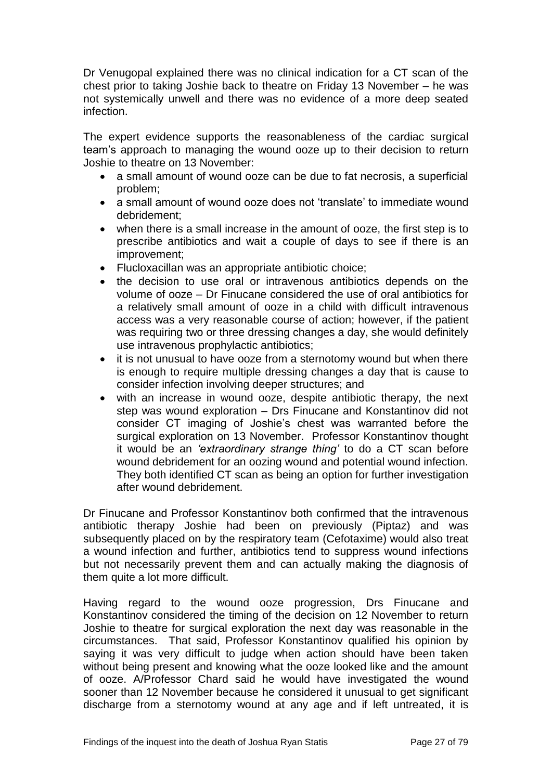Dr Venugopal explained there was no clinical indication for a CT scan of the chest prior to taking Joshie back to theatre on Friday 13 November – he was not systemically unwell and there was no evidence of a more deep seated infection.

The expert evidence supports the reasonableness of the cardiac surgical team's approach to managing the wound ooze up to their decision to return Joshie to theatre on 13 November:

- a small amount of wound ooze can be due to fat necrosis, a superficial problem;
- a small amount of wound ooze does not 'translate' to immediate wound debridement;
- when there is a small increase in the amount of ooze, the first step is to prescribe antibiotics and wait a couple of days to see if there is an improvement;
- Flucloxacillan was an appropriate antibiotic choice;
- the decision to use oral or intravenous antibiotics depends on the volume of ooze – Dr Finucane considered the use of oral antibiotics for a relatively small amount of ooze in a child with difficult intravenous access was a very reasonable course of action; however, if the patient was requiring two or three dressing changes a day, she would definitely use intravenous prophylactic antibiotics;
- it is not unusual to have ooze from a sternotomy wound but when there is enough to require multiple dressing changes a day that is cause to consider infection involving deeper structures; and
- with an increase in wound ooze, despite antibiotic therapy, the next step was wound exploration – Drs Finucane and Konstantinov did not consider CT imaging of Joshie's chest was warranted before the surgical exploration on 13 November. Professor Konstantinov thought it would be an *'extraordinary strange thing'* to do a CT scan before wound debridement for an oozing wound and potential wound infection. They both identified CT scan as being an option for further investigation after wound debridement.

Dr Finucane and Professor Konstantinov both confirmed that the intravenous antibiotic therapy Joshie had been on previously (Piptaz) and was subsequently placed on by the respiratory team (Cefotaxime) would also treat a wound infection and further, antibiotics tend to suppress wound infections but not necessarily prevent them and can actually making the diagnosis of them quite a lot more difficult.

Having regard to the wound ooze progression, Drs Finucane and Konstantinov considered the timing of the decision on 12 November to return Joshie to theatre for surgical exploration the next day was reasonable in the circumstances. That said, Professor Konstantinov qualified his opinion by saying it was very difficult to judge when action should have been taken without being present and knowing what the ooze looked like and the amount of ooze. A/Professor Chard said he would have investigated the wound sooner than 12 November because he considered it unusual to get significant discharge from a sternotomy wound at any age and if left untreated, it is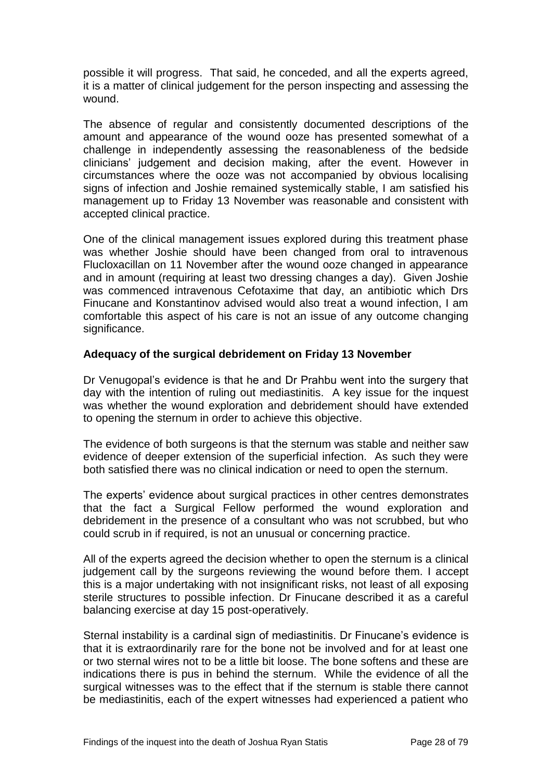possible it will progress. That said, he conceded, and all the experts agreed, it is a matter of clinical judgement for the person inspecting and assessing the wound.

The absence of regular and consistently documented descriptions of the amount and appearance of the wound ooze has presented somewhat of a challenge in independently assessing the reasonableness of the bedside clinicians' judgement and decision making, after the event. However in circumstances where the ooze was not accompanied by obvious localising signs of infection and Joshie remained systemically stable, I am satisfied his management up to Friday 13 November was reasonable and consistent with accepted clinical practice.

One of the clinical management issues explored during this treatment phase was whether Joshie should have been changed from oral to intravenous Flucloxacillan on 11 November after the wound ooze changed in appearance and in amount (requiring at least two dressing changes a day). Given Joshie was commenced intravenous Cefotaxime that day, an antibiotic which Drs Finucane and Konstantinov advised would also treat a wound infection, I am comfortable this aspect of his care is not an issue of any outcome changing significance.

#### **Adequacy of the surgical debridement on Friday 13 November**

Dr Venugopal's evidence is that he and Dr Prahbu went into the surgery that day with the intention of ruling out mediastinitis. A key issue for the inquest was whether the wound exploration and debridement should have extended to opening the sternum in order to achieve this objective.

The evidence of both surgeons is that the sternum was stable and neither saw evidence of deeper extension of the superficial infection. As such they were both satisfied there was no clinical indication or need to open the sternum.

The experts' evidence about surgical practices in other centres demonstrates that the fact a Surgical Fellow performed the wound exploration and debridement in the presence of a consultant who was not scrubbed, but who could scrub in if required, is not an unusual or concerning practice.

All of the experts agreed the decision whether to open the sternum is a clinical judgement call by the surgeons reviewing the wound before them. I accept this is a major undertaking with not insignificant risks, not least of all exposing sterile structures to possible infection. Dr Finucane described it as a careful balancing exercise at day 15 post-operatively.

Sternal instability is a cardinal sign of mediastinitis. Dr Finucane's evidence is that it is extraordinarily rare for the bone not be involved and for at least one or two sternal wires not to be a little bit loose. The bone softens and these are indications there is pus in behind the sternum. While the evidence of all the surgical witnesses was to the effect that if the sternum is stable there cannot be mediastinitis, each of the expert witnesses had experienced a patient who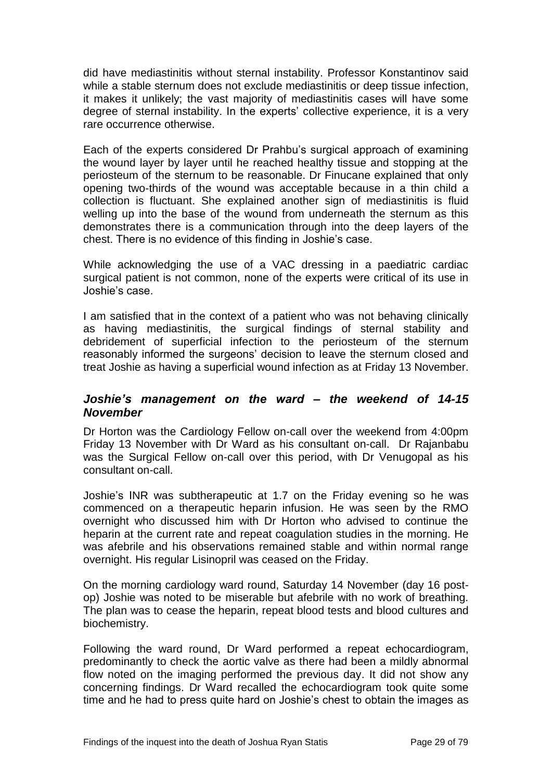did have mediastinitis without sternal instability. Professor Konstantinov said while a stable sternum does not exclude mediastinitis or deep tissue infection, it makes it unlikely; the vast majority of mediastinitis cases will have some degree of sternal instability. In the experts' collective experience, it is a very rare occurrence otherwise.

Each of the experts considered Dr Prahbu's surgical approach of examining the wound layer by layer until he reached healthy tissue and stopping at the periosteum of the sternum to be reasonable. Dr Finucane explained that only opening two-thirds of the wound was acceptable because in a thin child a collection is fluctuant. She explained another sign of mediastinitis is fluid welling up into the base of the wound from underneath the sternum as this demonstrates there is a communication through into the deep layers of the chest. There is no evidence of this finding in Joshie's case.

While acknowledging the use of a VAC dressing in a paediatric cardiac surgical patient is not common, none of the experts were critical of its use in Joshie's case.

I am satisfied that in the context of a patient who was not behaving clinically as having mediastinitis, the surgical findings of sternal stability and debridement of superficial infection to the periosteum of the sternum reasonably informed the surgeons' decision to leave the sternum closed and treat Joshie as having a superficial wound infection as at Friday 13 November.

#### <span id="page-31-0"></span>*Joshie's management on the ward – the weekend of 14-15 November*

Dr Horton was the Cardiology Fellow on-call over the weekend from 4:00pm Friday 13 November with Dr Ward as his consultant on-call. Dr Rajanbabu was the Surgical Fellow on-call over this period, with Dr Venugopal as his consultant on-call.

Joshie's INR was subtherapeutic at 1.7 on the Friday evening so he was commenced on a therapeutic heparin infusion. He was seen by the RMO overnight who discussed him with Dr Horton who advised to continue the heparin at the current rate and repeat coagulation studies in the morning. He was afebrile and his observations remained stable and within normal range overnight. His regular Lisinopril was ceased on the Friday.

On the morning cardiology ward round, Saturday 14 November (day 16 postop) Joshie was noted to be miserable but afebrile with no work of breathing. The plan was to cease the heparin, repeat blood tests and blood cultures and biochemistry.

Following the ward round, Dr Ward performed a repeat echocardiogram, predominantly to check the aortic valve as there had been a mildly abnormal flow noted on the imaging performed the previous day. It did not show any concerning findings. Dr Ward recalled the echocardiogram took quite some time and he had to press quite hard on Joshie's chest to obtain the images as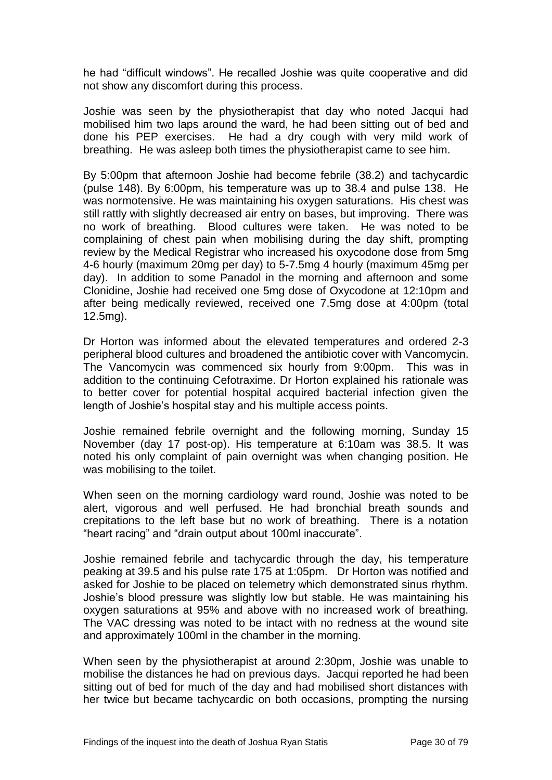he had "difficult windows". He recalled Joshie was quite cooperative and did not show any discomfort during this process.

Joshie was seen by the physiotherapist that day who noted Jacqui had mobilised him two laps around the ward, he had been sitting out of bed and done his PEP exercises. He had a dry cough with very mild work of breathing. He was asleep both times the physiotherapist came to see him.

By 5:00pm that afternoon Joshie had become febrile (38.2) and tachycardic (pulse 148). By 6:00pm, his temperature was up to 38.4 and pulse 138. He was normotensive. He was maintaining his oxygen saturations. His chest was still rattly with slightly decreased air entry on bases, but improving. There was no work of breathing. Blood cultures were taken. He was noted to be complaining of chest pain when mobilising during the day shift, prompting review by the Medical Registrar who increased his oxycodone dose from 5mg 4-6 hourly (maximum 20mg per day) to 5-7.5mg 4 hourly (maximum 45mg per day). In addition to some Panadol in the morning and afternoon and some Clonidine, Joshie had received one 5mg dose of Oxycodone at 12:10pm and after being medically reviewed, received one 7.5mg dose at 4:00pm (total 12.5mg).

Dr Horton was informed about the elevated temperatures and ordered 2-3 peripheral blood cultures and broadened the antibiotic cover with Vancomycin. The Vancomycin was commenced six hourly from 9:00pm. This was in addition to the continuing Cefotraxime. Dr Horton explained his rationale was to better cover for potential hospital acquired bacterial infection given the length of Joshie's hospital stay and his multiple access points.

Joshie remained febrile overnight and the following morning, Sunday 15 November (day 17 post-op). His temperature at 6:10am was 38.5. It was noted his only complaint of pain overnight was when changing position. He was mobilising to the toilet.

When seen on the morning cardiology ward round, Joshie was noted to be alert, vigorous and well perfused. He had bronchial breath sounds and crepitations to the left base but no work of breathing. There is a notation "heart racing" and "drain output about 100ml inaccurate".

Joshie remained febrile and tachycardic through the day, his temperature peaking at 39.5 and his pulse rate 175 at 1:05pm. Dr Horton was notified and asked for Joshie to be placed on telemetry which demonstrated sinus rhythm. Joshie's blood pressure was slightly low but stable. He was maintaining his oxygen saturations at 95% and above with no increased work of breathing. The VAC dressing was noted to be intact with no redness at the wound site and approximately 100ml in the chamber in the morning.

When seen by the physiotherapist at around 2:30pm, Joshie was unable to mobilise the distances he had on previous days. Jacqui reported he had been sitting out of bed for much of the day and had mobilised short distances with her twice but became tachycardic on both occasions, prompting the nursing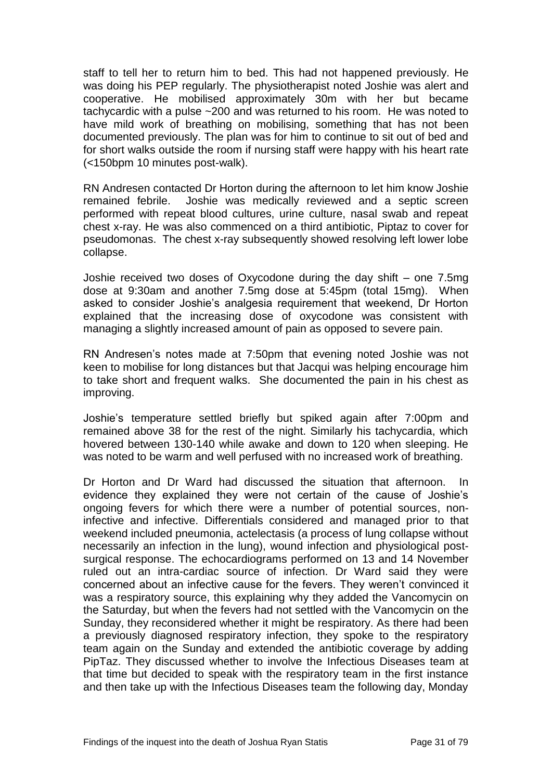staff to tell her to return him to bed. This had not happened previously. He was doing his PEP regularly. The physiotherapist noted Joshie was alert and cooperative. He mobilised approximately 30m with her but became tachycardic with a pulse ~200 and was returned to his room. He was noted to have mild work of breathing on mobilising, something that has not been documented previously. The plan was for him to continue to sit out of bed and for short walks outside the room if nursing staff were happy with his heart rate (<150bpm 10 minutes post-walk).

RN Andresen contacted Dr Horton during the afternoon to let him know Joshie remained febrile. Joshie was medically reviewed and a septic screen performed with repeat blood cultures, urine culture, nasal swab and repeat chest x-ray. He was also commenced on a third antibiotic, Piptaz to cover for pseudomonas. The chest x-ray subsequently showed resolving left lower lobe collapse.

Joshie received two doses of Oxycodone during the day shift – one 7.5mg dose at 9:30am and another 7.5mg dose at 5:45pm (total 15mg). When asked to consider Joshie's analgesia requirement that weekend, Dr Horton explained that the increasing dose of oxycodone was consistent with managing a slightly increased amount of pain as opposed to severe pain.

RN Andresen's notes made at 7:50pm that evening noted Joshie was not keen to mobilise for long distances but that Jacqui was helping encourage him to take short and frequent walks. She documented the pain in his chest as improving.

Joshie's temperature settled briefly but spiked again after 7:00pm and remained above 38 for the rest of the night. Similarly his tachycardia, which hovered between 130-140 while awake and down to 120 when sleeping. He was noted to be warm and well perfused with no increased work of breathing.

Dr Horton and Dr Ward had discussed the situation that afternoon. In evidence they explained they were not certain of the cause of Joshie's ongoing fevers for which there were a number of potential sources, noninfective and infective. Differentials considered and managed prior to that weekend included pneumonia, actelectasis (a process of lung collapse without necessarily an infection in the lung), wound infection and physiological postsurgical response. The echocardiograms performed on 13 and 14 November ruled out an intra-cardiac source of infection. Dr Ward said they were concerned about an infective cause for the fevers. They weren't convinced it was a respiratory source, this explaining why they added the Vancomycin on the Saturday, but when the fevers had not settled with the Vancomycin on the Sunday, they reconsidered whether it might be respiratory. As there had been a previously diagnosed respiratory infection, they spoke to the respiratory team again on the Sunday and extended the antibiotic coverage by adding PipTaz. They discussed whether to involve the Infectious Diseases team at that time but decided to speak with the respiratory team in the first instance and then take up with the Infectious Diseases team the following day, Monday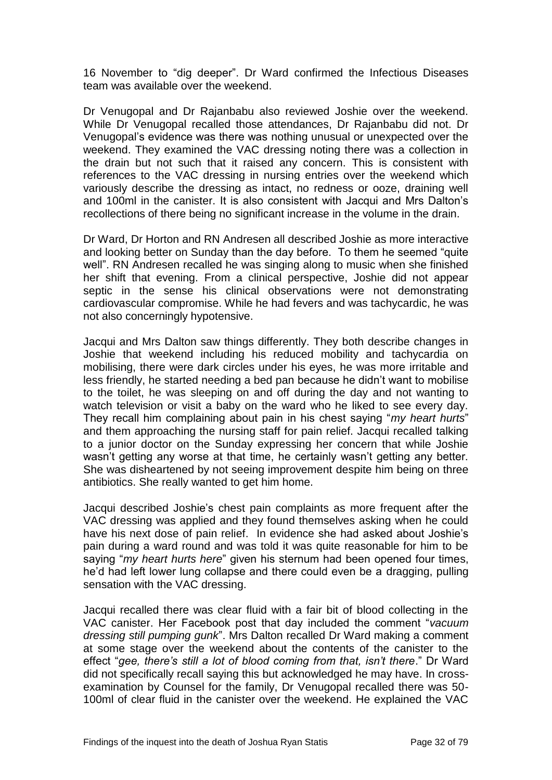16 November to "dig deeper". Dr Ward confirmed the Infectious Diseases team was available over the weekend.

Dr Venugopal and Dr Rajanbabu also reviewed Joshie over the weekend. While Dr Venugopal recalled those attendances, Dr Rajanbabu did not. Dr Venugopal's evidence was there was nothing unusual or unexpected over the weekend. They examined the VAC dressing noting there was a collection in the drain but not such that it raised any concern. This is consistent with references to the VAC dressing in nursing entries over the weekend which variously describe the dressing as intact, no redness or ooze, draining well and 100ml in the canister. It is also consistent with Jacqui and Mrs Dalton's recollections of there being no significant increase in the volume in the drain.

Dr Ward, Dr Horton and RN Andresen all described Joshie as more interactive and looking better on Sunday than the day before. To them he seemed "quite well". RN Andresen recalled he was singing along to music when she finished her shift that evening. From a clinical perspective, Joshie did not appear septic in the sense his clinical observations were not demonstrating cardiovascular compromise. While he had fevers and was tachycardic, he was not also concerningly hypotensive.

Jacqui and Mrs Dalton saw things differently. They both describe changes in Joshie that weekend including his reduced mobility and tachycardia on mobilising, there were dark circles under his eyes, he was more irritable and less friendly, he started needing a bed pan because he didn't want to mobilise to the toilet, he was sleeping on and off during the day and not wanting to watch television or visit a baby on the ward who he liked to see every day. They recall him complaining about pain in his chest saying "*my heart hurts*" and them approaching the nursing staff for pain relief. Jacqui recalled talking to a junior doctor on the Sunday expressing her concern that while Joshie wasn't getting any worse at that time, he certainly wasn't getting any better. She was disheartened by not seeing improvement despite him being on three antibiotics. She really wanted to get him home.

Jacqui described Joshie's chest pain complaints as more frequent after the VAC dressing was applied and they found themselves asking when he could have his next dose of pain relief. In evidence she had asked about Joshie's pain during a ward round and was told it was quite reasonable for him to be saying "*my heart hurts here*" given his sternum had been opened four times, he'd had left lower lung collapse and there could even be a dragging, pulling sensation with the VAC dressing.

Jacqui recalled there was clear fluid with a fair bit of blood collecting in the VAC canister. Her Facebook post that day included the comment "*vacuum dressing still pumping gunk*". Mrs Dalton recalled Dr Ward making a comment at some stage over the weekend about the contents of the canister to the effect "*gee, there's still a lot of blood coming from that, isn't there*." Dr Ward did not specifically recall saying this but acknowledged he may have. In crossexamination by Counsel for the family, Dr Venugopal recalled there was 50- 100ml of clear fluid in the canister over the weekend. He explained the VAC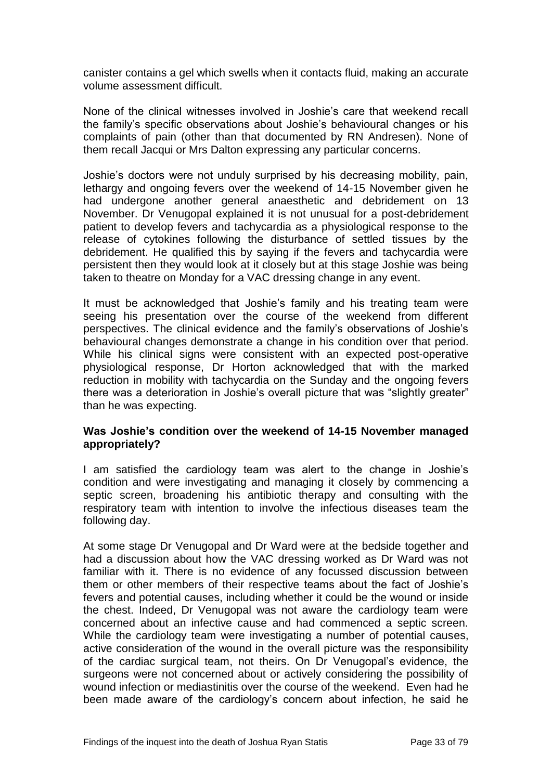canister contains a gel which swells when it contacts fluid, making an accurate volume assessment difficult.

None of the clinical witnesses involved in Joshie's care that weekend recall the family's specific observations about Joshie's behavioural changes or his complaints of pain (other than that documented by RN Andresen). None of them recall Jacqui or Mrs Dalton expressing any particular concerns.

Joshie's doctors were not unduly surprised by his decreasing mobility, pain, lethargy and ongoing fevers over the weekend of 14-15 November given he had undergone another general anaesthetic and debridement on 13 November. Dr Venugopal explained it is not unusual for a post-debridement patient to develop fevers and tachycardia as a physiological response to the release of cytokines following the disturbance of settled tissues by the debridement. He qualified this by saying if the fevers and tachycardia were persistent then they would look at it closely but at this stage Joshie was being taken to theatre on Monday for a VAC dressing change in any event.

It must be acknowledged that Joshie's family and his treating team were seeing his presentation over the course of the weekend from different perspectives. The clinical evidence and the family's observations of Joshie's behavioural changes demonstrate a change in his condition over that period. While his clinical signs were consistent with an expected post-operative physiological response, Dr Horton acknowledged that with the marked reduction in mobility with tachycardia on the Sunday and the ongoing fevers there was a deterioration in Joshie's overall picture that was "slightly greater" than he was expecting.

#### **Was Joshie's condition over the weekend of 14-15 November managed appropriately?**

I am satisfied the cardiology team was alert to the change in Joshie's condition and were investigating and managing it closely by commencing a septic screen, broadening his antibiotic therapy and consulting with the respiratory team with intention to involve the infectious diseases team the following day.

At some stage Dr Venugopal and Dr Ward were at the bedside together and had a discussion about how the VAC dressing worked as Dr Ward was not familiar with it. There is no evidence of any focussed discussion between them or other members of their respective teams about the fact of Joshie's fevers and potential causes, including whether it could be the wound or inside the chest. Indeed, Dr Venugopal was not aware the cardiology team were concerned about an infective cause and had commenced a septic screen. While the cardiology team were investigating a number of potential causes, active consideration of the wound in the overall picture was the responsibility of the cardiac surgical team, not theirs. On Dr Venugopal's evidence, the surgeons were not concerned about or actively considering the possibility of wound infection or mediastinitis over the course of the weekend. Even had he been made aware of the cardiology's concern about infection, he said he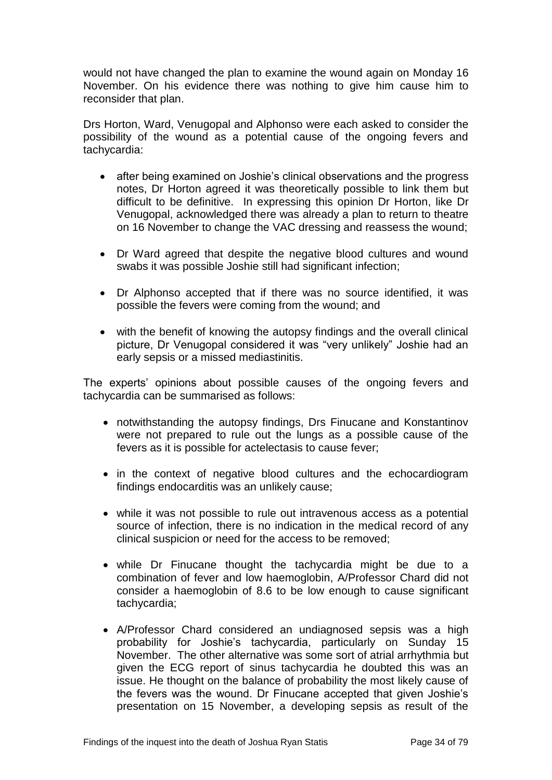would not have changed the plan to examine the wound again on Monday 16 November. On his evidence there was nothing to give him cause him to reconsider that plan.

Drs Horton, Ward, Venugopal and Alphonso were each asked to consider the possibility of the wound as a potential cause of the ongoing fevers and tachycardia:

- after being examined on Joshie's clinical observations and the progress notes, Dr Horton agreed it was theoretically possible to link them but difficult to be definitive. In expressing this opinion Dr Horton, like Dr Venugopal, acknowledged there was already a plan to return to theatre on 16 November to change the VAC dressing and reassess the wound;
- Dr Ward agreed that despite the negative blood cultures and wound swabs it was possible Joshie still had significant infection;
- Dr Alphonso accepted that if there was no source identified, it was possible the fevers were coming from the wound; and
- with the benefit of knowing the autopsy findings and the overall clinical picture, Dr Venugopal considered it was "very unlikely" Joshie had an early sepsis or a missed mediastinitis.

The experts' opinions about possible causes of the ongoing fevers and tachycardia can be summarised as follows:

- notwithstanding the autopsy findings, Drs Finucane and Konstantinov were not prepared to rule out the lungs as a possible cause of the fevers as it is possible for actelectasis to cause fever;
- in the context of negative blood cultures and the echocardiogram findings endocarditis was an unlikely cause;
- while it was not possible to rule out intravenous access as a potential source of infection, there is no indication in the medical record of any clinical suspicion or need for the access to be removed;
- while Dr Finucane thought the tachycardia might be due to a combination of fever and low haemoglobin, A/Professor Chard did not consider a haemoglobin of 8.6 to be low enough to cause significant tachycardia;
- A/Professor Chard considered an undiagnosed sepsis was a high probability for Joshie's tachycardia, particularly on Sunday 15 November. The other alternative was some sort of atrial arrhythmia but given the ECG report of sinus tachycardia he doubted this was an issue. He thought on the balance of probability the most likely cause of the fevers was the wound. Dr Finucane accepted that given Joshie's presentation on 15 November, a developing sepsis as result of the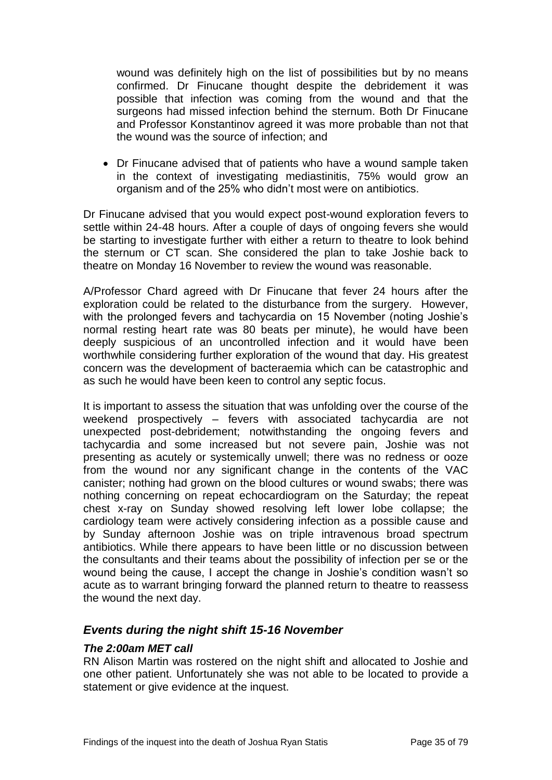wound was definitely high on the list of possibilities but by no means confirmed. Dr Finucane thought despite the debridement it was possible that infection was coming from the wound and that the surgeons had missed infection behind the sternum. Both Dr Finucane and Professor Konstantinov agreed it was more probable than not that the wound was the source of infection; and

 Dr Finucane advised that of patients who have a wound sample taken in the context of investigating mediastinitis, 75% would grow an organism and of the 25% who didn't most were on antibiotics.

Dr Finucane advised that you would expect post-wound exploration fevers to settle within 24-48 hours. After a couple of days of ongoing fevers she would be starting to investigate further with either a return to theatre to look behind the sternum or CT scan. She considered the plan to take Joshie back to theatre on Monday 16 November to review the wound was reasonable.

A/Professor Chard agreed with Dr Finucane that fever 24 hours after the exploration could be related to the disturbance from the surgery. However, with the prolonged fevers and tachycardia on 15 November (noting Joshie's normal resting heart rate was 80 beats per minute), he would have been deeply suspicious of an uncontrolled infection and it would have been worthwhile considering further exploration of the wound that day. His greatest concern was the development of bacteraemia which can be catastrophic and as such he would have been keen to control any septic focus.

It is important to assess the situation that was unfolding over the course of the weekend prospectively – fevers with associated tachycardia are not unexpected post-debridement; notwithstanding the ongoing fevers and tachycardia and some increased but not severe pain, Joshie was not presenting as acutely or systemically unwell; there was no redness or ooze from the wound nor any significant change in the contents of the VAC canister; nothing had grown on the blood cultures or wound swabs; there was nothing concerning on repeat echocardiogram on the Saturday; the repeat chest x-ray on Sunday showed resolving left lower lobe collapse; the cardiology team were actively considering infection as a possible cause and by Sunday afternoon Joshie was on triple intravenous broad spectrum antibiotics. While there appears to have been little or no discussion between the consultants and their teams about the possibility of infection per se or the wound being the cause, I accept the change in Joshie's condition wasn't so acute as to warrant bringing forward the planned return to theatre to reassess the wound the next day.

# *Events during the night shift 15-16 November*

# *The 2:00am MET call*

RN Alison Martin was rostered on the night shift and allocated to Joshie and one other patient. Unfortunately she was not able to be located to provide a statement or give evidence at the inquest.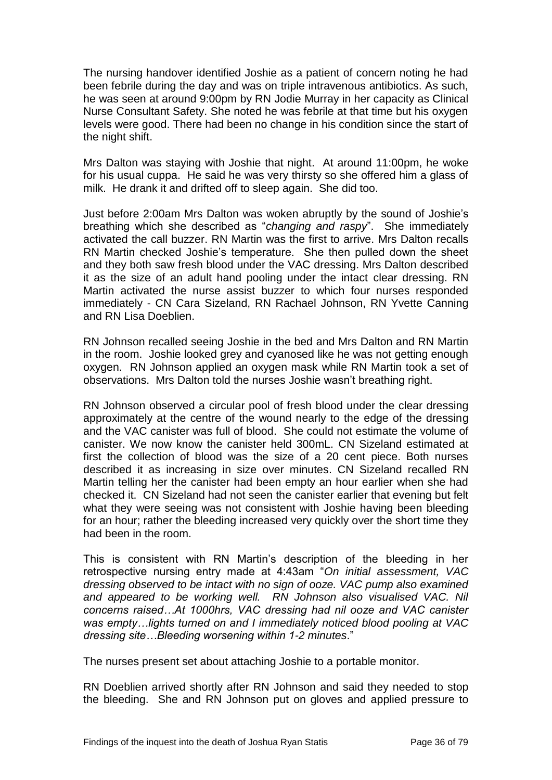The nursing handover identified Joshie as a patient of concern noting he had been febrile during the day and was on triple intravenous antibiotics. As such, he was seen at around 9:00pm by RN Jodie Murray in her capacity as Clinical Nurse Consultant Safety. She noted he was febrile at that time but his oxygen levels were good. There had been no change in his condition since the start of the night shift.

Mrs Dalton was staying with Joshie that night. At around 11:00pm, he woke for his usual cuppa. He said he was very thirsty so she offered him a glass of milk. He drank it and drifted off to sleep again. She did too.

Just before 2:00am Mrs Dalton was woken abruptly by the sound of Joshie's breathing which she described as "*changing and raspy*". She immediately activated the call buzzer. RN Martin was the first to arrive. Mrs Dalton recalls RN Martin checked Joshie's temperature. She then pulled down the sheet and they both saw fresh blood under the VAC dressing. Mrs Dalton described it as the size of an adult hand pooling under the intact clear dressing. RN Martin activated the nurse assist buzzer to which four nurses responded immediately - CN Cara Sizeland, RN Rachael Johnson, RN Yvette Canning and RN Lisa Doeblien.

RN Johnson recalled seeing Joshie in the bed and Mrs Dalton and RN Martin in the room. Joshie looked grey and cyanosed like he was not getting enough oxygen. RN Johnson applied an oxygen mask while RN Martin took a set of observations. Mrs Dalton told the nurses Joshie wasn't breathing right.

RN Johnson observed a circular pool of fresh blood under the clear dressing approximately at the centre of the wound nearly to the edge of the dressing and the VAC canister was full of blood. She could not estimate the volume of canister. We now know the canister held 300mL. CN Sizeland estimated at first the collection of blood was the size of a 20 cent piece. Both nurses described it as increasing in size over minutes. CN Sizeland recalled RN Martin telling her the canister had been empty an hour earlier when she had checked it. CN Sizeland had not seen the canister earlier that evening but felt what they were seeing was not consistent with Joshie having been bleeding for an hour; rather the bleeding increased very quickly over the short time they had been in the room.

This is consistent with RN Martin's description of the bleeding in her retrospective nursing entry made at 4:43am "*On initial assessment, VAC dressing observed to be intact with no sign of ooze. VAC pump also examined and appeared to be working well. RN Johnson also visualised VAC. Nil concerns raised…At 1000hrs, VAC dressing had nil ooze and VAC canister was empty…lights turned on and I immediately noticed blood pooling at VAC dressing site…Bleeding worsening within 1-2 minutes*."

The nurses present set about attaching Joshie to a portable monitor.

RN Doeblien arrived shortly after RN Johnson and said they needed to stop the bleeding. She and RN Johnson put on gloves and applied pressure to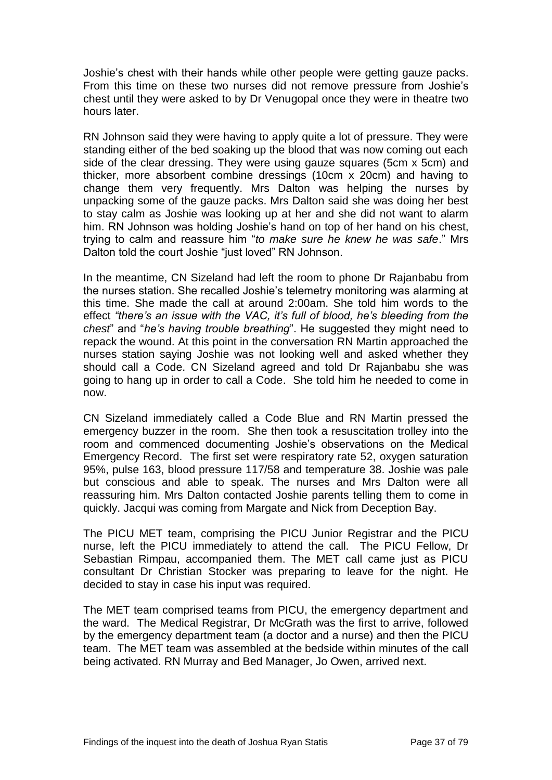Joshie's chest with their hands while other people were getting gauze packs. From this time on these two nurses did not remove pressure from Joshie's chest until they were asked to by Dr Venugopal once they were in theatre two hours later.

RN Johnson said they were having to apply quite a lot of pressure. They were standing either of the bed soaking up the blood that was now coming out each side of the clear dressing. They were using gauze squares (5cm x 5cm) and thicker, more absorbent combine dressings (10cm x 20cm) and having to change them very frequently. Mrs Dalton was helping the nurses by unpacking some of the gauze packs. Mrs Dalton said she was doing her best to stay calm as Joshie was looking up at her and she did not want to alarm him. RN Johnson was holding Joshie's hand on top of her hand on his chest, trying to calm and reassure him "*to make sure he knew he was safe*." Mrs Dalton told the court Joshie "just loved" RN Johnson.

In the meantime, CN Sizeland had left the room to phone Dr Rajanbabu from the nurses station. She recalled Joshie's telemetry monitoring was alarming at this time. She made the call at around 2:00am. She told him words to the effect *"there's an issue with the VAC, it's full of blood, he's bleeding from the chest*" and "*he's having trouble breathing*". He suggested they might need to repack the wound. At this point in the conversation RN Martin approached the nurses station saying Joshie was not looking well and asked whether they should call a Code. CN Sizeland agreed and told Dr Rajanbabu she was going to hang up in order to call a Code. She told him he needed to come in now.

CN Sizeland immediately called a Code Blue and RN Martin pressed the emergency buzzer in the room. She then took a resuscitation trolley into the room and commenced documenting Joshie's observations on the Medical Emergency Record. The first set were respiratory rate 52, oxygen saturation 95%, pulse 163, blood pressure 117/58 and temperature 38. Joshie was pale but conscious and able to speak. The nurses and Mrs Dalton were all reassuring him. Mrs Dalton contacted Joshie parents telling them to come in quickly. Jacqui was coming from Margate and Nick from Deception Bay.

The PICU MET team, comprising the PICU Junior Registrar and the PICU nurse, left the PICU immediately to attend the call. The PICU Fellow, Dr Sebastian Rimpau, accompanied them. The MET call came just as PICU consultant Dr Christian Stocker was preparing to leave for the night. He decided to stay in case his input was required.

The MET team comprised teams from PICU, the emergency department and the ward. The Medical Registrar, Dr McGrath was the first to arrive, followed by the emergency department team (a doctor and a nurse) and then the PICU team. The MET team was assembled at the bedside within minutes of the call being activated. RN Murray and Bed Manager, Jo Owen, arrived next.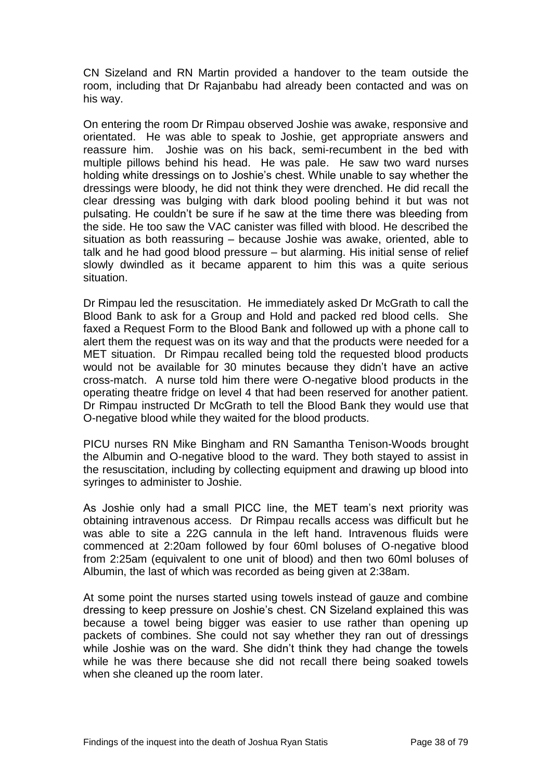CN Sizeland and RN Martin provided a handover to the team outside the room, including that Dr Rajanbabu had already been contacted and was on his way.

On entering the room Dr Rimpau observed Joshie was awake, responsive and orientated. He was able to speak to Joshie, get appropriate answers and reassure him. Joshie was on his back, semi-recumbent in the bed with multiple pillows behind his head. He was pale. He saw two ward nurses holding white dressings on to Joshie's chest. While unable to say whether the dressings were bloody, he did not think they were drenched. He did recall the clear dressing was bulging with dark blood pooling behind it but was not pulsating. He couldn't be sure if he saw at the time there was bleeding from the side. He too saw the VAC canister was filled with blood. He described the situation as both reassuring – because Joshie was awake, oriented, able to talk and he had good blood pressure – but alarming. His initial sense of relief slowly dwindled as it became apparent to him this was a quite serious situation.

Dr Rimpau led the resuscitation. He immediately asked Dr McGrath to call the Blood Bank to ask for a Group and Hold and packed red blood cells. She faxed a Request Form to the Blood Bank and followed up with a phone call to alert them the request was on its way and that the products were needed for a MET situation. Dr Rimpau recalled being told the requested blood products would not be available for 30 minutes because they didn't have an active cross-match. A nurse told him there were O-negative blood products in the operating theatre fridge on level 4 that had been reserved for another patient. Dr Rimpau instructed Dr McGrath to tell the Blood Bank they would use that O-negative blood while they waited for the blood products.

PICU nurses RN Mike Bingham and RN Samantha Tenison-Woods brought the Albumin and O-negative blood to the ward. They both stayed to assist in the resuscitation, including by collecting equipment and drawing up blood into syringes to administer to Joshie.

As Joshie only had a small PICC line, the MET team's next priority was obtaining intravenous access. Dr Rimpau recalls access was difficult but he was able to site a 22G cannula in the left hand. Intravenous fluids were commenced at 2:20am followed by four 60ml boluses of O-negative blood from 2:25am (equivalent to one unit of blood) and then two 60ml boluses of Albumin, the last of which was recorded as being given at 2:38am.

At some point the nurses started using towels instead of gauze and combine dressing to keep pressure on Joshie's chest. CN Sizeland explained this was because a towel being bigger was easier to use rather than opening up packets of combines. She could not say whether they ran out of dressings while Joshie was on the ward. She didn't think they had change the towels while he was there because she did not recall there being soaked towels when she cleaned up the room later.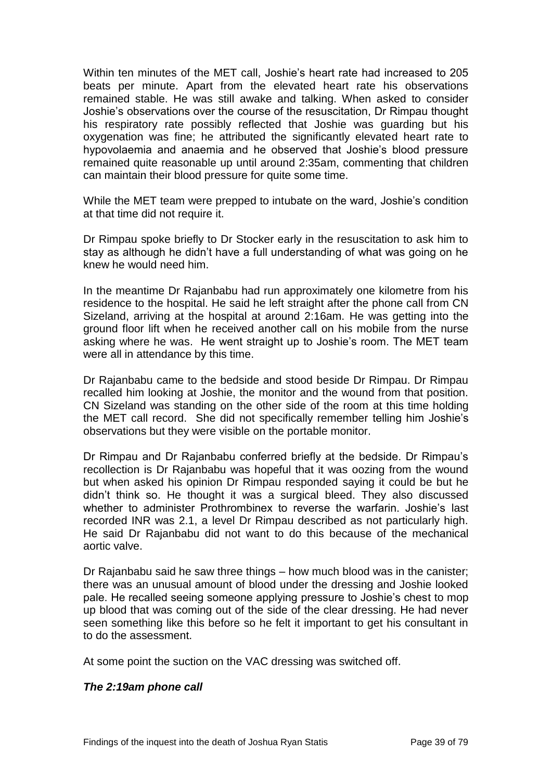Within ten minutes of the MET call, Joshie's heart rate had increased to 205 beats per minute. Apart from the elevated heart rate his observations remained stable. He was still awake and talking. When asked to consider Joshie's observations over the course of the resuscitation, Dr Rimpau thought his respiratory rate possibly reflected that Joshie was guarding but his oxygenation was fine; he attributed the significantly elevated heart rate to hypovolaemia and anaemia and he observed that Joshie's blood pressure remained quite reasonable up until around 2:35am, commenting that children can maintain their blood pressure for quite some time.

While the MET team were prepped to intubate on the ward, Joshie's condition at that time did not require it.

Dr Rimpau spoke briefly to Dr Stocker early in the resuscitation to ask him to stay as although he didn't have a full understanding of what was going on he knew he would need him.

In the meantime Dr Rajanbabu had run approximately one kilometre from his residence to the hospital. He said he left straight after the phone call from CN Sizeland, arriving at the hospital at around 2:16am. He was getting into the ground floor lift when he received another call on his mobile from the nurse asking where he was. He went straight up to Joshie's room. The MET team were all in attendance by this time.

Dr Rajanbabu came to the bedside and stood beside Dr Rimpau. Dr Rimpau recalled him looking at Joshie, the monitor and the wound from that position. CN Sizeland was standing on the other side of the room at this time holding the MET call record. She did not specifically remember telling him Joshie's observations but they were visible on the portable monitor.

Dr Rimpau and Dr Rajanbabu conferred briefly at the bedside. Dr Rimpau's recollection is Dr Rajanbabu was hopeful that it was oozing from the wound but when asked his opinion Dr Rimpau responded saying it could be but he didn't think so. He thought it was a surgical bleed. They also discussed whether to administer Prothrombinex to reverse the warfarin. Joshie's last recorded INR was 2.1, a level Dr Rimpau described as not particularly high. He said Dr Rajanbabu did not want to do this because of the mechanical aortic valve.

Dr Rajanbabu said he saw three things – how much blood was in the canister; there was an unusual amount of blood under the dressing and Joshie looked pale. He recalled seeing someone applying pressure to Joshie's chest to mop up blood that was coming out of the side of the clear dressing. He had never seen something like this before so he felt it important to get his consultant in to do the assessment.

At some point the suction on the VAC dressing was switched off.

# *The 2:19am phone call*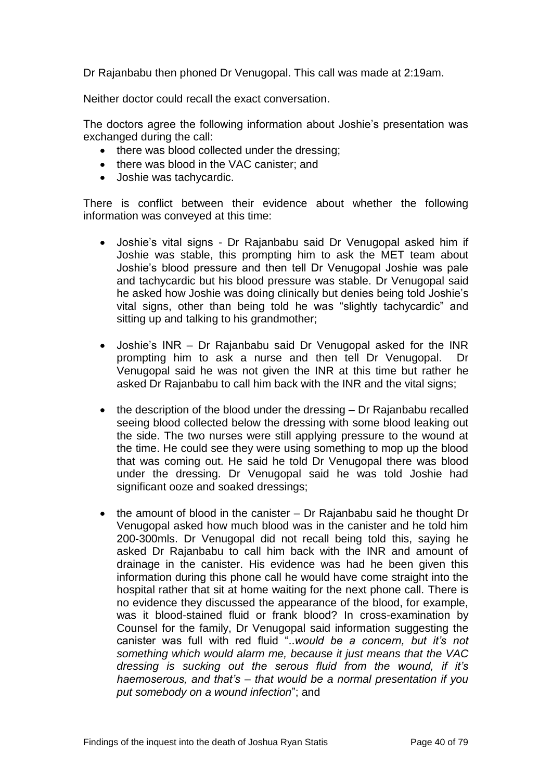Dr Rajanbabu then phoned Dr Venugopal. This call was made at 2:19am.

Neither doctor could recall the exact conversation.

The doctors agree the following information about Joshie's presentation was exchanged during the call:

- there was blood collected under the dressing:
- there was blood in the VAC canister; and
- Joshie was tachycardic.

There is conflict between their evidence about whether the following information was conveyed at this time:

- Joshie's vital signs Dr Rajanbabu said Dr Venugopal asked him if Joshie was stable, this prompting him to ask the MET team about Joshie's blood pressure and then tell Dr Venugopal Joshie was pale and tachycardic but his blood pressure was stable. Dr Venugopal said he asked how Joshie was doing clinically but denies being told Joshie's vital signs, other than being told he was "slightly tachycardic" and sitting up and talking to his grandmother;
- Joshie's INR Dr Rajanbabu said Dr Venugopal asked for the INR prompting him to ask a nurse and then tell Dr Venugopal. Dr Venugopal said he was not given the INR at this time but rather he asked Dr Rajanbabu to call him back with the INR and the vital signs;
- the description of the blood under the dressing Dr Rajanbabu recalled seeing blood collected below the dressing with some blood leaking out the side. The two nurses were still applying pressure to the wound at the time. He could see they were using something to mop up the blood that was coming out. He said he told Dr Venugopal there was blood under the dressing. Dr Venugopal said he was told Joshie had significant ooze and soaked dressings;
- the amount of blood in the canister Dr Rajanbabu said he thought Dr Venugopal asked how much blood was in the canister and he told him 200-300mls. Dr Venugopal did not recall being told this, saying he asked Dr Rajanbabu to call him back with the INR and amount of drainage in the canister. His evidence was had he been given this information during this phone call he would have come straight into the hospital rather that sit at home waiting for the next phone call. There is no evidence they discussed the appearance of the blood, for example, was it blood-stained fluid or frank blood? In cross-examination by Counsel for the family, Dr Venugopal said information suggesting the canister was full with red fluid "..*would be a concern, but it's not something which would alarm me, because it just means that the VAC dressing is sucking out the serous fluid from the wound, if it's haemoserous, and that's – that would be a normal presentation if you put somebody on a wound infection*"; and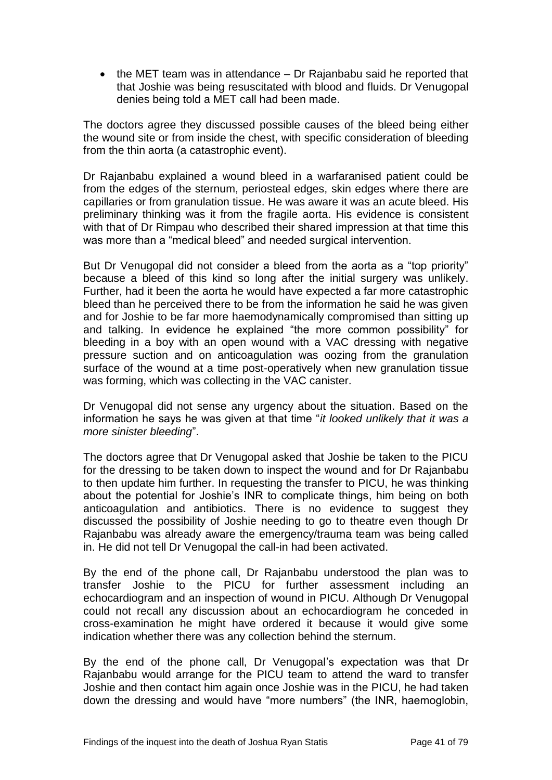$\bullet$  the MET team was in attendance  $-$  Dr Rajanbabu said he reported that that Joshie was being resuscitated with blood and fluids. Dr Venugopal denies being told a MET call had been made.

The doctors agree they discussed possible causes of the bleed being either the wound site or from inside the chest, with specific consideration of bleeding from the thin aorta (a catastrophic event).

Dr Rajanbabu explained a wound bleed in a warfaranised patient could be from the edges of the sternum, periosteal edges, skin edges where there are capillaries or from granulation tissue. He was aware it was an acute bleed. His preliminary thinking was it from the fragile aorta. His evidence is consistent with that of Dr Rimpau who described their shared impression at that time this was more than a "medical bleed" and needed surgical intervention.

But Dr Venugopal did not consider a bleed from the aorta as a "top priority" because a bleed of this kind so long after the initial surgery was unlikely. Further, had it been the aorta he would have expected a far more catastrophic bleed than he perceived there to be from the information he said he was given and for Joshie to be far more haemodynamically compromised than sitting up and talking. In evidence he explained "the more common possibility" for bleeding in a boy with an open wound with a VAC dressing with negative pressure suction and on anticoagulation was oozing from the granulation surface of the wound at a time post-operatively when new granulation tissue was forming, which was collecting in the VAC canister.

Dr Venugopal did not sense any urgency about the situation. Based on the information he says he was given at that time "*it looked unlikely that it was a more sinister bleeding*".

The doctors agree that Dr Venugopal asked that Joshie be taken to the PICU for the dressing to be taken down to inspect the wound and for Dr Rajanbabu to then update him further. In requesting the transfer to PICU, he was thinking about the potential for Joshie's INR to complicate things, him being on both anticoagulation and antibiotics. There is no evidence to suggest they discussed the possibility of Joshie needing to go to theatre even though Dr Rajanbabu was already aware the emergency/trauma team was being called in. He did not tell Dr Venugopal the call-in had been activated.

By the end of the phone call, Dr Rajanbabu understood the plan was to transfer Joshie to the PICU for further assessment including an echocardiogram and an inspection of wound in PICU. Although Dr Venugopal could not recall any discussion about an echocardiogram he conceded in cross-examination he might have ordered it because it would give some indication whether there was any collection behind the sternum.

By the end of the phone call, Dr Venugopal's expectation was that Dr Rajanbabu would arrange for the PICU team to attend the ward to transfer Joshie and then contact him again once Joshie was in the PICU, he had taken down the dressing and would have "more numbers" (the INR, haemoglobin,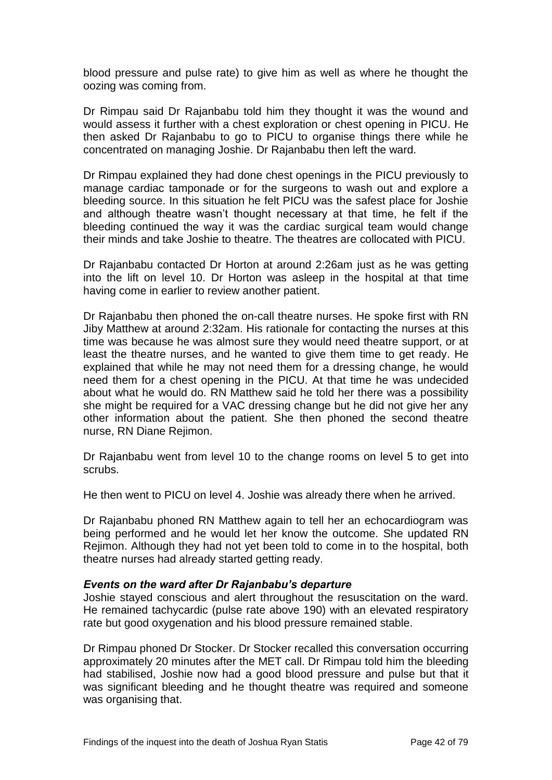blood pressure and pulse rate) to give him as well as where he thought the oozing was coming from.

Dr Rimpau said Dr Rajanbabu told him they thought it was the wound and would assess it further with a chest exploration or chest opening in PICU. He then asked Dr Rajanbabu to go to PICU to organise things there while he concentrated on managing Joshie. Dr Rajanbabu then left the ward.

Dr Rimpau explained they had done chest openings in the PICU previously to manage cardiac tamponade or for the surgeons to wash out and explore a bleeding source. In this situation he felt PICU was the safest place for Joshie and although theatre wasn't thought necessary at that time, he felt if the bleeding continued the way it was the cardiac surgical team would change their minds and take Joshie to theatre. The theatres are collocated with PICU.

Dr Rajanbabu contacted Dr Horton at around 2:26am just as he was getting into the lift on level 10. Dr Horton was asleep in the hospital at that time having come in earlier to review another patient.

Dr Rajanbabu then phoned the on-call theatre nurses. He spoke first with RN Jiby Matthew at around 2:32am. His rationale for contacting the nurses at this time was because he was almost sure they would need theatre support, or at least the theatre nurses, and he wanted to give them time to get ready. He explained that while he may not need them for a dressing change, he would need them for a chest opening in the PICU. At that time he was undecided about what he would do. RN Matthew said he told her there was a possibility she might be required for a VAC dressing change but he did not give her any other information about the patient. She then phoned the second theatre nurse, RN Diane Rejimon.

Dr Rajanbabu went from level 10 to the change rooms on level 5 to get into scrubs.

He then went to PICU on level 4. Joshie was already there when he arrived.

Dr Rajanbabu phoned RN Matthew again to tell her an echocardiogram was being performed and he would let her know the outcome. She updated RN Rejimon. Although they had not yet been told to come in to the hospital, both theatre nurses had already started getting ready.

#### *Events on the ward after Dr Rajanbabu's departure*

Joshie stayed conscious and alert throughout the resuscitation on the ward. He remained tachycardic (pulse rate above 190) with an elevated respiratory rate but good oxygenation and his blood pressure remained stable.

Dr Rimpau phoned Dr Stocker. Dr Stocker recalled this conversation occurring approximately 20 minutes after the MET call. Dr Rimpau told him the bleeding had stabilised, Joshie now had a good blood pressure and pulse but that it was significant bleeding and he thought theatre was required and someone was organising that.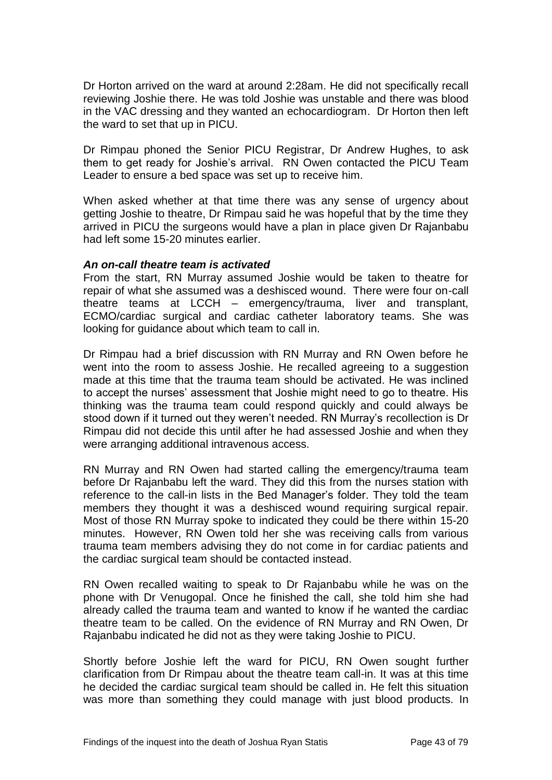Dr Horton arrived on the ward at around 2:28am. He did not specifically recall reviewing Joshie there. He was told Joshie was unstable and there was blood in the VAC dressing and they wanted an echocardiogram. Dr Horton then left the ward to set that up in PICU.

Dr Rimpau phoned the Senior PICU Registrar, Dr Andrew Hughes, to ask them to get ready for Joshie's arrival. RN Owen contacted the PICU Team Leader to ensure a bed space was set up to receive him.

When asked whether at that time there was any sense of urgency about getting Joshie to theatre, Dr Rimpau said he was hopeful that by the time they arrived in PICU the surgeons would have a plan in place given Dr Rajanbabu had left some 15-20 minutes earlier.

## *An on-call theatre team is activated*

From the start, RN Murray assumed Joshie would be taken to theatre for repair of what she assumed was a deshisced wound. There were four on-call theatre teams at LCCH – emergency/trauma, liver and transplant, ECMO/cardiac surgical and cardiac catheter laboratory teams. She was looking for guidance about which team to call in.

Dr Rimpau had a brief discussion with RN Murray and RN Owen before he went into the room to assess Joshie. He recalled agreeing to a suggestion made at this time that the trauma team should be activated. He was inclined to accept the nurses' assessment that Joshie might need to go to theatre. His thinking was the trauma team could respond quickly and could always be stood down if it turned out they weren't needed. RN Murray's recollection is Dr Rimpau did not decide this until after he had assessed Joshie and when they were arranging additional intravenous access.

RN Murray and RN Owen had started calling the emergency/trauma team before Dr Rajanbabu left the ward. They did this from the nurses station with reference to the call-in lists in the Bed Manager's folder. They told the team members they thought it was a deshisced wound requiring surgical repair. Most of those RN Murray spoke to indicated they could be there within 15-20 minutes. However, RN Owen told her she was receiving calls from various trauma team members advising they do not come in for cardiac patients and the cardiac surgical team should be contacted instead.

RN Owen recalled waiting to speak to Dr Rajanbabu while he was on the phone with Dr Venugopal. Once he finished the call, she told him she had already called the trauma team and wanted to know if he wanted the cardiac theatre team to be called. On the evidence of RN Murray and RN Owen, Dr Rajanbabu indicated he did not as they were taking Joshie to PICU.

Shortly before Joshie left the ward for PICU, RN Owen sought further clarification from Dr Rimpau about the theatre team call-in. It was at this time he decided the cardiac surgical team should be called in. He felt this situation was more than something they could manage with just blood products. In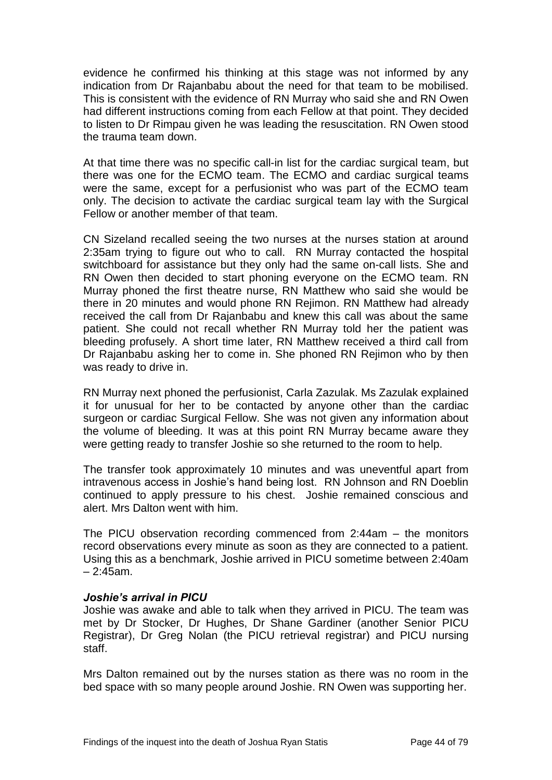evidence he confirmed his thinking at this stage was not informed by any indication from Dr Rajanbabu about the need for that team to be mobilised. This is consistent with the evidence of RN Murray who said she and RN Owen had different instructions coming from each Fellow at that point. They decided to listen to Dr Rimpau given he was leading the resuscitation. RN Owen stood the trauma team down.

At that time there was no specific call-in list for the cardiac surgical team, but there was one for the ECMO team. The ECMO and cardiac surgical teams were the same, except for a perfusionist who was part of the ECMO team only. The decision to activate the cardiac surgical team lay with the Surgical Fellow or another member of that team.

CN Sizeland recalled seeing the two nurses at the nurses station at around 2:35am trying to figure out who to call. RN Murray contacted the hospital switchboard for assistance but they only had the same on-call lists. She and RN Owen then decided to start phoning everyone on the ECMO team. RN Murray phoned the first theatre nurse, RN Matthew who said she would be there in 20 minutes and would phone RN Rejimon. RN Matthew had already received the call from Dr Rajanbabu and knew this call was about the same patient. She could not recall whether RN Murray told her the patient was bleeding profusely. A short time later, RN Matthew received a third call from Dr Rajanbabu asking her to come in. She phoned RN Rejimon who by then was ready to drive in.

RN Murray next phoned the perfusionist, Carla Zazulak. Ms Zazulak explained it for unusual for her to be contacted by anyone other than the cardiac surgeon or cardiac Surgical Fellow. She was not given any information about the volume of bleeding. It was at this point RN Murray became aware they were getting ready to transfer Joshie so she returned to the room to help.

The transfer took approximately 10 minutes and was uneventful apart from intravenous access in Joshie's hand being lost. RN Johnson and RN Doeblin continued to apply pressure to his chest. Joshie remained conscious and alert. Mrs Dalton went with him.

The PICU observation recording commenced from 2:44am – the monitors record observations every minute as soon as they are connected to a patient. Using this as a benchmark, Joshie arrived in PICU sometime between 2:40am – 2:45am.

#### *Joshie's arrival in PICU*

Joshie was awake and able to talk when they arrived in PICU. The team was met by Dr Stocker, Dr Hughes, Dr Shane Gardiner (another Senior PICU Registrar), Dr Greg Nolan (the PICU retrieval registrar) and PICU nursing staff.

Mrs Dalton remained out by the nurses station as there was no room in the bed space with so many people around Joshie. RN Owen was supporting her.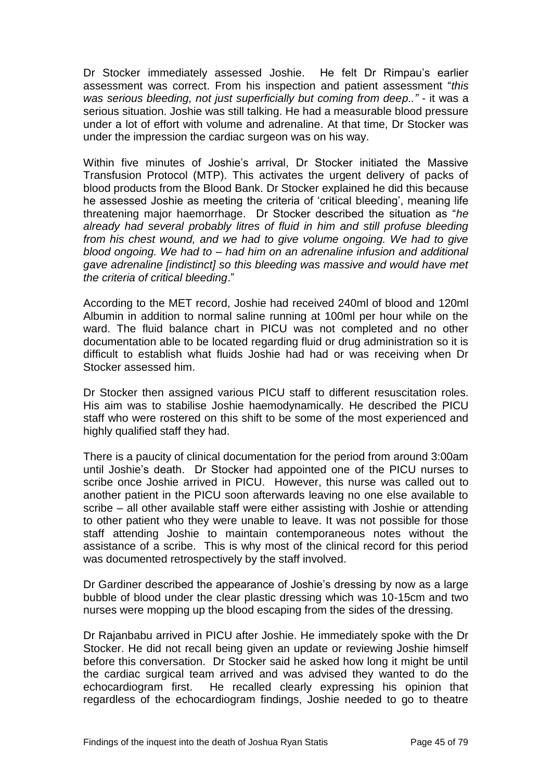Dr Stocker immediately assessed Joshie. He felt Dr Rimpau's earlier assessment was correct. From his inspection and patient assessment "*this was serious bleeding, not just superficially but coming from deep.." -* it was a serious situation. Joshie was still talking. He had a measurable blood pressure under a lot of effort with volume and adrenaline. At that time, Dr Stocker was under the impression the cardiac surgeon was on his way.

Within five minutes of Joshie's arrival, Dr Stocker initiated the Massive Transfusion Protocol (MTP). This activates the urgent delivery of packs of blood products from the Blood Bank. Dr Stocker explained he did this because he assessed Joshie as meeting the criteria of 'critical bleeding', meaning life threatening major haemorrhage. Dr Stocker described the situation as "*he already had several probably litres of fluid in him and still profuse bleeding from his chest wound, and we had to give volume ongoing. We had to give blood ongoing. We had to – had him on an adrenaline infusion and additional gave adrenaline [indistinct] so this bleeding was massive and would have met the criteria of critical bleeding*."

According to the MET record, Joshie had received 240ml of blood and 120ml Albumin in addition to normal saline running at 100ml per hour while on the ward. The fluid balance chart in PICU was not completed and no other documentation able to be located regarding fluid or drug administration so it is difficult to establish what fluids Joshie had had or was receiving when Dr Stocker assessed him.

Dr Stocker then assigned various PICU staff to different resuscitation roles. His aim was to stabilise Joshie haemodynamically. He described the PICU staff who were rostered on this shift to be some of the most experienced and highly qualified staff they had.

There is a paucity of clinical documentation for the period from around 3:00am until Joshie's death. Dr Stocker had appointed one of the PICU nurses to scribe once Joshie arrived in PICU. However, this nurse was called out to another patient in the PICU soon afterwards leaving no one else available to scribe – all other available staff were either assisting with Joshie or attending to other patient who they were unable to leave. It was not possible for those staff attending Joshie to maintain contemporaneous notes without the assistance of a scribe. This is why most of the clinical record for this period was documented retrospectively by the staff involved.

Dr Gardiner described the appearance of Joshie's dressing by now as a large bubble of blood under the clear plastic dressing which was 10-15cm and two nurses were mopping up the blood escaping from the sides of the dressing.

Dr Rajanbabu arrived in PICU after Joshie. He immediately spoke with the Dr Stocker. He did not recall being given an update or reviewing Joshie himself before this conversation. Dr Stocker said he asked how long it might be until the cardiac surgical team arrived and was advised they wanted to do the echocardiogram first. He recalled clearly expressing his opinion that regardless of the echocardiogram findings, Joshie needed to go to theatre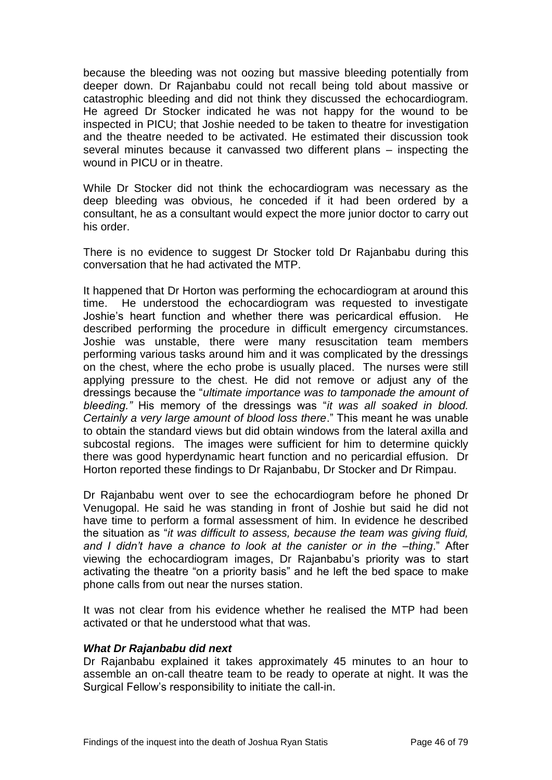because the bleeding was not oozing but massive bleeding potentially from deeper down. Dr Rajanbabu could not recall being told about massive or catastrophic bleeding and did not think they discussed the echocardiogram. He agreed Dr Stocker indicated he was not happy for the wound to be inspected in PICU; that Joshie needed to be taken to theatre for investigation and the theatre needed to be activated. He estimated their discussion took several minutes because it canvassed two different plans – inspecting the wound in PICU or in theatre.

While Dr Stocker did not think the echocardiogram was necessary as the deep bleeding was obvious, he conceded if it had been ordered by a consultant, he as a consultant would expect the more junior doctor to carry out his order.

There is no evidence to suggest Dr Stocker told Dr Rajanbabu during this conversation that he had activated the MTP.

It happened that Dr Horton was performing the echocardiogram at around this time. He understood the echocardiogram was requested to investigate Joshie's heart function and whether there was pericardical effusion. He described performing the procedure in difficult emergency circumstances. Joshie was unstable, there were many resuscitation team members performing various tasks around him and it was complicated by the dressings on the chest, where the echo probe is usually placed. The nurses were still applying pressure to the chest. He did not remove or adjust any of the dressings because the "*ultimate importance was to tamponade the amount of bleeding."* His memory of the dressings was "*it was all soaked in blood. Certainly a very large amount of blood loss there*." This meant he was unable to obtain the standard views but did obtain windows from the lateral axilla and subcostal regions. The images were sufficient for him to determine quickly there was good hyperdynamic heart function and no pericardial effusion. Dr Horton reported these findings to Dr Rajanbabu, Dr Stocker and Dr Rimpau.

Dr Rajanbabu went over to see the echocardiogram before he phoned Dr Venugopal. He said he was standing in front of Joshie but said he did not have time to perform a formal assessment of him. In evidence he described the situation as "*it was difficult to assess, because the team was giving fluid, and I didn't have a chance to look at the canister or in the –thing*." After viewing the echocardiogram images, Dr Rajanbabu's priority was to start activating the theatre "on a priority basis" and he left the bed space to make phone calls from out near the nurses station.

It was not clear from his evidence whether he realised the MTP had been activated or that he understood what that was.

#### *What Dr Rajanbabu did next*

Dr Rajanbabu explained it takes approximately 45 minutes to an hour to assemble an on-call theatre team to be ready to operate at night. It was the Surgical Fellow's responsibility to initiate the call-in.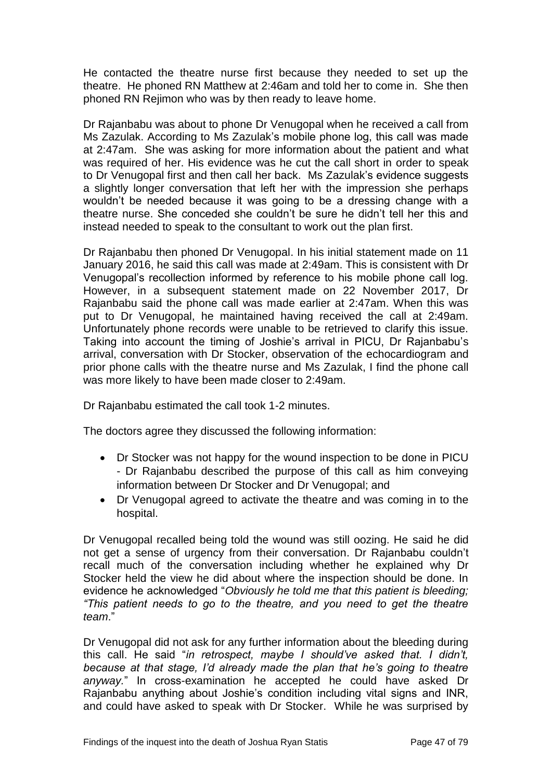He contacted the theatre nurse first because they needed to set up the theatre. He phoned RN Matthew at 2:46am and told her to come in. She then phoned RN Rejimon who was by then ready to leave home.

Dr Rajanbabu was about to phone Dr Venugopal when he received a call from Ms Zazulak. According to Ms Zazulak's mobile phone log, this call was made at 2:47am. She was asking for more information about the patient and what was required of her. His evidence was he cut the call short in order to speak to Dr Venugopal first and then call her back. Ms Zazulak's evidence suggests a slightly longer conversation that left her with the impression she perhaps wouldn't be needed because it was going to be a dressing change with a theatre nurse. She conceded she couldn't be sure he didn't tell her this and instead needed to speak to the consultant to work out the plan first.

Dr Rajanbabu then phoned Dr Venugopal. In his initial statement made on 11 January 2016, he said this call was made at 2:49am. This is consistent with Dr Venugopal's recollection informed by reference to his mobile phone call log. However, in a subsequent statement made on 22 November 2017, Dr Rajanbabu said the phone call was made earlier at 2:47am. When this was put to Dr Venugopal, he maintained having received the call at 2:49am. Unfortunately phone records were unable to be retrieved to clarify this issue. Taking into account the timing of Joshie's arrival in PICU, Dr Rajanbabu's arrival, conversation with Dr Stocker, observation of the echocardiogram and prior phone calls with the theatre nurse and Ms Zazulak, I find the phone call was more likely to have been made closer to 2:49am.

Dr Rajanbabu estimated the call took 1-2 minutes.

The doctors agree they discussed the following information:

- Dr Stocker was not happy for the wound inspection to be done in PICU - Dr Rajanbabu described the purpose of this call as him conveying information between Dr Stocker and Dr Venugopal; and
- Dr Venugopal agreed to activate the theatre and was coming in to the hospital.

Dr Venugopal recalled being told the wound was still oozing. He said he did not get a sense of urgency from their conversation. Dr Rajanbabu couldn't recall much of the conversation including whether he explained why Dr Stocker held the view he did about where the inspection should be done. In evidence he acknowledged "*Obviously he told me that this patient is bleeding; "This patient needs to go to the theatre, and you need to get the theatre team*."

Dr Venugopal did not ask for any further information about the bleeding during this call. He said "*in retrospect, maybe I should've asked that. I didn't, because at that stage, I'd already made the plan that he's going to theatre anyway.*" In cross-examination he accepted he could have asked Dr Rajanbabu anything about Joshie's condition including vital signs and INR, and could have asked to speak with Dr Stocker. While he was surprised by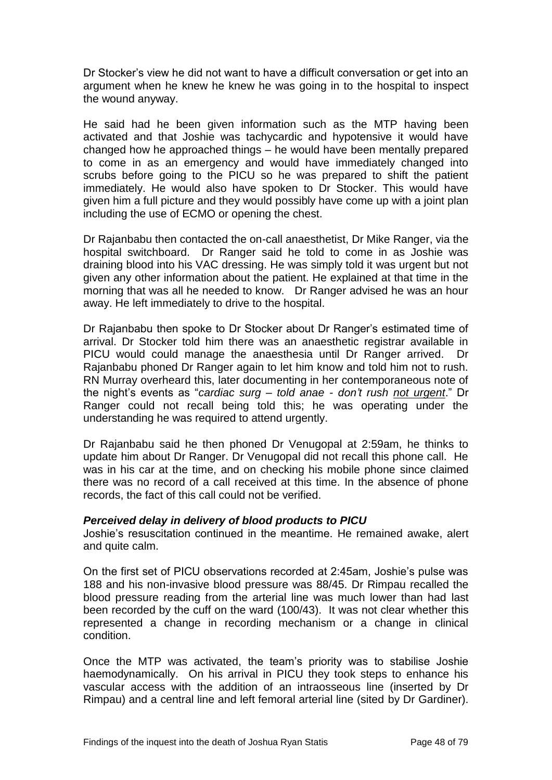Dr Stocker's view he did not want to have a difficult conversation or get into an argument when he knew he knew he was going in to the hospital to inspect the wound anyway.

He said had he been given information such as the MTP having been activated and that Joshie was tachycardic and hypotensive it would have changed how he approached things – he would have been mentally prepared to come in as an emergency and would have immediately changed into scrubs before going to the PICU so he was prepared to shift the patient immediately. He would also have spoken to Dr Stocker. This would have given him a full picture and they would possibly have come up with a joint plan including the use of ECMO or opening the chest.

Dr Rajanbabu then contacted the on-call anaesthetist, Dr Mike Ranger, via the hospital switchboard. Dr Ranger said he told to come in as Joshie was draining blood into his VAC dressing. He was simply told it was urgent but not given any other information about the patient. He explained at that time in the morning that was all he needed to know. Dr Ranger advised he was an hour away. He left immediately to drive to the hospital.

Dr Rajanbabu then spoke to Dr Stocker about Dr Ranger's estimated time of arrival. Dr Stocker told him there was an anaesthetic registrar available in PICU would could manage the anaesthesia until Dr Ranger arrived. Dr Rajanbabu phoned Dr Ranger again to let him know and told him not to rush. RN Murray overheard this, later documenting in her contemporaneous note of the night's events as "*cardiac surg – told anae - don't rush not urgent*." Dr Ranger could not recall being told this; he was operating under the understanding he was required to attend urgently.

Dr Rajanbabu said he then phoned Dr Venugopal at 2:59am, he thinks to update him about Dr Ranger. Dr Venugopal did not recall this phone call. He was in his car at the time, and on checking his mobile phone since claimed there was no record of a call received at this time. In the absence of phone records, the fact of this call could not be verified.

# *Perceived delay in delivery of blood products to PICU*

Joshie's resuscitation continued in the meantime. He remained awake, alert and quite calm.

On the first set of PICU observations recorded at 2:45am, Joshie's pulse was 188 and his non-invasive blood pressure was 88/45. Dr Rimpau recalled the blood pressure reading from the arterial line was much lower than had last been recorded by the cuff on the ward (100/43). It was not clear whether this represented a change in recording mechanism or a change in clinical condition.

Once the MTP was activated, the team's priority was to stabilise Joshie haemodynamically. On his arrival in PICU they took steps to enhance his vascular access with the addition of an intraosseous line (inserted by Dr Rimpau) and a central line and left femoral arterial line (sited by Dr Gardiner).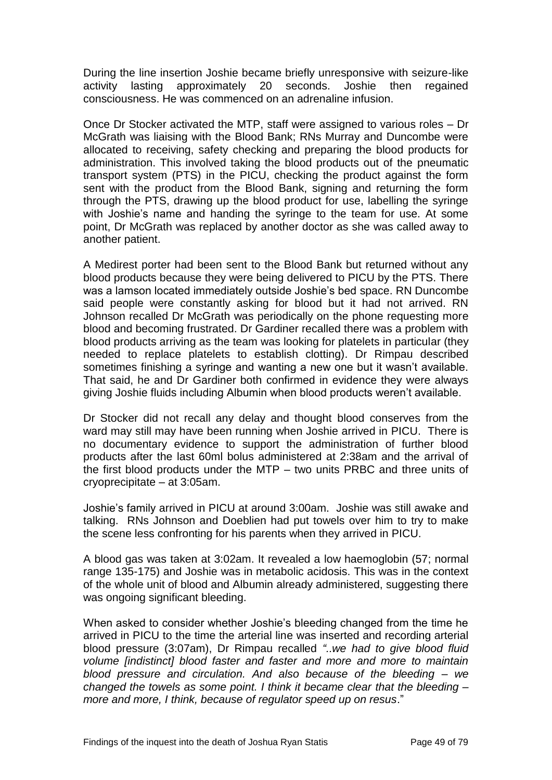During the line insertion Joshie became briefly unresponsive with seizure-like activity lasting approximately 20 seconds. Joshie then regained consciousness. He was commenced on an adrenaline infusion.

Once Dr Stocker activated the MTP, staff were assigned to various roles – Dr McGrath was liaising with the Blood Bank; RNs Murray and Duncombe were allocated to receiving, safety checking and preparing the blood products for administration. This involved taking the blood products out of the pneumatic transport system (PTS) in the PICU, checking the product against the form sent with the product from the Blood Bank, signing and returning the form through the PTS, drawing up the blood product for use, labelling the syringe with Joshie's name and handing the syringe to the team for use. At some point, Dr McGrath was replaced by another doctor as she was called away to another patient.

A Medirest porter had been sent to the Blood Bank but returned without any blood products because they were being delivered to PICU by the PTS. There was a lamson located immediately outside Joshie's bed space. RN Duncombe said people were constantly asking for blood but it had not arrived. RN Johnson recalled Dr McGrath was periodically on the phone requesting more blood and becoming frustrated. Dr Gardiner recalled there was a problem with blood products arriving as the team was looking for platelets in particular (they needed to replace platelets to establish clotting). Dr Rimpau described sometimes finishing a syringe and wanting a new one but it wasn't available. That said, he and Dr Gardiner both confirmed in evidence they were always giving Joshie fluids including Albumin when blood products weren't available.

Dr Stocker did not recall any delay and thought blood conserves from the ward may still may have been running when Joshie arrived in PICU. There is no documentary evidence to support the administration of further blood products after the last 60ml bolus administered at 2:38am and the arrival of the first blood products under the MTP – two units PRBC and three units of cryoprecipitate – at 3:05am.

Joshie's family arrived in PICU at around 3:00am. Joshie was still awake and talking. RNs Johnson and Doeblien had put towels over him to try to make the scene less confronting for his parents when they arrived in PICU.

A blood gas was taken at 3:02am. It revealed a low haemoglobin (57; normal range 135-175) and Joshie was in metabolic acidosis. This was in the context of the whole unit of blood and Albumin already administered, suggesting there was ongoing significant bleeding.

When asked to consider whether Joshie's bleeding changed from the time he arrived in PICU to the time the arterial line was inserted and recording arterial blood pressure (3:07am), Dr Rimpau recalled *"..we had to give blood fluid volume [indistinct] blood faster and faster and more and more to maintain blood pressure and circulation. And also because of the bleeding – we changed the towels as some point. I think it became clear that the bleeding – more and more, I think, because of regulator speed up on resus*."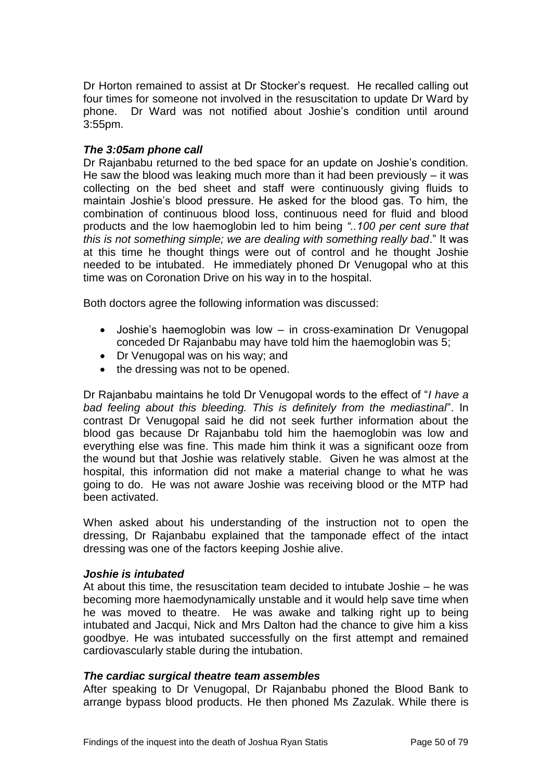Dr Horton remained to assist at Dr Stocker's request. He recalled calling out four times for someone not involved in the resuscitation to update Dr Ward by phone. Dr Ward was not notified about Joshie's condition until around 3:55pm.

## *The 3:05am phone call*

Dr Rajanbabu returned to the bed space for an update on Joshie's condition. He saw the blood was leaking much more than it had been previously – it was collecting on the bed sheet and staff were continuously giving fluids to maintain Joshie's blood pressure. He asked for the blood gas. To him, the combination of continuous blood loss, continuous need for fluid and blood products and the low haemoglobin led to him being *"..100 per cent sure that this is not something simple; we are dealing with something really bad*." It was at this time he thought things were out of control and he thought Joshie needed to be intubated. He immediately phoned Dr Venugopal who at this time was on Coronation Drive on his way in to the hospital.

Both doctors agree the following information was discussed:

- Joshie's haemoglobin was low in cross-examination Dr Venugopal conceded Dr Rajanbabu may have told him the haemoglobin was 5;
- Dr Venugopal was on his way; and
- the dressing was not to be opened.

Dr Rajanbabu maintains he told Dr Venugopal words to the effect of "*I have a bad feeling about this bleeding. This is definitely from the mediastinal*". In contrast Dr Venugopal said he did not seek further information about the blood gas because Dr Rajanbabu told him the haemoglobin was low and everything else was fine. This made him think it was a significant ooze from the wound but that Joshie was relatively stable. Given he was almost at the hospital, this information did not make a material change to what he was going to do. He was not aware Joshie was receiving blood or the MTP had been activated.

When asked about his understanding of the instruction not to open the dressing, Dr Rajanbabu explained that the tamponade effect of the intact dressing was one of the factors keeping Joshie alive.

#### *Joshie is intubated*

At about this time, the resuscitation team decided to intubate Joshie – he was becoming more haemodynamically unstable and it would help save time when he was moved to theatre. He was awake and talking right up to being intubated and Jacqui, Nick and Mrs Dalton had the chance to give him a kiss goodbye. He was intubated successfully on the first attempt and remained cardiovascularly stable during the intubation.

#### *The cardiac surgical theatre team assembles*

After speaking to Dr Venugopal, Dr Rajanbabu phoned the Blood Bank to arrange bypass blood products. He then phoned Ms Zazulak. While there is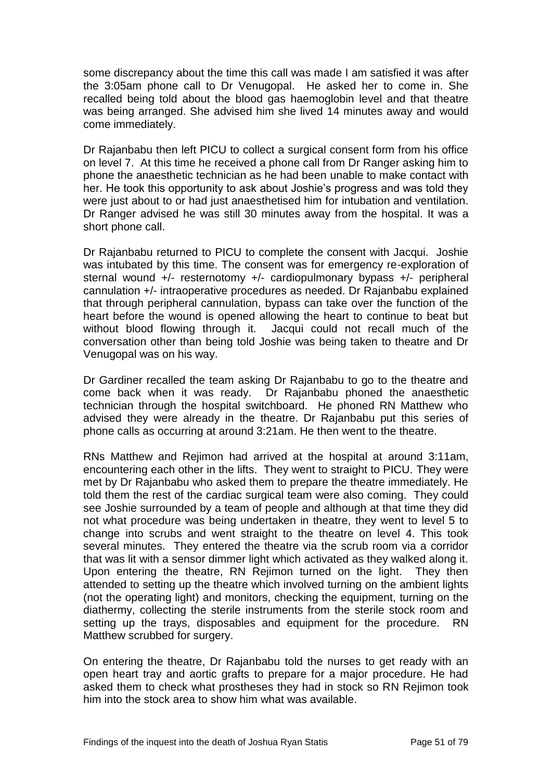some discrepancy about the time this call was made I am satisfied it was after the 3:05am phone call to Dr Venugopal. He asked her to come in. She recalled being told about the blood gas haemoglobin level and that theatre was being arranged. She advised him she lived 14 minutes away and would come immediately.

Dr Rajanbabu then left PICU to collect a surgical consent form from his office on level 7. At this time he received a phone call from Dr Ranger asking him to phone the anaesthetic technician as he had been unable to make contact with her. He took this opportunity to ask about Joshie's progress and was told they were just about to or had just anaesthetised him for intubation and ventilation. Dr Ranger advised he was still 30 minutes away from the hospital. It was a short phone call.

Dr Rajanbabu returned to PICU to complete the consent with Jacqui. Joshie was intubated by this time. The consent was for emergency re-exploration of sternal wound +/- resternotomy +/- cardiopulmonary bypass +/- peripheral cannulation +/- intraoperative procedures as needed. Dr Rajanbabu explained that through peripheral cannulation, bypass can take over the function of the heart before the wound is opened allowing the heart to continue to beat but without blood flowing through it. Jacqui could not recall much of the conversation other than being told Joshie was being taken to theatre and Dr Venugopal was on his way.

Dr Gardiner recalled the team asking Dr Rajanbabu to go to the theatre and come back when it was ready. Dr Rajanbabu phoned the anaesthetic technician through the hospital switchboard. He phoned RN Matthew who advised they were already in the theatre. Dr Rajanbabu put this series of phone calls as occurring at around 3:21am. He then went to the theatre.

RNs Matthew and Rejimon had arrived at the hospital at around 3:11am, encountering each other in the lifts. They went to straight to PICU. They were met by Dr Rajanbabu who asked them to prepare the theatre immediately. He told them the rest of the cardiac surgical team were also coming. They could see Joshie surrounded by a team of people and although at that time they did not what procedure was being undertaken in theatre, they went to level 5 to change into scrubs and went straight to the theatre on level 4. This took several minutes. They entered the theatre via the scrub room via a corridor that was lit with a sensor dimmer light which activated as they walked along it. Upon entering the theatre, RN Rejimon turned on the light. They then attended to setting up the theatre which involved turning on the ambient lights (not the operating light) and monitors, checking the equipment, turning on the diathermy, collecting the sterile instruments from the sterile stock room and setting up the trays, disposables and equipment for the procedure. RN Matthew scrubbed for surgery.

On entering the theatre, Dr Rajanbabu told the nurses to get ready with an open heart tray and aortic grafts to prepare for a major procedure. He had asked them to check what prostheses they had in stock so RN Rejimon took him into the stock area to show him what was available.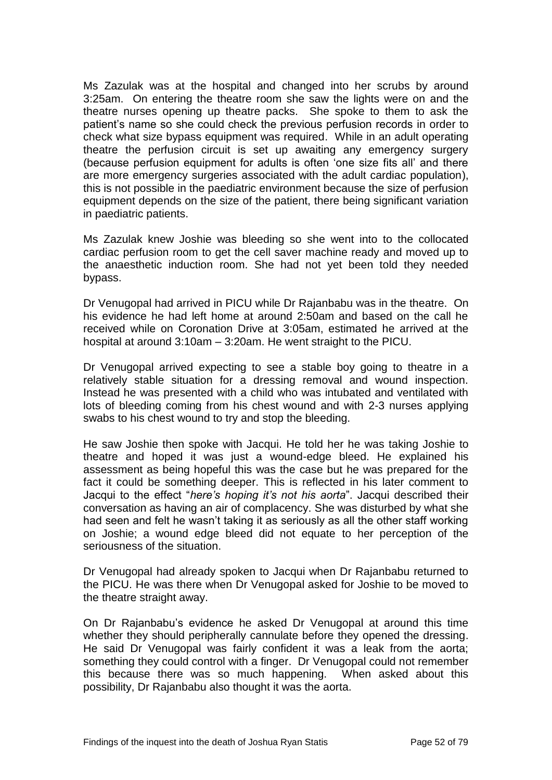Ms Zazulak was at the hospital and changed into her scrubs by around 3:25am. On entering the theatre room she saw the lights were on and the theatre nurses opening up theatre packs. She spoke to them to ask the patient's name so she could check the previous perfusion records in order to check what size bypass equipment was required. While in an adult operating theatre the perfusion circuit is set up awaiting any emergency surgery (because perfusion equipment for adults is often 'one size fits all' and there are more emergency surgeries associated with the adult cardiac population), this is not possible in the paediatric environment because the size of perfusion equipment depends on the size of the patient, there being significant variation in paediatric patients.

Ms Zazulak knew Joshie was bleeding so she went into to the collocated cardiac perfusion room to get the cell saver machine ready and moved up to the anaesthetic induction room. She had not yet been told they needed bypass.

Dr Venugopal had arrived in PICU while Dr Rajanbabu was in the theatre. On his evidence he had left home at around 2:50am and based on the call he received while on Coronation Drive at 3:05am, estimated he arrived at the hospital at around 3:10am – 3:20am. He went straight to the PICU.

Dr Venugopal arrived expecting to see a stable boy going to theatre in a relatively stable situation for a dressing removal and wound inspection. Instead he was presented with a child who was intubated and ventilated with lots of bleeding coming from his chest wound and with 2-3 nurses applying swabs to his chest wound to try and stop the bleeding.

He saw Joshie then spoke with Jacqui. He told her he was taking Joshie to theatre and hoped it was just a wound-edge bleed. He explained his assessment as being hopeful this was the case but he was prepared for the fact it could be something deeper. This is reflected in his later comment to Jacqui to the effect "*here's hoping it's not his aorta*". Jacqui described their conversation as having an air of complacency. She was disturbed by what she had seen and felt he wasn't taking it as seriously as all the other staff working on Joshie; a wound edge bleed did not equate to her perception of the seriousness of the situation.

Dr Venugopal had already spoken to Jacqui when Dr Rajanbabu returned to the PICU. He was there when Dr Venugopal asked for Joshie to be moved to the theatre straight away.

On Dr Rajanbabu's evidence he asked Dr Venugopal at around this time whether they should peripherally cannulate before they opened the dressing. He said Dr Venugopal was fairly confident it was a leak from the aorta; something they could control with a finger. Dr Venugopal could not remember this because there was so much happening. When asked about this possibility, Dr Rajanbabu also thought it was the aorta.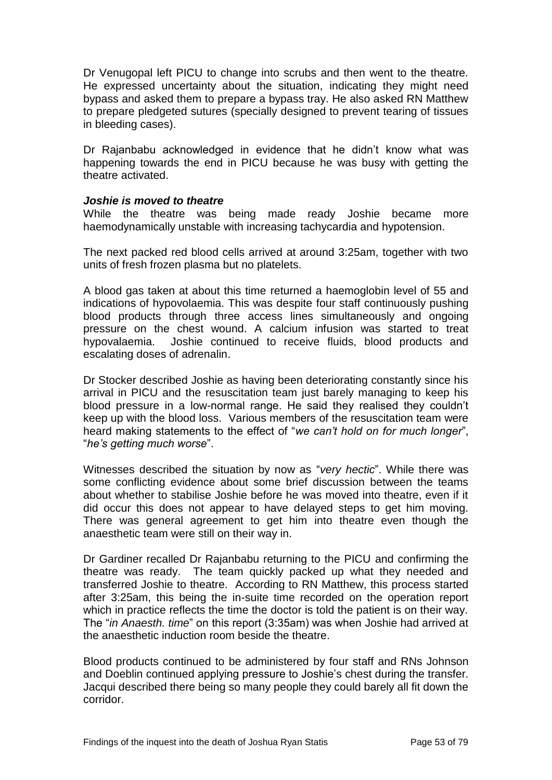Dr Venugopal left PICU to change into scrubs and then went to the theatre. He expressed uncertainty about the situation, indicating they might need bypass and asked them to prepare a bypass tray. He also asked RN Matthew to prepare pledgeted sutures (specially designed to prevent tearing of tissues in bleeding cases).

Dr Rajanbabu acknowledged in evidence that he didn't know what was happening towards the end in PICU because he was busy with getting the theatre activated.

## *Joshie is moved to theatre*

While the theatre was being made ready Joshie became more haemodynamically unstable with increasing tachycardia and hypotension.

The next packed red blood cells arrived at around 3:25am, together with two units of fresh frozen plasma but no platelets.

A blood gas taken at about this time returned a haemoglobin level of 55 and indications of hypovolaemia. This was despite four staff continuously pushing blood products through three access lines simultaneously and ongoing pressure on the chest wound. A calcium infusion was started to treat hypovalaemia. Joshie continued to receive fluids, blood products and escalating doses of adrenalin.

Dr Stocker described Joshie as having been deteriorating constantly since his arrival in PICU and the resuscitation team just barely managing to keep his blood pressure in a low-normal range. He said they realised they couldn't keep up with the blood loss. Various members of the resuscitation team were heard making statements to the effect of "*we can't hold on for much longer*", "*he's getting much worse*".

Witnesses described the situation by now as "*very hectic*". While there was some conflicting evidence about some brief discussion between the teams about whether to stabilise Joshie before he was moved into theatre, even if it did occur this does not appear to have delayed steps to get him moving. There was general agreement to get him into theatre even though the anaesthetic team were still on their way in.

Dr Gardiner recalled Dr Rajanbabu returning to the PICU and confirming the theatre was ready. The team quickly packed up what they needed and transferred Joshie to theatre. According to RN Matthew, this process started after 3:25am, this being the in-suite time recorded on the operation report which in practice reflects the time the doctor is told the patient is on their way. The "*in Anaesth. time*" on this report (3:35am) was when Joshie had arrived at the anaesthetic induction room beside the theatre.

Blood products continued to be administered by four staff and RNs Johnson and Doeblin continued applying pressure to Joshie's chest during the transfer. Jacqui described there being so many people they could barely all fit down the corridor.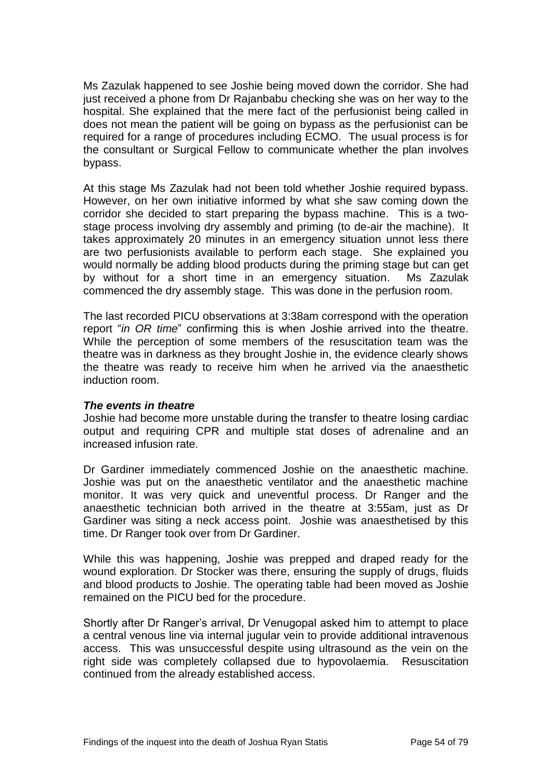Ms Zazulak happened to see Joshie being moved down the corridor. She had just received a phone from Dr Rajanbabu checking she was on her way to the hospital. She explained that the mere fact of the perfusionist being called in does not mean the patient will be going on bypass as the perfusionist can be required for a range of procedures including ECMO. The usual process is for the consultant or Surgical Fellow to communicate whether the plan involves bypass.

At this stage Ms Zazulak had not been told whether Joshie required bypass. However, on her own initiative informed by what she saw coming down the corridor she decided to start preparing the bypass machine. This is a twostage process involving dry assembly and priming (to de-air the machine). It takes approximately 20 minutes in an emergency situation unnot less there are two perfusionists available to perform each stage. She explained you would normally be adding blood products during the priming stage but can get by without for a short time in an emergency situation. Ms Zazulak commenced the dry assembly stage. This was done in the perfusion room.

The last recorded PICU observations at 3:38am correspond with the operation report "*in OR time*" confirming this is when Joshie arrived into the theatre. While the perception of some members of the resuscitation team was the theatre was in darkness as they brought Joshie in, the evidence clearly shows the theatre was ready to receive him when he arrived via the anaesthetic induction room.

# *The events in theatre*

Joshie had become more unstable during the transfer to theatre losing cardiac output and requiring CPR and multiple stat doses of adrenaline and an increased infusion rate.

Dr Gardiner immediately commenced Joshie on the anaesthetic machine. Joshie was put on the anaesthetic ventilator and the anaesthetic machine monitor. It was very quick and uneventful process. Dr Ranger and the anaesthetic technician both arrived in the theatre at 3:55am, just as Dr Gardiner was siting a neck access point. Joshie was anaesthetised by this time. Dr Ranger took over from Dr Gardiner.

While this was happening, Joshie was prepped and draped ready for the wound exploration. Dr Stocker was there, ensuring the supply of drugs, fluids and blood products to Joshie. The operating table had been moved as Joshie remained on the PICU bed for the procedure.

Shortly after Dr Ranger's arrival, Dr Venugopal asked him to attempt to place a central venous line via internal jugular vein to provide additional intravenous access. This was unsuccessful despite using ultrasound as the vein on the right side was completely collapsed due to hypovolaemia. Resuscitation continued from the already established access.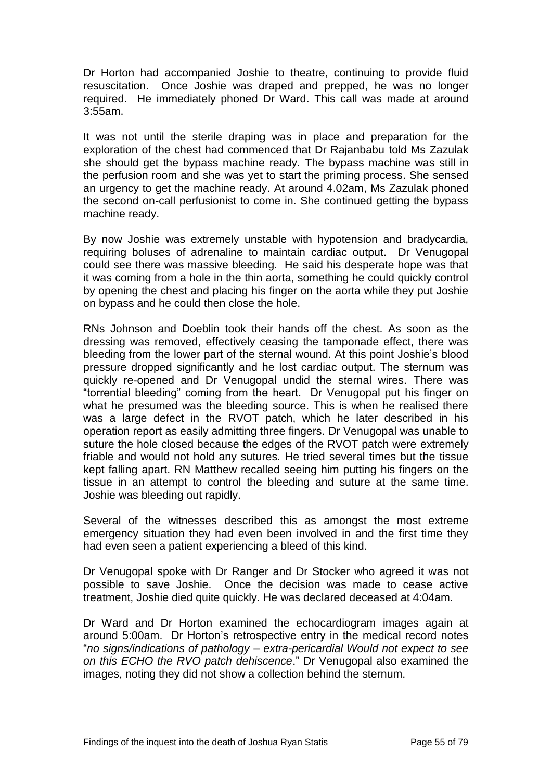Dr Horton had accompanied Joshie to theatre, continuing to provide fluid resuscitation. Once Joshie was draped and prepped, he was no longer required. He immediately phoned Dr Ward. This call was made at around 3:55am.

It was not until the sterile draping was in place and preparation for the exploration of the chest had commenced that Dr Rajanbabu told Ms Zazulak she should get the bypass machine ready. The bypass machine was still in the perfusion room and she was yet to start the priming process. She sensed an urgency to get the machine ready. At around 4.02am, Ms Zazulak phoned the second on-call perfusionist to come in. She continued getting the bypass machine ready.

By now Joshie was extremely unstable with hypotension and bradycardia, requiring boluses of adrenaline to maintain cardiac output. Dr Venugopal could see there was massive bleeding. He said his desperate hope was that it was coming from a hole in the thin aorta, something he could quickly control by opening the chest and placing his finger on the aorta while they put Joshie on bypass and he could then close the hole.

RNs Johnson and Doeblin took their hands off the chest. As soon as the dressing was removed, effectively ceasing the tamponade effect, there was bleeding from the lower part of the sternal wound. At this point Joshie's blood pressure dropped significantly and he lost cardiac output. The sternum was quickly re-opened and Dr Venugopal undid the sternal wires. There was "torrential bleeding" coming from the heart. Dr Venugopal put his finger on what he presumed was the bleeding source. This is when he realised there was a large defect in the RVOT patch, which he later described in his operation report as easily admitting three fingers. Dr Venugopal was unable to suture the hole closed because the edges of the RVOT patch were extremely friable and would not hold any sutures. He tried several times but the tissue kept falling apart. RN Matthew recalled seeing him putting his fingers on the tissue in an attempt to control the bleeding and suture at the same time. Joshie was bleeding out rapidly.

Several of the witnesses described this as amongst the most extreme emergency situation they had even been involved in and the first time they had even seen a patient experiencing a bleed of this kind.

Dr Venugopal spoke with Dr Ranger and Dr Stocker who agreed it was not possible to save Joshie. Once the decision was made to cease active treatment, Joshie died quite quickly. He was declared deceased at 4:04am.

Dr Ward and Dr Horton examined the echocardiogram images again at around 5:00am. Dr Horton's retrospective entry in the medical record notes "*no signs/indications of pathology – extra-pericardial Would not expect to see on this ECHO the RVO patch dehiscence*." Dr Venugopal also examined the images, noting they did not show a collection behind the sternum.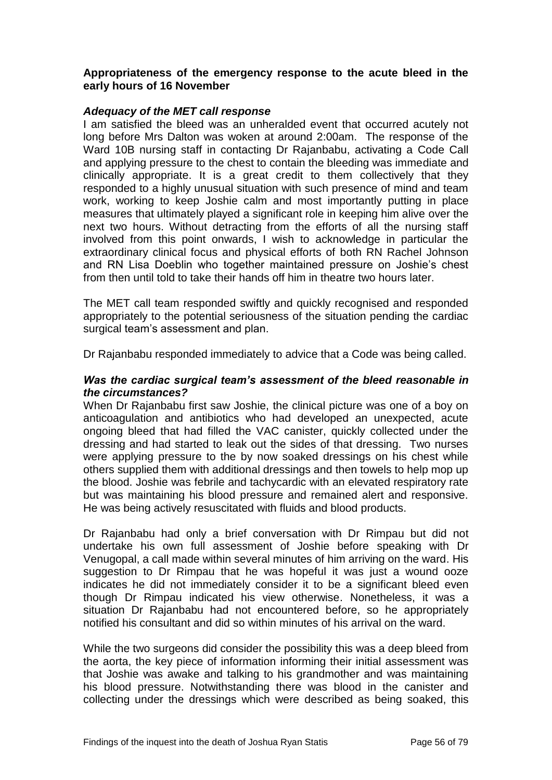## **Appropriateness of the emergency response to the acute bleed in the early hours of 16 November**

## *Adequacy of the MET call response*

I am satisfied the bleed was an unheralded event that occurred acutely not long before Mrs Dalton was woken at around 2:00am. The response of the Ward 10B nursing staff in contacting Dr Rajanbabu, activating a Code Call and applying pressure to the chest to contain the bleeding was immediate and clinically appropriate. It is a great credit to them collectively that they responded to a highly unusual situation with such presence of mind and team work, working to keep Joshie calm and most importantly putting in place measures that ultimately played a significant role in keeping him alive over the next two hours. Without detracting from the efforts of all the nursing staff involved from this point onwards, I wish to acknowledge in particular the extraordinary clinical focus and physical efforts of both RN Rachel Johnson and RN Lisa Doeblin who together maintained pressure on Joshie's chest from then until told to take their hands off him in theatre two hours later.

The MET call team responded swiftly and quickly recognised and responded appropriately to the potential seriousness of the situation pending the cardiac surgical team's assessment and plan.

Dr Rajanbabu responded immediately to advice that a Code was being called.

## *Was the cardiac surgical team's assessment of the bleed reasonable in the circumstances?*

When Dr Rajanbabu first saw Joshie, the clinical picture was one of a boy on anticoagulation and antibiotics who had developed an unexpected, acute ongoing bleed that had filled the VAC canister, quickly collected under the dressing and had started to leak out the sides of that dressing. Two nurses were applying pressure to the by now soaked dressings on his chest while others supplied them with additional dressings and then towels to help mop up the blood. Joshie was febrile and tachycardic with an elevated respiratory rate but was maintaining his blood pressure and remained alert and responsive. He was being actively resuscitated with fluids and blood products.

Dr Rajanbabu had only a brief conversation with Dr Rimpau but did not undertake his own full assessment of Joshie before speaking with Dr Venugopal, a call made within several minutes of him arriving on the ward. His suggestion to Dr Rimpau that he was hopeful it was just a wound ooze indicates he did not immediately consider it to be a significant bleed even though Dr Rimpau indicated his view otherwise. Nonetheless, it was a situation Dr Rajanbabu had not encountered before, so he appropriately notified his consultant and did so within minutes of his arrival on the ward.

While the two surgeons did consider the possibility this was a deep bleed from the aorta, the key piece of information informing their initial assessment was that Joshie was awake and talking to his grandmother and was maintaining his blood pressure. Notwithstanding there was blood in the canister and collecting under the dressings which were described as being soaked, this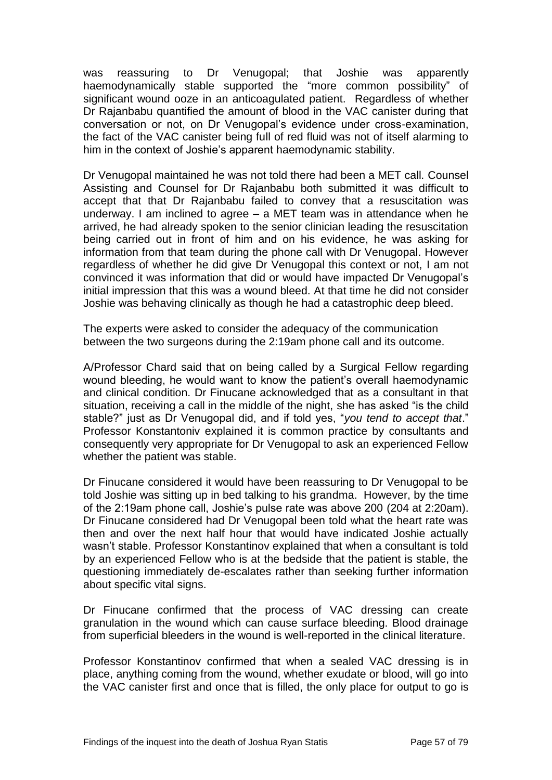was reassuring to Dr Venugopal; that Joshie was apparently haemodynamically stable supported the "more common possibility" of significant wound ooze in an anticoagulated patient. Regardless of whether Dr Rajanbabu quantified the amount of blood in the VAC canister during that conversation or not, on Dr Venugopal's evidence under cross-examination, the fact of the VAC canister being full of red fluid was not of itself alarming to him in the context of Joshie's apparent haemodynamic stability.

Dr Venugopal maintained he was not told there had been a MET call. Counsel Assisting and Counsel for Dr Rajanbabu both submitted it was difficult to accept that that Dr Rajanbabu failed to convey that a resuscitation was underway. I am inclined to agree – a MET team was in attendance when he arrived, he had already spoken to the senior clinician leading the resuscitation being carried out in front of him and on his evidence, he was asking for information from that team during the phone call with Dr Venugopal. However regardless of whether he did give Dr Venugopal this context or not, I am not convinced it was information that did or would have impacted Dr Venugopal's initial impression that this was a wound bleed. At that time he did not consider Joshie was behaving clinically as though he had a catastrophic deep bleed.

The experts were asked to consider the adequacy of the communication between the two surgeons during the 2:19am phone call and its outcome.

A/Professor Chard said that on being called by a Surgical Fellow regarding wound bleeding, he would want to know the patient's overall haemodynamic and clinical condition. Dr Finucane acknowledged that as a consultant in that situation, receiving a call in the middle of the night, she has asked "is the child stable?" just as Dr Venugopal did, and if told yes, "*you tend to accept that*." Professor Konstantoniv explained it is common practice by consultants and consequently very appropriate for Dr Venugopal to ask an experienced Fellow whether the patient was stable.

Dr Finucane considered it would have been reassuring to Dr Venugopal to be told Joshie was sitting up in bed talking to his grandma. However, by the time of the 2:19am phone call, Joshie's pulse rate was above 200 (204 at 2:20am). Dr Finucane considered had Dr Venugopal been told what the heart rate was then and over the next half hour that would have indicated Joshie actually wasn't stable. Professor Konstantinov explained that when a consultant is told by an experienced Fellow who is at the bedside that the patient is stable, the questioning immediately de-escalates rather than seeking further information about specific vital signs.

Dr Finucane confirmed that the process of VAC dressing can create granulation in the wound which can cause surface bleeding. Blood drainage from superficial bleeders in the wound is well-reported in the clinical literature.

Professor Konstantinov confirmed that when a sealed VAC dressing is in place, anything coming from the wound, whether exudate or blood, will go into the VAC canister first and once that is filled, the only place for output to go is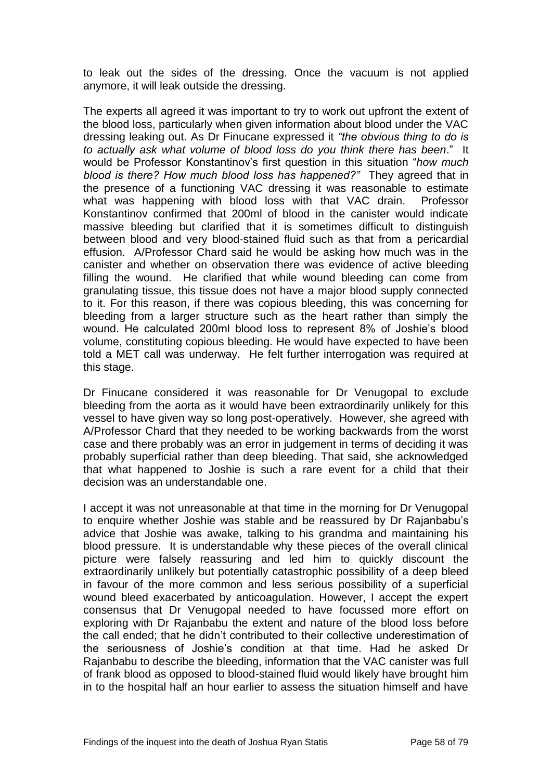to leak out the sides of the dressing. Once the vacuum is not applied anymore, it will leak outside the dressing.

The experts all agreed it was important to try to work out upfront the extent of the blood loss, particularly when given information about blood under the VAC dressing leaking out. As Dr Finucane expressed it *"the obvious thing to do is to actually ask what volume of blood loss do you think there has been*." It would be Professor Konstantinov's first question in this situation "*how much blood is there? How much blood loss has happened?"* They agreed that in the presence of a functioning VAC dressing it was reasonable to estimate what was happening with blood loss with that VAC drain. Professor Konstantinov confirmed that 200ml of blood in the canister would indicate massive bleeding but clarified that it is sometimes difficult to distinguish between blood and very blood-stained fluid such as that from a pericardial effusion. A/Professor Chard said he would be asking how much was in the canister and whether on observation there was evidence of active bleeding filling the wound. He clarified that while wound bleeding can come from granulating tissue, this tissue does not have a major blood supply connected to it. For this reason, if there was copious bleeding, this was concerning for bleeding from a larger structure such as the heart rather than simply the wound. He calculated 200ml blood loss to represent 8% of Joshie's blood volume, constituting copious bleeding. He would have expected to have been told a MET call was underway. He felt further interrogation was required at this stage.

Dr Finucane considered it was reasonable for Dr Venugopal to exclude bleeding from the aorta as it would have been extraordinarily unlikely for this vessel to have given way so long post-operatively. However, she agreed with A/Professor Chard that they needed to be working backwards from the worst case and there probably was an error in judgement in terms of deciding it was probably superficial rather than deep bleeding. That said, she acknowledged that what happened to Joshie is such a rare event for a child that their decision was an understandable one.

I accept it was not unreasonable at that time in the morning for Dr Venugopal to enquire whether Joshie was stable and be reassured by Dr Rajanbabu's advice that Joshie was awake, talking to his grandma and maintaining his blood pressure. It is understandable why these pieces of the overall clinical picture were falsely reassuring and led him to quickly discount the extraordinarily unlikely but potentially catastrophic possibility of a deep bleed in favour of the more common and less serious possibility of a superficial wound bleed exacerbated by anticoagulation. However, I accept the expert consensus that Dr Venugopal needed to have focussed more effort on exploring with Dr Rajanbabu the extent and nature of the blood loss before the call ended; that he didn't contributed to their collective underestimation of the seriousness of Joshie's condition at that time. Had he asked Dr Rajanbabu to describe the bleeding, information that the VAC canister was full of frank blood as opposed to blood-stained fluid would likely have brought him in to the hospital half an hour earlier to assess the situation himself and have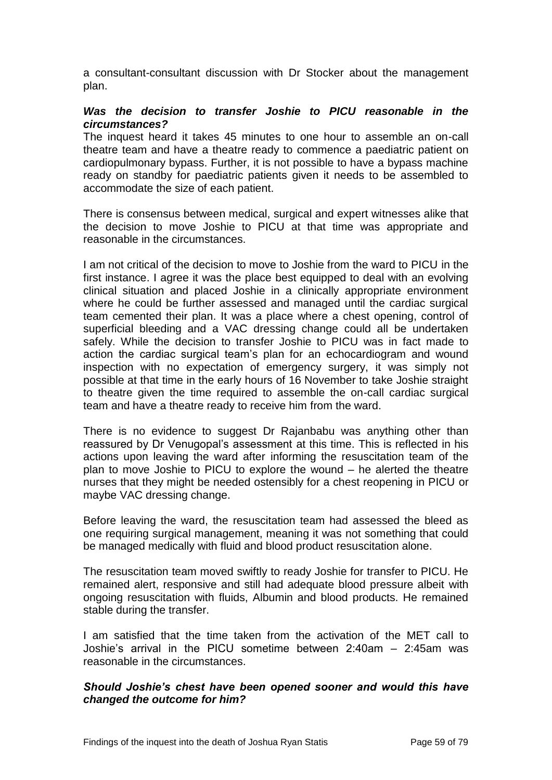a consultant-consultant discussion with Dr Stocker about the management plan.

## *Was the decision to transfer Joshie to PICU reasonable in the circumstances?*

The inquest heard it takes 45 minutes to one hour to assemble an on-call theatre team and have a theatre ready to commence a paediatric patient on cardiopulmonary bypass. Further, it is not possible to have a bypass machine ready on standby for paediatric patients given it needs to be assembled to accommodate the size of each patient.

There is consensus between medical, surgical and expert witnesses alike that the decision to move Joshie to PICU at that time was appropriate and reasonable in the circumstances.

I am not critical of the decision to move to Joshie from the ward to PICU in the first instance. I agree it was the place best equipped to deal with an evolving clinical situation and placed Joshie in a clinically appropriate environment where he could be further assessed and managed until the cardiac surgical team cemented their plan. It was a place where a chest opening, control of superficial bleeding and a VAC dressing change could all be undertaken safely. While the decision to transfer Joshie to PICU was in fact made to action the cardiac surgical team's plan for an echocardiogram and wound inspection with no expectation of emergency surgery, it was simply not possible at that time in the early hours of 16 November to take Joshie straight to theatre given the time required to assemble the on-call cardiac surgical team and have a theatre ready to receive him from the ward.

There is no evidence to suggest Dr Rajanbabu was anything other than reassured by Dr Venugopal's assessment at this time. This is reflected in his actions upon leaving the ward after informing the resuscitation team of the plan to move Joshie to PICU to explore the wound – he alerted the theatre nurses that they might be needed ostensibly for a chest reopening in PICU or maybe VAC dressing change.

Before leaving the ward, the resuscitation team had assessed the bleed as one requiring surgical management, meaning it was not something that could be managed medically with fluid and blood product resuscitation alone.

The resuscitation team moved swiftly to ready Joshie for transfer to PICU. He remained alert, responsive and still had adequate blood pressure albeit with ongoing resuscitation with fluids, Albumin and blood products. He remained stable during the transfer.

I am satisfied that the time taken from the activation of the MET call to Joshie's arrival in the PICU sometime between 2:40am – 2:45am was reasonable in the circumstances.

# *Should Joshie's chest have been opened sooner and would this have changed the outcome for him?*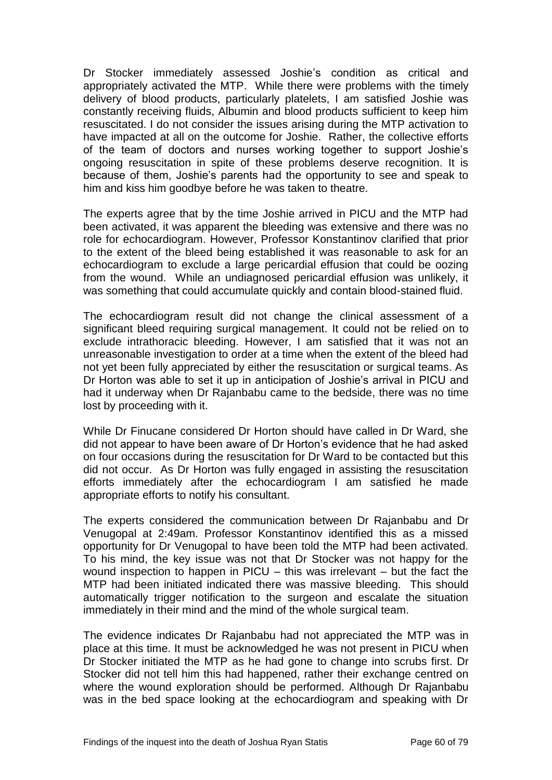Dr Stocker immediately assessed Joshie's condition as critical and appropriately activated the MTP. While there were problems with the timely delivery of blood products, particularly platelets, I am satisfied Joshie was constantly receiving fluids, Albumin and blood products sufficient to keep him resuscitated. I do not consider the issues arising during the MTP activation to have impacted at all on the outcome for Joshie. Rather, the collective efforts of the team of doctors and nurses working together to support Joshie's ongoing resuscitation in spite of these problems deserve recognition. It is because of them, Joshie's parents had the opportunity to see and speak to him and kiss him goodbye before he was taken to theatre.

The experts agree that by the time Joshie arrived in PICU and the MTP had been activated, it was apparent the bleeding was extensive and there was no role for echocardiogram. However, Professor Konstantinov clarified that prior to the extent of the bleed being established it was reasonable to ask for an echocardiogram to exclude a large pericardial effusion that could be oozing from the wound. While an undiagnosed pericardial effusion was unlikely, it was something that could accumulate quickly and contain blood-stained fluid.

The echocardiogram result did not change the clinical assessment of a significant bleed requiring surgical management. It could not be relied on to exclude intrathoracic bleeding. However, I am satisfied that it was not an unreasonable investigation to order at a time when the extent of the bleed had not yet been fully appreciated by either the resuscitation or surgical teams. As Dr Horton was able to set it up in anticipation of Joshie's arrival in PICU and had it underway when Dr Rajanbabu came to the bedside, there was no time lost by proceeding with it.

While Dr Finucane considered Dr Horton should have called in Dr Ward, she did not appear to have been aware of Dr Horton's evidence that he had asked on four occasions during the resuscitation for Dr Ward to be contacted but this did not occur. As Dr Horton was fully engaged in assisting the resuscitation efforts immediately after the echocardiogram I am satisfied he made appropriate efforts to notify his consultant.

The experts considered the communication between Dr Rajanbabu and Dr Venugopal at 2:49am. Professor Konstantinov identified this as a missed opportunity for Dr Venugopal to have been told the MTP had been activated. To his mind, the key issue was not that Dr Stocker was not happy for the wound inspection to happen in PICU – this was irrelevant – but the fact the MTP had been initiated indicated there was massive bleeding. This should automatically trigger notification to the surgeon and escalate the situation immediately in their mind and the mind of the whole surgical team.

The evidence indicates Dr Rajanbabu had not appreciated the MTP was in place at this time. It must be acknowledged he was not present in PICU when Dr Stocker initiated the MTP as he had gone to change into scrubs first. Dr Stocker did not tell him this had happened, rather their exchange centred on where the wound exploration should be performed. Although Dr Rajanbabu was in the bed space looking at the echocardiogram and speaking with Dr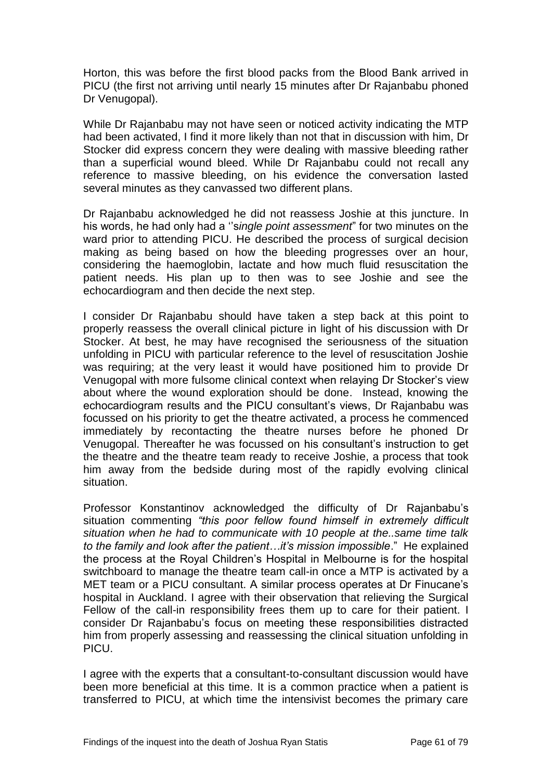Horton, this was before the first blood packs from the Blood Bank arrived in PICU (the first not arriving until nearly 15 minutes after Dr Rajanbabu phoned Dr Venugopal).

While Dr Rajanbabu may not have seen or noticed activity indicating the MTP had been activated, I find it more likely than not that in discussion with him, Dr Stocker did express concern they were dealing with massive bleeding rather than a superficial wound bleed. While Dr Rajanbabu could not recall any reference to massive bleeding, on his evidence the conversation lasted several minutes as they canvassed two different plans.

Dr Rajanbabu acknowledged he did not reassess Joshie at this juncture. In his words, he had only had a ''s*ingle point assessment*" for two minutes on the ward prior to attending PICU. He described the process of surgical decision making as being based on how the bleeding progresses over an hour, considering the haemoglobin, lactate and how much fluid resuscitation the patient needs. His plan up to then was to see Joshie and see the echocardiogram and then decide the next step.

I consider Dr Rajanbabu should have taken a step back at this point to properly reassess the overall clinical picture in light of his discussion with Dr Stocker. At best, he may have recognised the seriousness of the situation unfolding in PICU with particular reference to the level of resuscitation Joshie was requiring; at the very least it would have positioned him to provide Dr Venugopal with more fulsome clinical context when relaying Dr Stocker's view about where the wound exploration should be done. Instead, knowing the echocardiogram results and the PICU consultant's views, Dr Rajanbabu was focussed on his priority to get the theatre activated, a process he commenced immediately by recontacting the theatre nurses before he phoned Dr Venugopal. Thereafter he was focussed on his consultant's instruction to get the theatre and the theatre team ready to receive Joshie, a process that took him away from the bedside during most of the rapidly evolving clinical situation.

Professor Konstantinov acknowledged the difficulty of Dr Rajanbabu's situation commenting *"this poor fellow found himself in extremely difficult situation when he had to communicate with 10 people at the..same time talk to the family and look after the patient…it's mission impossible*." He explained the process at the Royal Children's Hospital in Melbourne is for the hospital switchboard to manage the theatre team call-in once a MTP is activated by a MET team or a PICU consultant. A similar process operates at Dr Finucane's hospital in Auckland. I agree with their observation that relieving the Surgical Fellow of the call-in responsibility frees them up to care for their patient. I consider Dr Rajanbabu's focus on meeting these responsibilities distracted him from properly assessing and reassessing the clinical situation unfolding in PICU.

I agree with the experts that a consultant-to-consultant discussion would have been more beneficial at this time. It is a common practice when a patient is transferred to PICU, at which time the intensivist becomes the primary care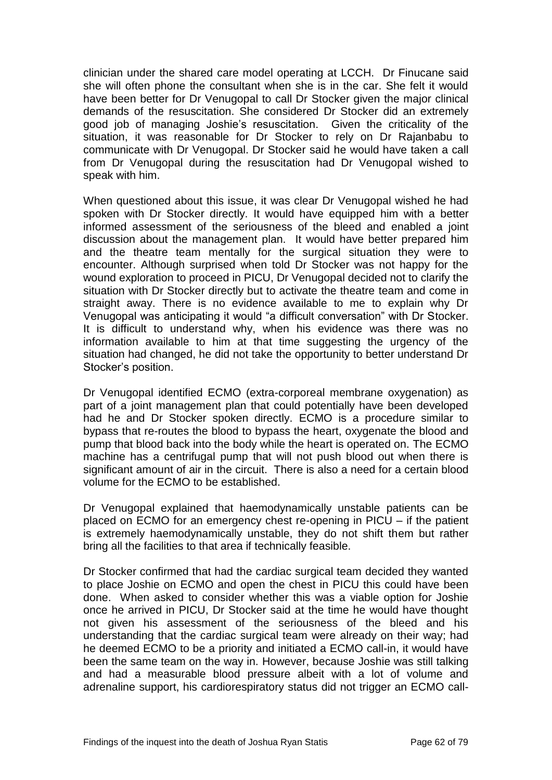clinician under the shared care model operating at LCCH. Dr Finucane said she will often phone the consultant when she is in the car. She felt it would have been better for Dr Venugopal to call Dr Stocker given the major clinical demands of the resuscitation. She considered Dr Stocker did an extremely good job of managing Joshie's resuscitation. Given the criticality of the situation, it was reasonable for Dr Stocker to rely on Dr Rajanbabu to communicate with Dr Venugopal. Dr Stocker said he would have taken a call from Dr Venugopal during the resuscitation had Dr Venugopal wished to speak with him.

When questioned about this issue, it was clear Dr Venugopal wished he had spoken with Dr Stocker directly. It would have equipped him with a better informed assessment of the seriousness of the bleed and enabled a joint discussion about the management plan. It would have better prepared him and the theatre team mentally for the surgical situation they were to encounter. Although surprised when told Dr Stocker was not happy for the wound exploration to proceed in PICU, Dr Venugopal decided not to clarify the situation with Dr Stocker directly but to activate the theatre team and come in straight away. There is no evidence available to me to explain why Dr Venugopal was anticipating it would "a difficult conversation" with Dr Stocker. It is difficult to understand why, when his evidence was there was no information available to him at that time suggesting the urgency of the situation had changed, he did not take the opportunity to better understand Dr Stocker's position.

Dr Venugopal identified ECMO (extra-corporeal membrane oxygenation) as part of a joint management plan that could potentially have been developed had he and Dr Stocker spoken directly. ECMO is a procedure similar to bypass that re-routes the blood to bypass the heart, oxygenate the blood and pump that blood back into the body while the heart is operated on. The ECMO machine has a centrifugal pump that will not push blood out when there is significant amount of air in the circuit. There is also a need for a certain blood volume for the ECMO to be established.

Dr Venugopal explained that haemodynamically unstable patients can be placed on ECMO for an emergency chest re-opening in PICU – if the patient is extremely haemodynamically unstable, they do not shift them but rather bring all the facilities to that area if technically feasible.

Dr Stocker confirmed that had the cardiac surgical team decided they wanted to place Joshie on ECMO and open the chest in PICU this could have been done. When asked to consider whether this was a viable option for Joshie once he arrived in PICU, Dr Stocker said at the time he would have thought not given his assessment of the seriousness of the bleed and his understanding that the cardiac surgical team were already on their way; had he deemed ECMO to be a priority and initiated a ECMO call-in, it would have been the same team on the way in. However, because Joshie was still talking and had a measurable blood pressure albeit with a lot of volume and adrenaline support, his cardiorespiratory status did not trigger an ECMO call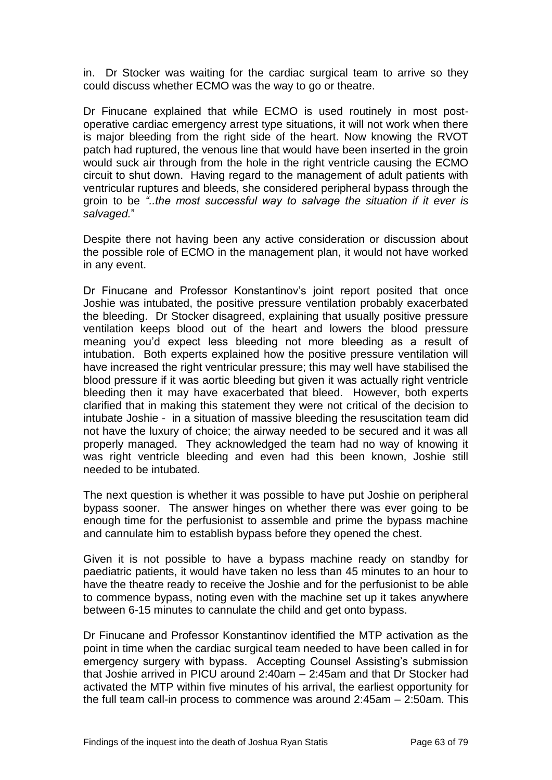in. Dr Stocker was waiting for the cardiac surgical team to arrive so they could discuss whether ECMO was the way to go or theatre.

Dr Finucane explained that while ECMO is used routinely in most postoperative cardiac emergency arrest type situations, it will not work when there is major bleeding from the right side of the heart. Now knowing the RVOT patch had ruptured, the venous line that would have been inserted in the groin would suck air through from the hole in the right ventricle causing the ECMO circuit to shut down. Having regard to the management of adult patients with ventricular ruptures and bleeds, she considered peripheral bypass through the groin to be *"..the most successful way to salvage the situation if it ever is salvaged.*"

Despite there not having been any active consideration or discussion about the possible role of ECMO in the management plan, it would not have worked in any event.

Dr Finucane and Professor Konstantinov's joint report posited that once Joshie was intubated, the positive pressure ventilation probably exacerbated the bleeding. Dr Stocker disagreed, explaining that usually positive pressure ventilation keeps blood out of the heart and lowers the blood pressure meaning you'd expect less bleeding not more bleeding as a result of intubation. Both experts explained how the positive pressure ventilation will have increased the right ventricular pressure; this may well have stabilised the blood pressure if it was aortic bleeding but given it was actually right ventricle bleeding then it may have exacerbated that bleed. However, both experts clarified that in making this statement they were not critical of the decision to intubate Joshie - in a situation of massive bleeding the resuscitation team did not have the luxury of choice; the airway needed to be secured and it was all properly managed. They acknowledged the team had no way of knowing it was right ventricle bleeding and even had this been known, Joshie still needed to be intubated.

The next question is whether it was possible to have put Joshie on peripheral bypass sooner. The answer hinges on whether there was ever going to be enough time for the perfusionist to assemble and prime the bypass machine and cannulate him to establish bypass before they opened the chest.

Given it is not possible to have a bypass machine ready on standby for paediatric patients, it would have taken no less than 45 minutes to an hour to have the theatre ready to receive the Joshie and for the perfusionist to be able to commence bypass, noting even with the machine set up it takes anywhere between 6-15 minutes to cannulate the child and get onto bypass.

Dr Finucane and Professor Konstantinov identified the MTP activation as the point in time when the cardiac surgical team needed to have been called in for emergency surgery with bypass. Accepting Counsel Assisting's submission that Joshie arrived in PICU around 2:40am – 2:45am and that Dr Stocker had activated the MTP within five minutes of his arrival, the earliest opportunity for the full team call-in process to commence was around 2:45am – 2:50am. This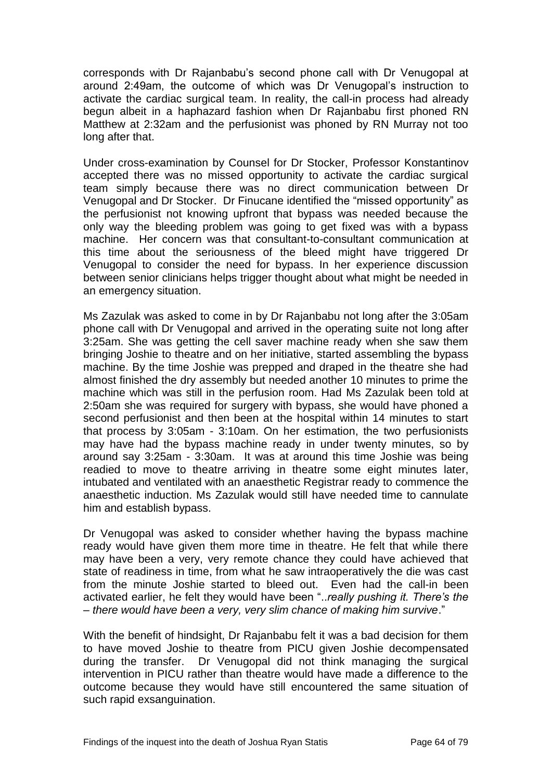corresponds with Dr Rajanbabu's second phone call with Dr Venugopal at around 2:49am, the outcome of which was Dr Venugopal's instruction to activate the cardiac surgical team. In reality, the call-in process had already begun albeit in a haphazard fashion when Dr Rajanbabu first phoned RN Matthew at 2:32am and the perfusionist was phoned by RN Murray not too long after that.

Under cross-examination by Counsel for Dr Stocker, Professor Konstantinov accepted there was no missed opportunity to activate the cardiac surgical team simply because there was no direct communication between Dr Venugopal and Dr Stocker. Dr Finucane identified the "missed opportunity" as the perfusionist not knowing upfront that bypass was needed because the only way the bleeding problem was going to get fixed was with a bypass machine. Her concern was that consultant-to-consultant communication at this time about the seriousness of the bleed might have triggered Dr Venugopal to consider the need for bypass. In her experience discussion between senior clinicians helps trigger thought about what might be needed in an emergency situation.

Ms Zazulak was asked to come in by Dr Rajanbabu not long after the 3:05am phone call with Dr Venugopal and arrived in the operating suite not long after 3:25am. She was getting the cell saver machine ready when she saw them bringing Joshie to theatre and on her initiative, started assembling the bypass machine. By the time Joshie was prepped and draped in the theatre she had almost finished the dry assembly but needed another 10 minutes to prime the machine which was still in the perfusion room. Had Ms Zazulak been told at 2:50am she was required for surgery with bypass, she would have phoned a second perfusionist and then been at the hospital within 14 minutes to start that process by 3:05am - 3:10am. On her estimation, the two perfusionists may have had the bypass machine ready in under twenty minutes, so by around say 3:25am - 3:30am. It was at around this time Joshie was being readied to move to theatre arriving in theatre some eight minutes later, intubated and ventilated with an anaesthetic Registrar ready to commence the anaesthetic induction. Ms Zazulak would still have needed time to cannulate him and establish bypass.

Dr Venugopal was asked to consider whether having the bypass machine ready would have given them more time in theatre. He felt that while there may have been a very, very remote chance they could have achieved that state of readiness in time, from what he saw intraoperatively the die was cast from the minute Joshie started to bleed out. Even had the call-in been activated earlier, he felt they would have been "..*really pushing it. There's the – there would have been a very, very slim chance of making him survive*."

With the benefit of hindsight, Dr Rajanbabu felt it was a bad decision for them to have moved Joshie to theatre from PICU given Joshie decompensated during the transfer. Dr Venugopal did not think managing the surgical intervention in PICU rather than theatre would have made a difference to the outcome because they would have still encountered the same situation of such rapid exsanguination.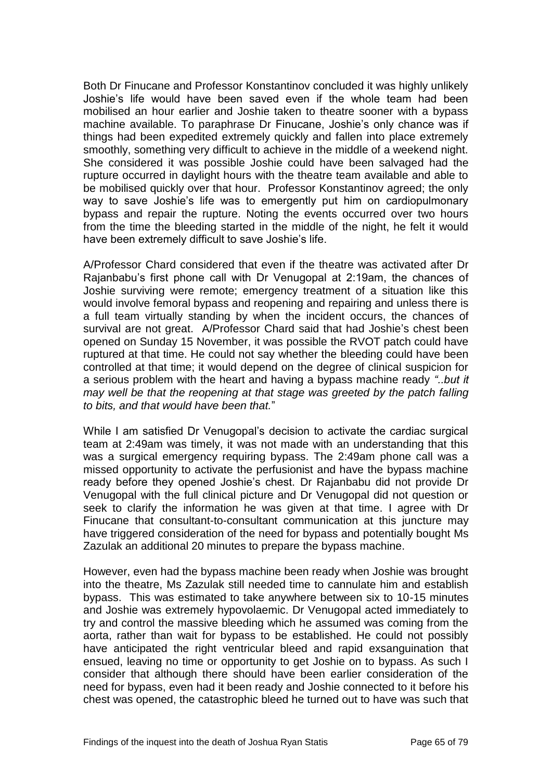Both Dr Finucane and Professor Konstantinov concluded it was highly unlikely Joshie's life would have been saved even if the whole team had been mobilised an hour earlier and Joshie taken to theatre sooner with a bypass machine available. To paraphrase Dr Finucane, Joshie's only chance was if things had been expedited extremely quickly and fallen into place extremely smoothly, something very difficult to achieve in the middle of a weekend night. She considered it was possible Joshie could have been salvaged had the rupture occurred in daylight hours with the theatre team available and able to be mobilised quickly over that hour. Professor Konstantinov agreed; the only way to save Joshie's life was to emergently put him on cardiopulmonary bypass and repair the rupture. Noting the events occurred over two hours from the time the bleeding started in the middle of the night, he felt it would have been extremely difficult to save Joshie's life.

A/Professor Chard considered that even if the theatre was activated after Dr Rajanbabu's first phone call with Dr Venugopal at 2:19am, the chances of Joshie surviving were remote; emergency treatment of a situation like this would involve femoral bypass and reopening and repairing and unless there is a full team virtually standing by when the incident occurs, the chances of survival are not great. A/Professor Chard said that had Joshie's chest been opened on Sunday 15 November, it was possible the RVOT patch could have ruptured at that time. He could not say whether the bleeding could have been controlled at that time; it would depend on the degree of clinical suspicion for a serious problem with the heart and having a bypass machine ready *"..but it may well be that the reopening at that stage was greeted by the patch falling to bits, and that would have been that.*"

While I am satisfied Dr Venugopal's decision to activate the cardiac surgical team at 2:49am was timely, it was not made with an understanding that this was a surgical emergency requiring bypass. The 2:49am phone call was a missed opportunity to activate the perfusionist and have the bypass machine ready before they opened Joshie's chest. Dr Rajanbabu did not provide Dr Venugopal with the full clinical picture and Dr Venugopal did not question or seek to clarify the information he was given at that time. I agree with Dr Finucane that consultant-to-consultant communication at this juncture may have triggered consideration of the need for bypass and potentially bought Ms Zazulak an additional 20 minutes to prepare the bypass machine.

However, even had the bypass machine been ready when Joshie was brought into the theatre, Ms Zazulak still needed time to cannulate him and establish bypass. This was estimated to take anywhere between six to 10-15 minutes and Joshie was extremely hypovolaemic. Dr Venugopal acted immediately to try and control the massive bleeding which he assumed was coming from the aorta, rather than wait for bypass to be established. He could not possibly have anticipated the right ventricular bleed and rapid exsanguination that ensued, leaving no time or opportunity to get Joshie on to bypass. As such I consider that although there should have been earlier consideration of the need for bypass, even had it been ready and Joshie connected to it before his chest was opened, the catastrophic bleed he turned out to have was such that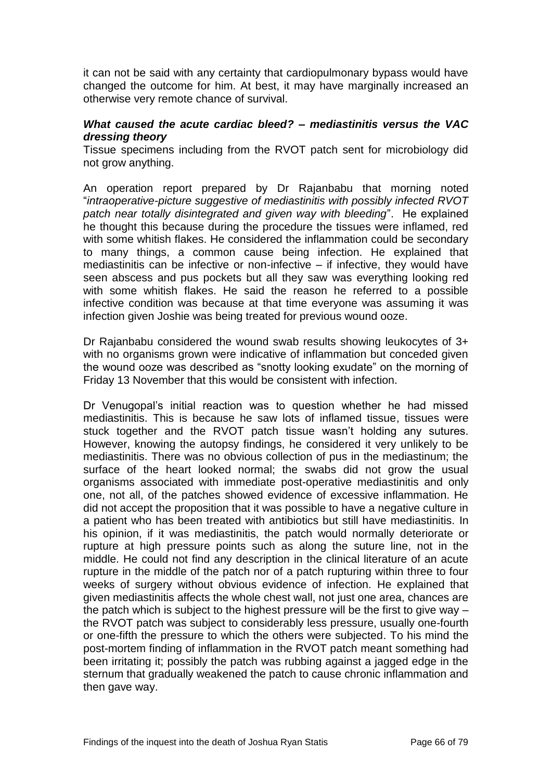it can not be said with any certainty that cardiopulmonary bypass would have changed the outcome for him. At best, it may have marginally increased an otherwise very remote chance of survival.

## *What caused the acute cardiac bleed? – mediastinitis versus the VAC dressing theory*

Tissue specimens including from the RVOT patch sent for microbiology did not grow anything.

An operation report prepared by Dr Rajanbabu that morning noted "*intraoperative-picture suggestive of mediastinitis with possibly infected RVOT patch near totally disintegrated and given way with bleeding*". He explained he thought this because during the procedure the tissues were inflamed, red with some whitish flakes. He considered the inflammation could be secondary to many things, a common cause being infection. He explained that mediastinitis can be infective or non-infective  $-$  if infective, they would have seen abscess and pus pockets but all they saw was everything looking red with some whitish flakes. He said the reason he referred to a possible infective condition was because at that time everyone was assuming it was infection given Joshie was being treated for previous wound ooze.

Dr Rajanbabu considered the wound swab results showing leukocytes of 3+ with no organisms grown were indicative of inflammation but conceded given the wound ooze was described as "snotty looking exudate" on the morning of Friday 13 November that this would be consistent with infection.

Dr Venugopal's initial reaction was to question whether he had missed mediastinitis. This is because he saw lots of inflamed tissue, tissues were stuck together and the RVOT patch tissue wasn't holding any sutures. However, knowing the autopsy findings, he considered it very unlikely to be mediastinitis. There was no obvious collection of pus in the mediastinum; the surface of the heart looked normal; the swabs did not grow the usual organisms associated with immediate post-operative mediastinitis and only one, not all, of the patches showed evidence of excessive inflammation. He did not accept the proposition that it was possible to have a negative culture in a patient who has been treated with antibiotics but still have mediastinitis. In his opinion, if it was mediastinitis, the patch would normally deteriorate or rupture at high pressure points such as along the suture line, not in the middle. He could not find any description in the clinical literature of an acute rupture in the middle of the patch nor of a patch rupturing within three to four weeks of surgery without obvious evidence of infection. He explained that given mediastinitis affects the whole chest wall, not just one area, chances are the patch which is subject to the highest pressure will be the first to give way – the RVOT patch was subject to considerably less pressure, usually one-fourth or one-fifth the pressure to which the others were subjected. To his mind the post-mortem finding of inflammation in the RVOT patch meant something had been irritating it; possibly the patch was rubbing against a jagged edge in the sternum that gradually weakened the patch to cause chronic inflammation and then gave way.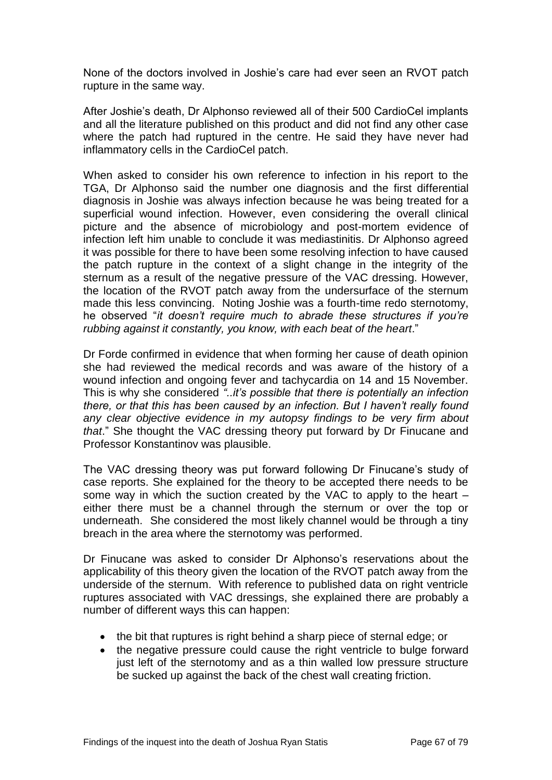None of the doctors involved in Joshie's care had ever seen an RVOT patch rupture in the same way.

After Joshie's death, Dr Alphonso reviewed all of their 500 CardioCel implants and all the literature published on this product and did not find any other case where the patch had ruptured in the centre. He said they have never had inflammatory cells in the CardioCel patch.

When asked to consider his own reference to infection in his report to the TGA, Dr Alphonso said the number one diagnosis and the first differential diagnosis in Joshie was always infection because he was being treated for a superficial wound infection. However, even considering the overall clinical picture and the absence of microbiology and post-mortem evidence of infection left him unable to conclude it was mediastinitis. Dr Alphonso agreed it was possible for there to have been some resolving infection to have caused the patch rupture in the context of a slight change in the integrity of the sternum as a result of the negative pressure of the VAC dressing. However, the location of the RVOT patch away from the undersurface of the sternum made this less convincing. Noting Joshie was a fourth-time redo sternotomy, he observed "*it doesn't require much to abrade these structures if you're rubbing against it constantly, you know, with each beat of the heart*."

Dr Forde confirmed in evidence that when forming her cause of death opinion she had reviewed the medical records and was aware of the history of a wound infection and ongoing fever and tachycardia on 14 and 15 November. This is why she considered *"..it's possible that there is potentially an infection there, or that this has been caused by an infection. But I haven't really found any clear objective evidence in my autopsy findings to be very firm about that*." She thought the VAC dressing theory put forward by Dr Finucane and Professor Konstantinov was plausible.

The VAC dressing theory was put forward following Dr Finucane's study of case reports. She explained for the theory to be accepted there needs to be some way in which the suction created by the VAC to apply to the heart – either there must be a channel through the sternum or over the top or underneath. She considered the most likely channel would be through a tiny breach in the area where the sternotomy was performed.

Dr Finucane was asked to consider Dr Alphonso's reservations about the applicability of this theory given the location of the RVOT patch away from the underside of the sternum. With reference to published data on right ventricle ruptures associated with VAC dressings, she explained there are probably a number of different ways this can happen:

- the bit that ruptures is right behind a sharp piece of sternal edge; or
- the negative pressure could cause the right ventricle to bulge forward just left of the sternotomy and as a thin walled low pressure structure be sucked up against the back of the chest wall creating friction.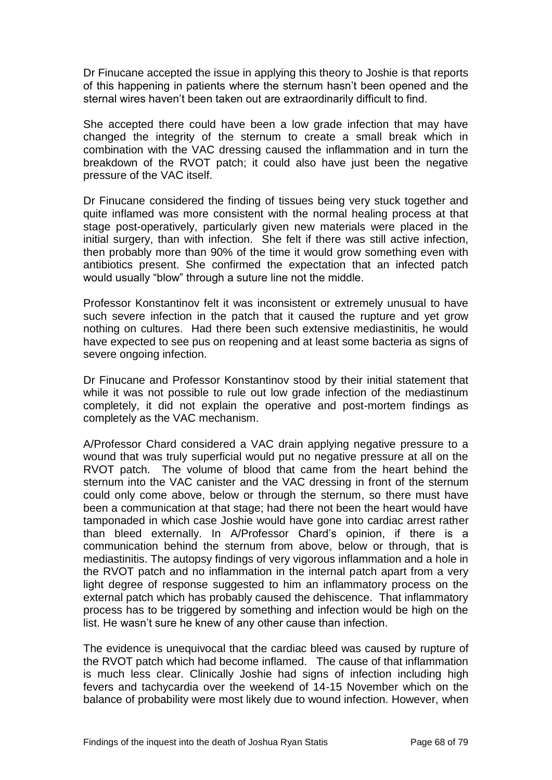Dr Finucane accepted the issue in applying this theory to Joshie is that reports of this happening in patients where the sternum hasn't been opened and the sternal wires haven't been taken out are extraordinarily difficult to find.

She accepted there could have been a low grade infection that may have changed the integrity of the sternum to create a small break which in combination with the VAC dressing caused the inflammation and in turn the breakdown of the RVOT patch; it could also have just been the negative pressure of the VAC itself.

Dr Finucane considered the finding of tissues being very stuck together and quite inflamed was more consistent with the normal healing process at that stage post-operatively, particularly given new materials were placed in the initial surgery, than with infection. She felt if there was still active infection, then probably more than 90% of the time it would grow something even with antibiotics present. She confirmed the expectation that an infected patch would usually "blow" through a suture line not the middle.

Professor Konstantinov felt it was inconsistent or extremely unusual to have such severe infection in the patch that it caused the rupture and yet grow nothing on cultures. Had there been such extensive mediastinitis, he would have expected to see pus on reopening and at least some bacteria as signs of severe ongoing infection.

Dr Finucane and Professor Konstantinov stood by their initial statement that while it was not possible to rule out low grade infection of the mediastinum completely, it did not explain the operative and post-mortem findings as completely as the VAC mechanism.

A/Professor Chard considered a VAC drain applying negative pressure to a wound that was truly superficial would put no negative pressure at all on the RVOT patch. The volume of blood that came from the heart behind the sternum into the VAC canister and the VAC dressing in front of the sternum could only come above, below or through the sternum, so there must have been a communication at that stage; had there not been the heart would have tamponaded in which case Joshie would have gone into cardiac arrest rather than bleed externally. In A/Professor Chard's opinion, if there is a communication behind the sternum from above, below or through, that is mediastinitis. The autopsy findings of very vigorous inflammation and a hole in the RVOT patch and no inflammation in the internal patch apart from a very light degree of response suggested to him an inflammatory process on the external patch which has probably caused the dehiscence. That inflammatory process has to be triggered by something and infection would be high on the list. He wasn't sure he knew of any other cause than infection.

The evidence is unequivocal that the cardiac bleed was caused by rupture of the RVOT patch which had become inflamed. The cause of that inflammation is much less clear. Clinically Joshie had signs of infection including high fevers and tachycardia over the weekend of 14-15 November which on the balance of probability were most likely due to wound infection. However, when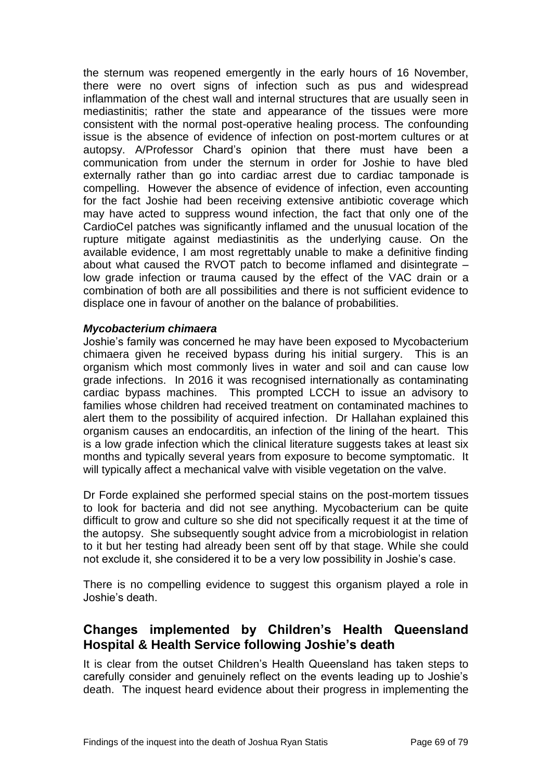the sternum was reopened emergently in the early hours of 16 November, there were no overt signs of infection such as pus and widespread inflammation of the chest wall and internal structures that are usually seen in mediastinitis; rather the state and appearance of the tissues were more consistent with the normal post-operative healing process. The confounding issue is the absence of evidence of infection on post-mortem cultures or at autopsy. A/Professor Chard's opinion that there must have been a communication from under the sternum in order for Joshie to have bled externally rather than go into cardiac arrest due to cardiac tamponade is compelling. However the absence of evidence of infection, even accounting for the fact Joshie had been receiving extensive antibiotic coverage which may have acted to suppress wound infection, the fact that only one of the CardioCel patches was significantly inflamed and the unusual location of the rupture mitigate against mediastinitis as the underlying cause. On the available evidence, I am most regrettably unable to make a definitive finding about what caused the RVOT patch to become inflamed and disintegrate – low grade infection or trauma caused by the effect of the VAC drain or a combination of both are all possibilities and there is not sufficient evidence to displace one in favour of another on the balance of probabilities.

## *Mycobacterium chimaera*

Joshie's family was concerned he may have been exposed to Mycobacterium chimaera given he received bypass during his initial surgery. This is an organism which most commonly lives in water and soil and can cause low grade infections. In 2016 it was recognised internationally as contaminating cardiac bypass machines. This prompted LCCH to issue an advisory to families whose children had received treatment on contaminated machines to alert them to the possibility of acquired infection. Dr Hallahan explained this organism causes an endocarditis, an infection of the lining of the heart. This is a low grade infection which the clinical literature suggests takes at least six months and typically several years from exposure to become symptomatic. It will typically affect a mechanical valve with visible vegetation on the valve.

Dr Forde explained she performed special stains on the post-mortem tissues to look for bacteria and did not see anything. Mycobacterium can be quite difficult to grow and culture so she did not specifically request it at the time of the autopsy. She subsequently sought advice from a microbiologist in relation to it but her testing had already been sent off by that stage. While she could not exclude it, she considered it to be a very low possibility in Joshie's case.

There is no compelling evidence to suggest this organism played a role in Joshie's death.

# **Changes implemented by Children's Health Queensland Hospital & Health Service following Joshie's death**

It is clear from the outset Children's Health Queensland has taken steps to carefully consider and genuinely reflect on the events leading up to Joshie's death. The inquest heard evidence about their progress in implementing the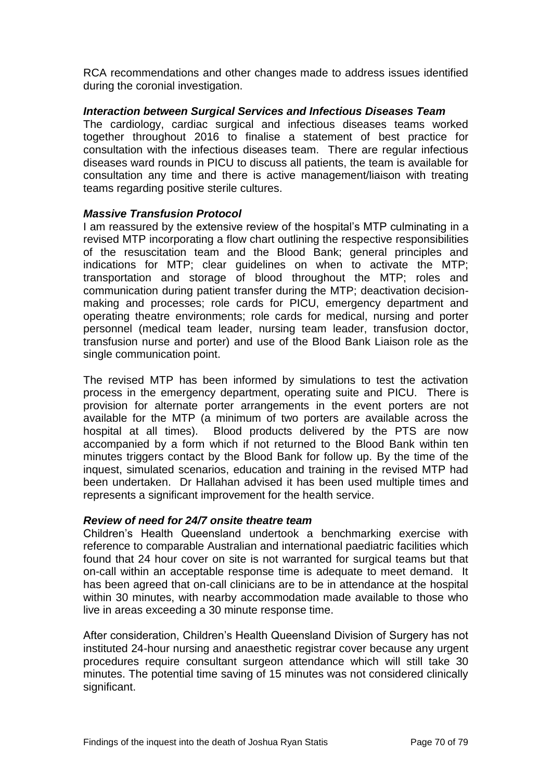RCA recommendations and other changes made to address issues identified during the coronial investigation.

# *Interaction between Surgical Services and Infectious Diseases Team*

The cardiology, cardiac surgical and infectious diseases teams worked together throughout 2016 to finalise a statement of best practice for consultation with the infectious diseases team. There are regular infectious diseases ward rounds in PICU to discuss all patients, the team is available for consultation any time and there is active management/liaison with treating teams regarding positive sterile cultures.

# *Massive Transfusion Protocol*

I am reassured by the extensive review of the hospital's MTP culminating in a revised MTP incorporating a flow chart outlining the respective responsibilities of the resuscitation team and the Blood Bank; general principles and indications for MTP; clear guidelines on when to activate the MTP; transportation and storage of blood throughout the MTP; roles and communication during patient transfer during the MTP; deactivation decisionmaking and processes; role cards for PICU, emergency department and operating theatre environments; role cards for medical, nursing and porter personnel (medical team leader, nursing team leader, transfusion doctor, transfusion nurse and porter) and use of the Blood Bank Liaison role as the single communication point.

The revised MTP has been informed by simulations to test the activation process in the emergency department, operating suite and PICU. There is provision for alternate porter arrangements in the event porters are not available for the MTP (a minimum of two porters are available across the hospital at all times). Blood products delivered by the PTS are now accompanied by a form which if not returned to the Blood Bank within ten minutes triggers contact by the Blood Bank for follow up. By the time of the inquest, simulated scenarios, education and training in the revised MTP had been undertaken. Dr Hallahan advised it has been used multiple times and represents a significant improvement for the health service.

# *Review of need for 24/7 onsite theatre team*

Children's Health Queensland undertook a benchmarking exercise with reference to comparable Australian and international paediatric facilities which found that 24 hour cover on site is not warranted for surgical teams but that on-call within an acceptable response time is adequate to meet demand. It has been agreed that on-call clinicians are to be in attendance at the hospital within 30 minutes, with nearby accommodation made available to those who live in areas exceeding a 30 minute response time.

After consideration, Children's Health Queensland Division of Surgery has not instituted 24-hour nursing and anaesthetic registrar cover because any urgent procedures require consultant surgeon attendance which will still take 30 minutes. The potential time saving of 15 minutes was not considered clinically significant.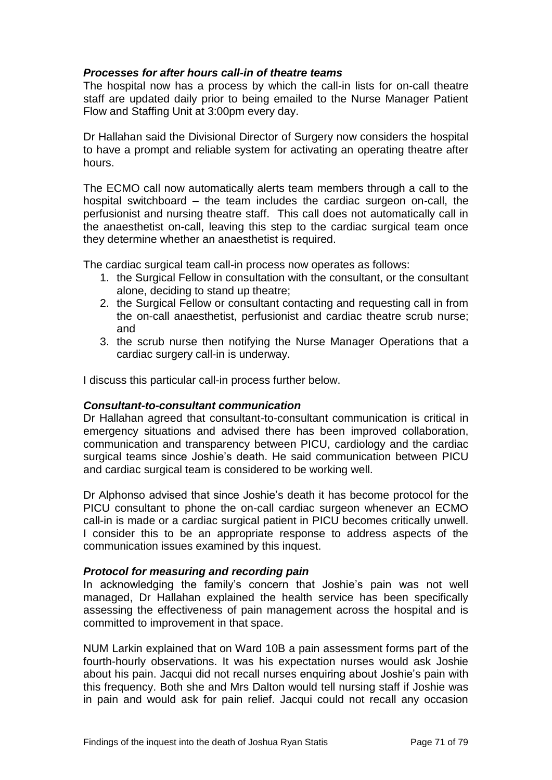### *Processes for after hours call-in of theatre teams*

The hospital now has a process by which the call-in lists for on-call theatre staff are updated daily prior to being emailed to the Nurse Manager Patient Flow and Staffing Unit at 3:00pm every day.

Dr Hallahan said the Divisional Director of Surgery now considers the hospital to have a prompt and reliable system for activating an operating theatre after hours.

The ECMO call now automatically alerts team members through a call to the hospital switchboard – the team includes the cardiac surgeon on-call, the perfusionist and nursing theatre staff. This call does not automatically call in the anaesthetist on-call, leaving this step to the cardiac surgical team once they determine whether an anaesthetist is required.

The cardiac surgical team call-in process now operates as follows:

- 1. the Surgical Fellow in consultation with the consultant, or the consultant alone, deciding to stand up theatre;
- 2. the Surgical Fellow or consultant contacting and requesting call in from the on-call anaesthetist, perfusionist and cardiac theatre scrub nurse; and
- 3. the scrub nurse then notifying the Nurse Manager Operations that a cardiac surgery call-in is underway.

I discuss this particular call-in process further below.

#### *Consultant-to-consultant communication*

Dr Hallahan agreed that consultant-to-consultant communication is critical in emergency situations and advised there has been improved collaboration, communication and transparency between PICU, cardiology and the cardiac surgical teams since Joshie's death. He said communication between PICU and cardiac surgical team is considered to be working well.

Dr Alphonso advised that since Joshie's death it has become protocol for the PICU consultant to phone the on-call cardiac surgeon whenever an ECMO call-in is made or a cardiac surgical patient in PICU becomes critically unwell. I consider this to be an appropriate response to address aspects of the communication issues examined by this inquest.

#### *Protocol for measuring and recording pain*

In acknowledging the family's concern that Joshie's pain was not well managed, Dr Hallahan explained the health service has been specifically assessing the effectiveness of pain management across the hospital and is committed to improvement in that space.

NUM Larkin explained that on Ward 10B a pain assessment forms part of the fourth-hourly observations. It was his expectation nurses would ask Joshie about his pain. Jacqui did not recall nurses enquiring about Joshie's pain with this frequency. Both she and Mrs Dalton would tell nursing staff if Joshie was in pain and would ask for pain relief. Jacqui could not recall any occasion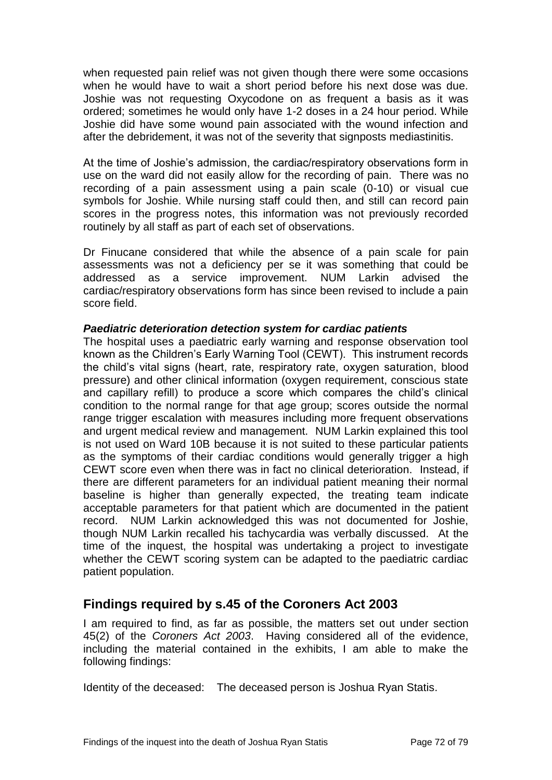when requested pain relief was not given though there were some occasions when he would have to wait a short period before his next dose was due. Joshie was not requesting Oxycodone on as frequent a basis as it was ordered; sometimes he would only have 1-2 doses in a 24 hour period. While Joshie did have some wound pain associated with the wound infection and after the debridement, it was not of the severity that signposts mediastinitis.

At the time of Joshie's admission, the cardiac/respiratory observations form in use on the ward did not easily allow for the recording of pain. There was no recording of a pain assessment using a pain scale (0-10) or visual cue symbols for Joshie. While nursing staff could then, and still can record pain scores in the progress notes, this information was not previously recorded routinely by all staff as part of each set of observations.

Dr Finucane considered that while the absence of a pain scale for pain assessments was not a deficiency per se it was something that could be addressed as a service improvement. NUM Larkin advised the cardiac/respiratory observations form has since been revised to include a pain score field.

#### *Paediatric deterioration detection system for cardiac patients*

The hospital uses a paediatric early warning and response observation tool known as the Children's Early Warning Tool (CEWT). This instrument records the child's vital signs (heart, rate, respiratory rate, oxygen saturation, blood pressure) and other clinical information (oxygen requirement, conscious state and capillary refill) to produce a score which compares the child's clinical condition to the normal range for that age group; scores outside the normal range trigger escalation with measures including more frequent observations and urgent medical review and management. NUM Larkin explained this tool is not used on Ward 10B because it is not suited to these particular patients as the symptoms of their cardiac conditions would generally trigger a high CEWT score even when there was in fact no clinical deterioration. Instead, if there are different parameters for an individual patient meaning their normal baseline is higher than generally expected, the treating team indicate acceptable parameters for that patient which are documented in the patient record. NUM Larkin acknowledged this was not documented for Joshie, though NUM Larkin recalled his tachycardia was verbally discussed. At the time of the inquest, the hospital was undertaking a project to investigate whether the CEWT scoring system can be adapted to the paediatric cardiac patient population.

# **Findings required by s.45 of the Coroners Act 2003**

I am required to find, as far as possible, the matters set out under section 45(2) of the *Coroners Act 2003*. Having considered all of the evidence, including the material contained in the exhibits, I am able to make the following findings:

Identity of the deceased: The deceased person is Joshua Ryan Statis.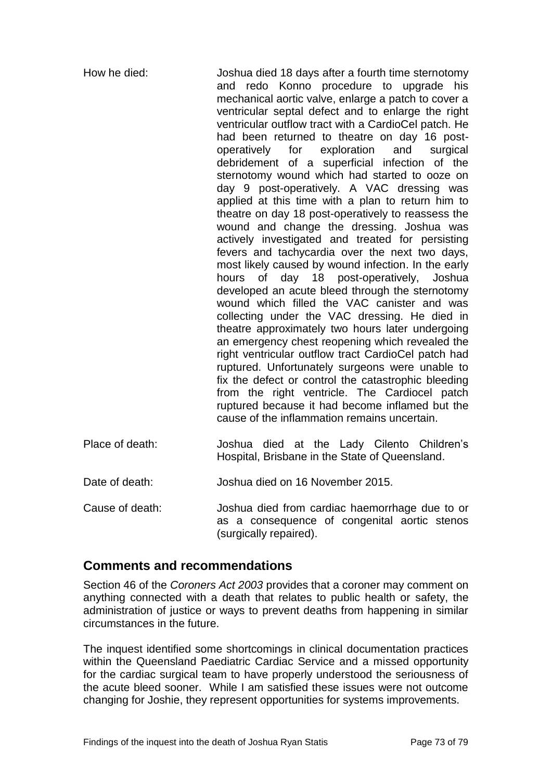| How he died:    | Joshua died 18 days after a fourth time sternotomy<br>and redo Konno procedure to upgrade his<br>mechanical aortic valve, enlarge a patch to cover a<br>ventricular septal defect and to enlarge the right<br>ventricular outflow tract with a CardioCel patch. He<br>had been returned to theatre on day 16 post-<br>operatively for exploration<br>and<br>surgical<br>debridement of a superficial infection of the<br>sternotomy wound which had started to ooze on<br>day 9 post-operatively. A VAC dressing was<br>applied at this time with a plan to return him to<br>theatre on day 18 post-operatively to reassess the<br>wound and change the dressing. Joshua was<br>actively investigated and treated for persisting<br>fevers and tachycardia over the next two days,<br>most likely caused by wound infection. In the early<br>hours of day 18 post-operatively, Joshua<br>developed an acute bleed through the sternotomy<br>wound which filled the VAC canister and was<br>collecting under the VAC dressing. He died in<br>theatre approximately two hours later undergoing<br>an emergency chest reopening which revealed the<br>right ventricular outflow tract CardioCel patch had<br>ruptured. Unfortunately surgeons were unable to<br>fix the defect or control the catastrophic bleeding<br>from the right ventricle. The Cardiocel patch<br>ruptured because it had become inflamed but the<br>cause of the inflammation remains uncertain. |
|-----------------|----------------------------------------------------------------------------------------------------------------------------------------------------------------------------------------------------------------------------------------------------------------------------------------------------------------------------------------------------------------------------------------------------------------------------------------------------------------------------------------------------------------------------------------------------------------------------------------------------------------------------------------------------------------------------------------------------------------------------------------------------------------------------------------------------------------------------------------------------------------------------------------------------------------------------------------------------------------------------------------------------------------------------------------------------------------------------------------------------------------------------------------------------------------------------------------------------------------------------------------------------------------------------------------------------------------------------------------------------------------------------------------------------------------------------------------------------------------------|
| Place of death: | Joshua died at the Lady Cilento Children's<br>Hospital, Brisbane in the State of Queensland.                                                                                                                                                                                                                                                                                                                                                                                                                                                                                                                                                                                                                                                                                                                                                                                                                                                                                                                                                                                                                                                                                                                                                                                                                                                                                                                                                                         |
| Date of death:  | Joshua died on 16 November 2015.                                                                                                                                                                                                                                                                                                                                                                                                                                                                                                                                                                                                                                                                                                                                                                                                                                                                                                                                                                                                                                                                                                                                                                                                                                                                                                                                                                                                                                     |
| Cause of death: | Joshua died from cardiac haemorrhage due to or<br>as a consequence of congenital aortic stenos                                                                                                                                                                                                                                                                                                                                                                                                                                                                                                                                                                                                                                                                                                                                                                                                                                                                                                                                                                                                                                                                                                                                                                                                                                                                                                                                                                       |

# **Comments and recommendations**

Section 46 of the *Coroners Act 2003* provides that a coroner may comment on anything connected with a death that relates to public health or safety, the administration of justice or ways to prevent deaths from happening in similar circumstances in the future.

(surgically repaired).

The inquest identified some shortcomings in clinical documentation practices within the Queensland Paediatric Cardiac Service and a missed opportunity for the cardiac surgical team to have properly understood the seriousness of the acute bleed sooner. While I am satisfied these issues were not outcome changing for Joshie, they represent opportunities for systems improvements.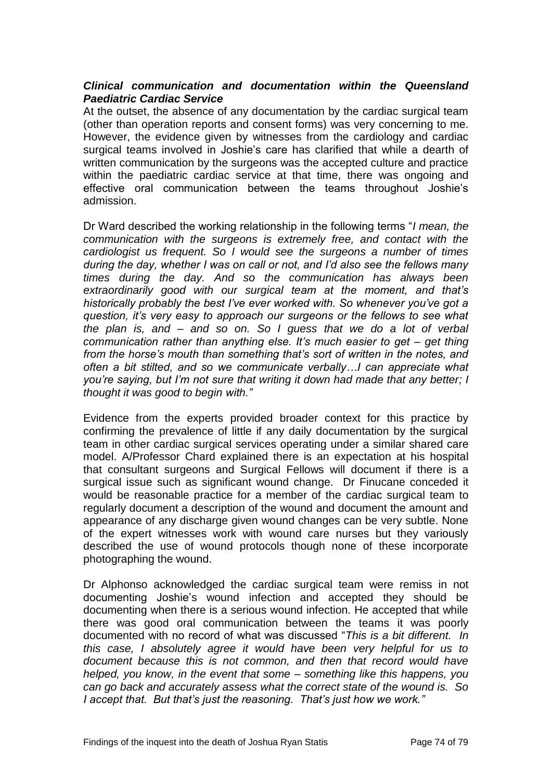# *Clinical communication and documentation within the Queensland Paediatric Cardiac Service*

At the outset, the absence of any documentation by the cardiac surgical team (other than operation reports and consent forms) was very concerning to me. However, the evidence given by witnesses from the cardiology and cardiac surgical teams involved in Joshie's care has clarified that while a dearth of written communication by the surgeons was the accepted culture and practice within the paediatric cardiac service at that time, there was ongoing and effective oral communication between the teams throughout Joshie's admission.

Dr Ward described the working relationship in the following terms "*I mean, the communication with the surgeons is extremely free, and contact with the cardiologist us frequent. So I would see the surgeons a number of times during the day, whether I was on call or not, and I'd also see the fellows many times during the day. And so the communication has always been extraordinarily good with our surgical team at the moment, and that's historically probably the best I've ever worked with. So whenever you've got a question, it's very easy to approach our surgeons or the fellows to see what the plan is, and – and so on. So I guess that we do a lot of verbal communication rather than anything else. It's much easier to get – get thing from the horse's mouth than something that's sort of written in the notes, and often a bit stilted, and so we communicate verbally…I can appreciate what you're saying, but I'm not sure that writing it down had made that any better; I thought it was good to begin with."*

Evidence from the experts provided broader context for this practice by confirming the prevalence of little if any daily documentation by the surgical team in other cardiac surgical services operating under a similar shared care model. A/Professor Chard explained there is an expectation at his hospital that consultant surgeons and Surgical Fellows will document if there is a surgical issue such as significant wound change. Dr Finucane conceded it would be reasonable practice for a member of the cardiac surgical team to regularly document a description of the wound and document the amount and appearance of any discharge given wound changes can be very subtle. None of the expert witnesses work with wound care nurses but they variously described the use of wound protocols though none of these incorporate photographing the wound.

Dr Alphonso acknowledged the cardiac surgical team were remiss in not documenting Joshie's wound infection and accepted they should be documenting when there is a serious wound infection. He accepted that while there was good oral communication between the teams it was poorly documented with no record of what was discussed "*This is a bit different. In this case, I absolutely agree it would have been very helpful for us to document because this is not common, and then that record would have helped, you know, in the event that some – something like this happens, you can go back and accurately assess what the correct state of the wound is. So I accept that. But that's just the reasoning. That's just how we work."*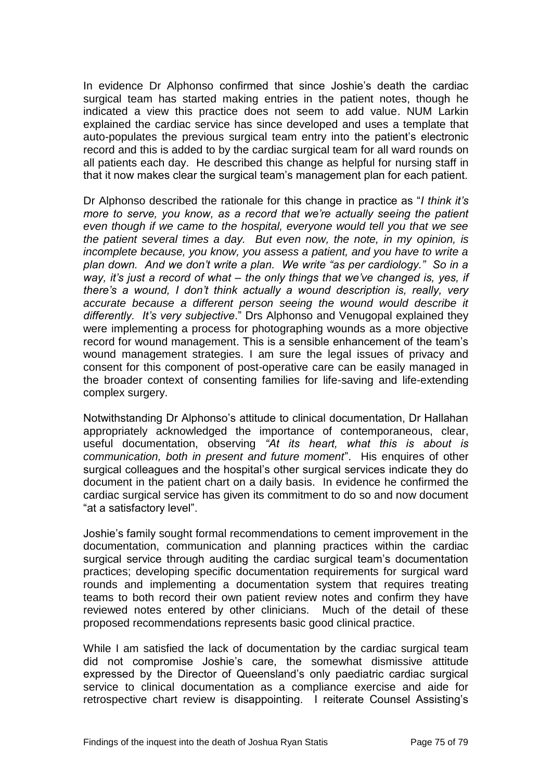In evidence Dr Alphonso confirmed that since Joshie's death the cardiac surgical team has started making entries in the patient notes, though he indicated a view this practice does not seem to add value. NUM Larkin explained the cardiac service has since developed and uses a template that auto-populates the previous surgical team entry into the patient's electronic record and this is added to by the cardiac surgical team for all ward rounds on all patients each day. He described this change as helpful for nursing staff in that it now makes clear the surgical team's management plan for each patient.

Dr Alphonso described the rationale for this change in practice as "*I think it's more to serve, you know, as a record that we're actually seeing the patient even though if we came to the hospital, everyone would tell you that we see the patient several times a day. But even now, the note, in my opinion, is incomplete because, you know, you assess a patient, and you have to write a plan down. And we don't write a plan. We write "as per cardiology." So in a way, it's just a record of what – the only things that we've changed is, yes, if there's a wound, I don't think actually a wound description is, really, very accurate because a different person seeing the wound would describe it differently. It's very subjective*." Drs Alphonso and Venugopal explained they were implementing a process for photographing wounds as a more objective record for wound management. This is a sensible enhancement of the team's wound management strategies. I am sure the legal issues of privacy and consent for this component of post-operative care can be easily managed in the broader context of consenting families for life-saving and life-extending complex surgery.

Notwithstanding Dr Alphonso's attitude to clinical documentation, Dr Hallahan appropriately acknowledged the importance of contemporaneous, clear, useful documentation, observing *"At its heart, what this is about is communication, both in present and future moment*". His enquires of other surgical colleagues and the hospital's other surgical services indicate they do document in the patient chart on a daily basis. In evidence he confirmed the cardiac surgical service has given its commitment to do so and now document "at a satisfactory level".

Joshie's family sought formal recommendations to cement improvement in the documentation, communication and planning practices within the cardiac surgical service through auditing the cardiac surgical team's documentation practices; developing specific documentation requirements for surgical ward rounds and implementing a documentation system that requires treating teams to both record their own patient review notes and confirm they have reviewed notes entered by other clinicians. Much of the detail of these proposed recommendations represents basic good clinical practice.

While I am satisfied the lack of documentation by the cardiac surgical team did not compromise Joshie's care, the somewhat dismissive attitude expressed by the Director of Queensland's only paediatric cardiac surgical service to clinical documentation as a compliance exercise and aide for retrospective chart review is disappointing. I reiterate Counsel Assisting's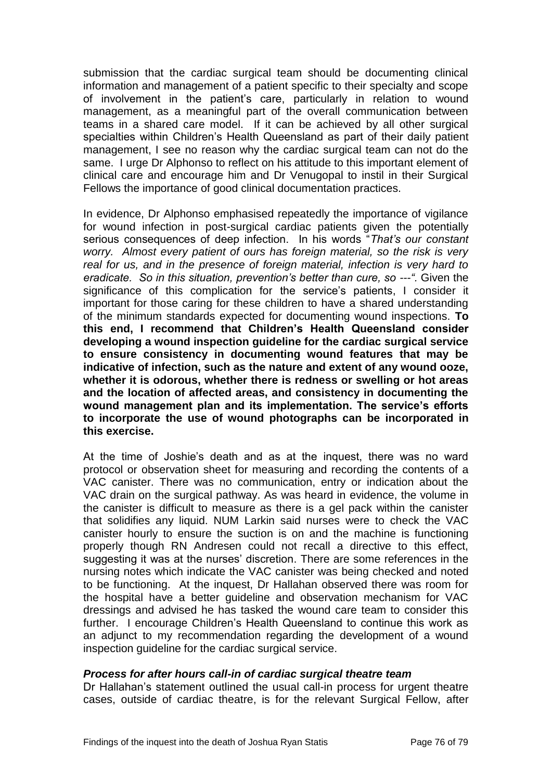submission that the cardiac surgical team should be documenting clinical information and management of a patient specific to their specialty and scope of involvement in the patient's care, particularly in relation to wound management, as a meaningful part of the overall communication between teams in a shared care model. If it can be achieved by all other surgical specialties within Children's Health Queensland as part of their daily patient management, I see no reason why the cardiac surgical team can not do the same. I urge Dr Alphonso to reflect on his attitude to this important element of clinical care and encourage him and Dr Venugopal to instil in their Surgical Fellows the importance of good clinical documentation practices.

In evidence, Dr Alphonso emphasised repeatedly the importance of vigilance for wound infection in post-surgical cardiac patients given the potentially serious consequences of deep infection. In his words "*That's our constant worry. Almost every patient of ours has foreign material, so the risk is very real for us, and in the presence of foreign material, infection is very hard to eradicate. So in this situation, prevention's better than cure, so ---".* Given the significance of this complication for the service's patients, I consider it important for those caring for these children to have a shared understanding of the minimum standards expected for documenting wound inspections. **To this end, I recommend that Children's Health Queensland consider developing a wound inspection guideline for the cardiac surgical service to ensure consistency in documenting wound features that may be indicative of infection, such as the nature and extent of any wound ooze, whether it is odorous, whether there is redness or swelling or hot areas and the location of affected areas, and consistency in documenting the wound management plan and its implementation. The service's efforts to incorporate the use of wound photographs can be incorporated in this exercise.** 

At the time of Joshie's death and as at the inquest, there was no ward protocol or observation sheet for measuring and recording the contents of a VAC canister. There was no communication, entry or indication about the VAC drain on the surgical pathway. As was heard in evidence, the volume in the canister is difficult to measure as there is a gel pack within the canister that solidifies any liquid. NUM Larkin said nurses were to check the VAC canister hourly to ensure the suction is on and the machine is functioning properly though RN Andresen could not recall a directive to this effect, suggesting it was at the nurses' discretion. There are some references in the nursing notes which indicate the VAC canister was being checked and noted to be functioning. At the inquest, Dr Hallahan observed there was room for the hospital have a better guideline and observation mechanism for VAC dressings and advised he has tasked the wound care team to consider this further. I encourage Children's Health Queensland to continue this work as an adjunct to my recommendation regarding the development of a wound inspection guideline for the cardiac surgical service.

# *Process for after hours call-in of cardiac surgical theatre team*

Dr Hallahan's statement outlined the usual call-in process for urgent theatre cases, outside of cardiac theatre, is for the relevant Surgical Fellow, after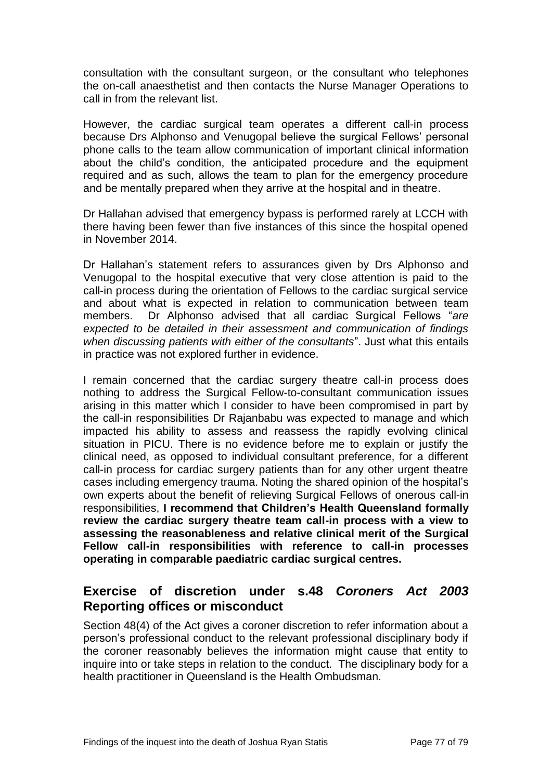consultation with the consultant surgeon, or the consultant who telephones the on-call anaesthetist and then contacts the Nurse Manager Operations to call in from the relevant list.

However, the cardiac surgical team operates a different call-in process because Drs Alphonso and Venugopal believe the surgical Fellows' personal phone calls to the team allow communication of important clinical information about the child's condition, the anticipated procedure and the equipment required and as such, allows the team to plan for the emergency procedure and be mentally prepared when they arrive at the hospital and in theatre.

Dr Hallahan advised that emergency bypass is performed rarely at LCCH with there having been fewer than five instances of this since the hospital opened in November 2014.

Dr Hallahan's statement refers to assurances given by Drs Alphonso and Venugopal to the hospital executive that very close attention is paid to the call-in process during the orientation of Fellows to the cardiac surgical service and about what is expected in relation to communication between team members. Dr Alphonso advised that all cardiac Surgical Fellows "*are expected to be detailed in their assessment and communication of findings when discussing patients with either of the consultants*". Just what this entails in practice was not explored further in evidence.

I remain concerned that the cardiac surgery theatre call-in process does nothing to address the Surgical Fellow-to-consultant communication issues arising in this matter which I consider to have been compromised in part by the call-in responsibilities Dr Rajanbabu was expected to manage and which impacted his ability to assess and reassess the rapidly evolving clinical situation in PICU. There is no evidence before me to explain or justify the clinical need, as opposed to individual consultant preference, for a different call-in process for cardiac surgery patients than for any other urgent theatre cases including emergency trauma. Noting the shared opinion of the hospital's own experts about the benefit of relieving Surgical Fellows of onerous call-in responsibilities, **I recommend that Children's Health Queensland formally review the cardiac surgery theatre team call-in process with a view to assessing the reasonableness and relative clinical merit of the Surgical Fellow call-in responsibilities with reference to call-in processes operating in comparable paediatric cardiac surgical centres.** 

# **Exercise of discretion under s.48** *Coroners Act 2003* **Reporting offices or misconduct**

Section 48(4) of the Act gives a coroner discretion to refer information about a person's professional conduct to the relevant professional disciplinary body if the coroner reasonably believes the information might cause that entity to inquire into or take steps in relation to the conduct. The disciplinary body for a health practitioner in Queensland is the Health Ombudsman.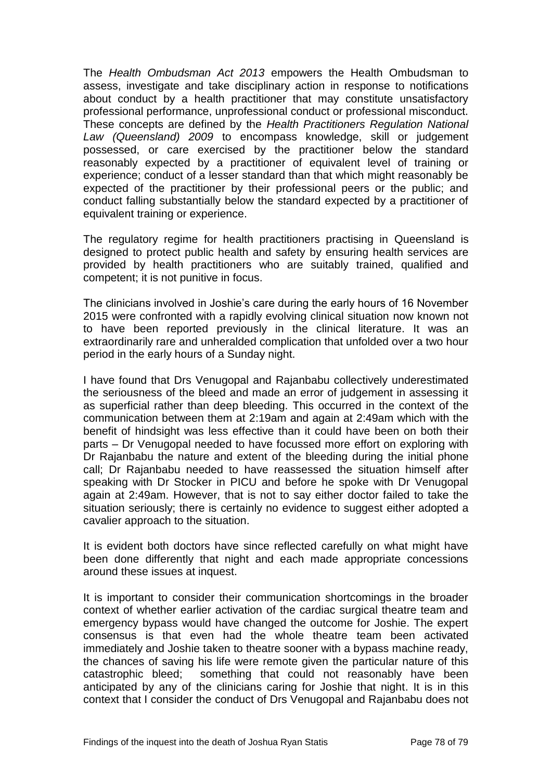The *Health Ombudsman Act 2013* empowers the Health Ombudsman to assess, investigate and take disciplinary action in response to notifications about conduct by a health practitioner that may constitute unsatisfactory professional performance, unprofessional conduct or professional misconduct. These concepts are defined by the *Health Practitioners Regulation National Law (Queensland) 2009* to encompass knowledge, skill or judgement possessed, or care exercised by the practitioner below the standard reasonably expected by a practitioner of equivalent level of training or experience; conduct of a lesser standard than that which might reasonably be expected of the practitioner by their professional peers or the public; and conduct falling substantially below the standard expected by a practitioner of equivalent training or experience.

The regulatory regime for health practitioners practising in Queensland is designed to protect public health and safety by ensuring health services are provided by health practitioners who are suitably trained, qualified and competent; it is not punitive in focus.

The clinicians involved in Joshie's care during the early hours of 16 November 2015 were confronted with a rapidly evolving clinical situation now known not to have been reported previously in the clinical literature. It was an extraordinarily rare and unheralded complication that unfolded over a two hour period in the early hours of a Sunday night.

I have found that Drs Venugopal and Rajanbabu collectively underestimated the seriousness of the bleed and made an error of judgement in assessing it as superficial rather than deep bleeding. This occurred in the context of the communication between them at 2:19am and again at 2:49am which with the benefit of hindsight was less effective than it could have been on both their parts – Dr Venugopal needed to have focussed more effort on exploring with Dr Rajanbabu the nature and extent of the bleeding during the initial phone call; Dr Rajanbabu needed to have reassessed the situation himself after speaking with Dr Stocker in PICU and before he spoke with Dr Venugopal again at 2:49am. However, that is not to say either doctor failed to take the situation seriously; there is certainly no evidence to suggest either adopted a cavalier approach to the situation.

It is evident both doctors have since reflected carefully on what might have been done differently that night and each made appropriate concessions around these issues at inquest.

It is important to consider their communication shortcomings in the broader context of whether earlier activation of the cardiac surgical theatre team and emergency bypass would have changed the outcome for Joshie. The expert consensus is that even had the whole theatre team been activated immediately and Joshie taken to theatre sooner with a bypass machine ready, the chances of saving his life were remote given the particular nature of this catastrophic bleed; something that could not reasonably have been anticipated by any of the clinicians caring for Joshie that night. It is in this context that I consider the conduct of Drs Venugopal and Rajanbabu does not